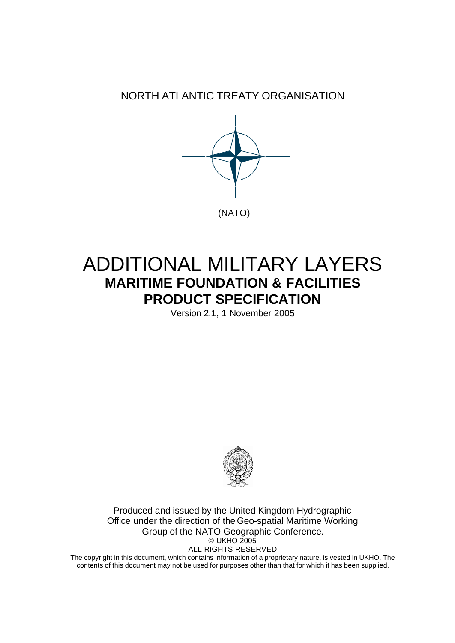NORTH ATLANTIC TREATY ORGANISATION



# ADDITIONAL MILITARY LAYERS **MARITIME FOUNDATION & FACILITIES PRODUCT SPECIFICATION**

Version 2.1, 1 November 2005



Produced and issued by the United Kingdom Hydrographic Office under the direction of the Geo-spatial Maritime Working Group of the NATO Geographic Conference. © UKHO 2005 ALL RIGHTS RESERVED

The copyright in this document, which contains information of a proprietary nature, is vested in UKHO. The contents of this document may not be used for purposes other than that for which it has been supplied.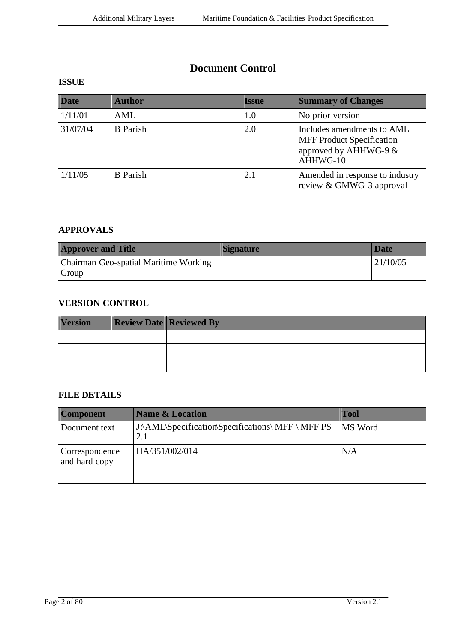# **Document Control**

# **ISSUE**

| <b>Date</b> | <b>Author</b>   | <b>Issue</b> | <b>Summary of Changes</b>                                                                           |
|-------------|-----------------|--------------|-----------------------------------------------------------------------------------------------------|
| 1/11/01     | AML             | 1.0          | No prior version                                                                                    |
| 31/07/04    | <b>B</b> Parish | 2.0          | Includes amendments to AML<br><b>MFF Product Specification</b><br>approved by AHHWG-9 &<br>AHHWG-10 |
| 1/11/05     | <b>B</b> Parish | 2.1          | Amended in response to industry<br>review & GMWG-3 approval                                         |
|             |                 |              |                                                                                                     |

#### **APPROVALS**

| <b>Approver and Title</b>                      | <b>Signature</b> | <b>Date</b> |
|------------------------------------------------|------------------|-------------|
| Chairman Geo-spatial Maritime Working<br>Group |                  | 121/10/05   |

## **VERSION CONTROL**

| <b>Version</b> | <b>Review Date Reviewed By</b> |
|----------------|--------------------------------|
|                |                                |
|                |                                |
|                |                                |

#### **FILE DETAILS**

| <b>Component</b>                | <b>Name &amp; Location</b>                               | <b>Tool</b>    |
|---------------------------------|----------------------------------------------------------|----------------|
| Document text                   | J:\AML\Specification\Specifications\ MFF \ MFF PS<br>2.1 | <b>MS</b> Word |
| Correspondence<br>and hard copy | HA/351/002/014                                           | N/A            |
|                                 |                                                          |                |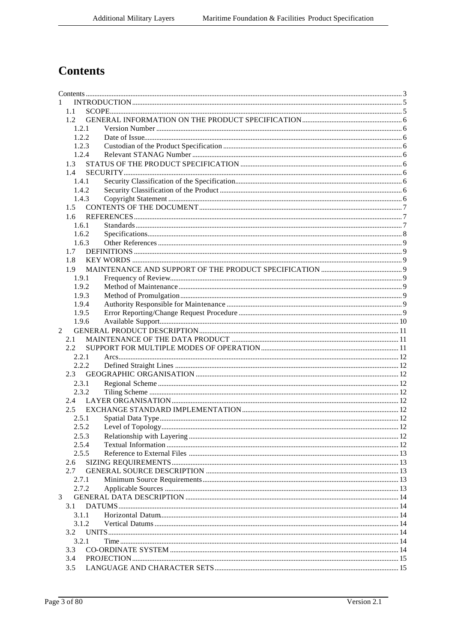# **Contents**

| $\mathbf{1}$   |  |
|----------------|--|
| 1.1            |  |
| $1.2 -$        |  |
| 1.2.1          |  |
| 1.2.2          |  |
| 1.2.3          |  |
| 1.2.4          |  |
| 1.3            |  |
| 1.4            |  |
| 1.4.1          |  |
| 1.4.2          |  |
| 1.4.3          |  |
| 1.5            |  |
| $1.6 -$        |  |
| 1.6.1<br>1.6.2 |  |
|                |  |
| 1.6.3          |  |
| 1.7<br>1.8     |  |
| 1.9            |  |
| 1.9.1          |  |
| 1.9.2          |  |
| 1.9.3          |  |
| 1.9.4          |  |
| 1.9.5          |  |
| 1.9.6          |  |
| $\mathfrak{D}$ |  |
| 2.1            |  |
| 2.2.           |  |
| 2.2.1          |  |
| 2.2.2          |  |
| 2.3            |  |
| 2.3.1          |  |
| 2.3.2          |  |
|                |  |
| 2.5            |  |
| 2.5.1          |  |
| 2.5.2          |  |
| 2.5.3          |  |
| 2.5.4          |  |
| 2.5.5          |  |
| 2.6            |  |
| 2.7            |  |
| 2.7.1          |  |
| 2.7.2          |  |
| 3              |  |
| 3.1            |  |
| 3.1.1          |  |
| 3.1.2          |  |
| $3.2^{\circ}$  |  |
| 3.2.1          |  |
| 3.3            |  |
| 3.4            |  |
| 3.5            |  |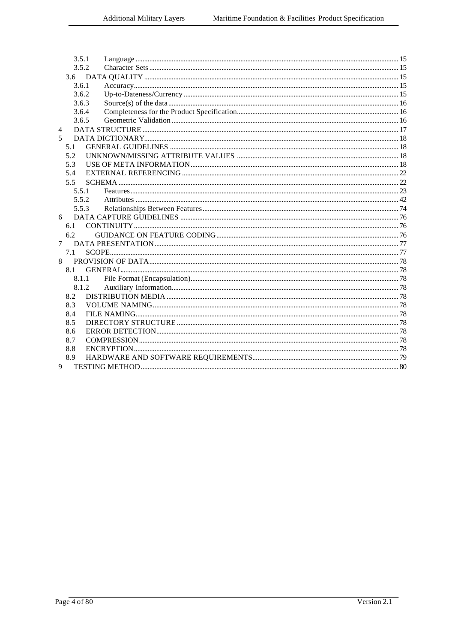|        | 3.5.1        |  |
|--------|--------------|--|
|        | 3.5.2        |  |
|        | 3.6          |  |
|        | 3.6.1        |  |
|        | 3.6.2        |  |
|        | 3.6.3        |  |
|        | 3.6.4        |  |
|        | 3.6.5        |  |
| 4      |              |  |
| 5      |              |  |
|        | 5.1          |  |
|        | 5.2          |  |
|        | 5.3          |  |
|        | 5.4          |  |
|        | 5.5          |  |
|        | 5.5.1        |  |
|        | 5.5.2        |  |
|        | 5.5.3        |  |
| 6      |              |  |
|        |              |  |
|        | 6.2          |  |
| $\tau$ |              |  |
|        | 7.1          |  |
| 8      |              |  |
|        | 8.1<br>8.1.1 |  |
|        |              |  |
|        | 8.1.2<br>8.2 |  |
|        | 8.3          |  |
|        | 8.4          |  |
|        | 8.5          |  |
|        | 8.6          |  |
|        | 8.7          |  |
|        | 8.8          |  |
|        | 8.9          |  |
| 9      |              |  |
|        |              |  |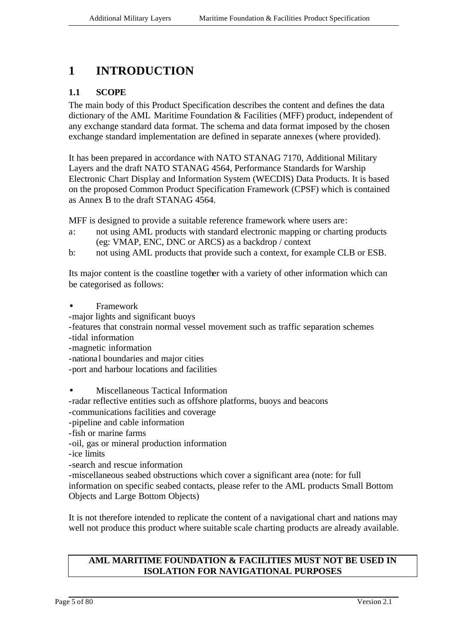# **1 INTRODUCTION**

### **1.1 SCOPE**

The main body of this Product Specification describes the content and defines the data dictionary of the AML Maritime Foundation & Facilities (MFF) product, independent of any exchange standard data format. The schema and data format imposed by the chosen exchange standard implementation are defined in separate annexes (where provided).

It has been prepared in accordance with NATO STANAG 7170, Additional Military Layers and the draft NATO STANAG 4564, Performance Standards for Warship Electronic Chart Display and Information System (WECDIS) Data Products. It is based on the proposed Common Product Specification Framework (CPSF) which is contained as Annex B to the draft STANAG 4564.

MFF is designed to provide a suitable reference framework where users are:

- a: not using AML products with standard electronic mapping or charting products (eg: VMAP, ENC, DNC or ARCS) as a backdrop / context
- b: not using AML products that provide such a context, for example CLB or ESB.

Its major content is the coastline together with a variety of other information which can be categorised as follows:

- Framework
- -major lights and significant buoys
- -features that constrain normal vessel movement such as traffic separation schemes
- -tidal information
- -magnetic information
- -national boundaries and major cities
- -port and harbour locations and facilities
- Miscellaneous Tactical Information
- -radar reflective entities such as offshore platforms, buoys and beacons
- -communications facilities and coverage
- -pipeline and cable information
- -fish or marine farms
- -oil, gas or mineral production information

-ice limits

-search and rescue information

-miscellaneous seabed obstructions which cover a significant area (note: for full information on specific seabed contacts, please refer to the AML products Small Bottom Objects and Large Bottom Objects)

It is not therefore intended to replicate the content of a navigational chart and nations may well not produce this product where suitable scale charting products are already available.

#### **AML MARITIME FOUNDATION & FACILITIES MUST NOT BE USED IN ISOLATION FOR NAVIGATIONAL PURPOSES**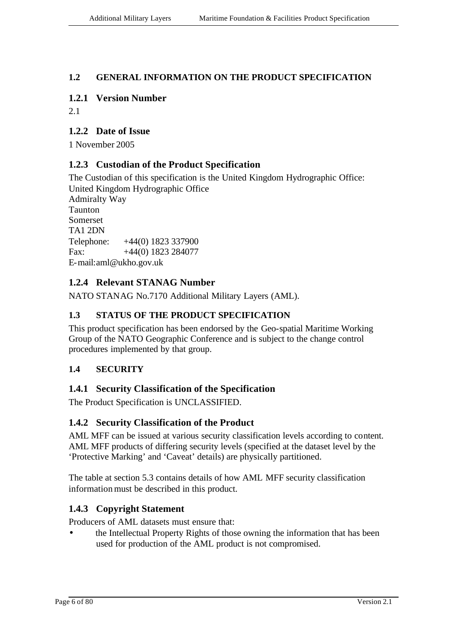## **1.2 GENERAL INFORMATION ON THE PRODUCT SPECIFICATION**

## **1.2.1 Version Number**

2.1

# **1.2.2 Date of Issue**

1 November 2005

# **1.2.3 Custodian of the Product Specification**

The Custodian of this specification is the United Kingdom Hydrographic Office: United Kingdom Hydrographic Office Admiralty Way Taunton Somerset TA1 2DN Telephone: +44(0) 1823 337900 Fax:  $+44(0)$  1823 284077 E-mail:aml@ukho.gov.uk

# **1.2.4 Relevant STANAG Number**

NATO STANAG No.7170 Additional Military Layers (AML).

# **1.3 STATUS OF THE PRODUCT SPECIFICATION**

This product specification has been endorsed by the Geo-spatial Maritime Working Group of the NATO Geographic Conference and is subject to the change control procedures implemented by that group.

# **1.4 SECURITY**

# **1.4.1 Security Classification of the Specification**

The Product Specification is UNCLASSIFIED.

# **1.4.2 Security Classification of the Product**

AML MFF can be issued at various security classification levels according to content. AML MFF products of differing security levels (specified at the dataset level by the 'Protective Marking' and 'Caveat' details) are physically partitioned.

The table at section 5.3 contains details of how AML MFF security classification information must be described in this product.

# **1.4.3 Copyright Statement**

Producers of AML datasets must ensure that:

• the Intellectual Property Rights of those owning the information that has been used for production of the AML product is not compromised.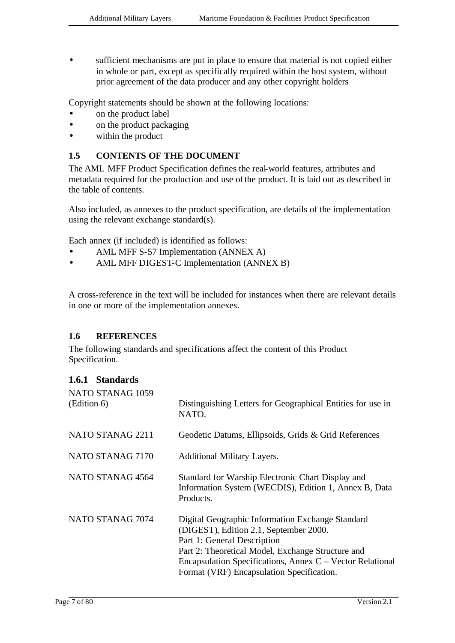• sufficient mechanisms are put in place to ensure that material is not copied either in whole or part, except as specifically required within the host system, without prior agreement of the data producer and any other copyright holders

Copyright statements should be shown at the following locations:

- on the product label
- on the product packaging
- within the product

#### **1.5 CONTENTS OF THE DOCUMENT**

The AML MFF Product Specification defines the real-world features, attributes and metadata required for the production and use of the product. It is laid out as described in the table of contents.

Also included, as annexes to the product specification, are details of the implementation using the relevant exchange standard(s).

Each annex (if included) is identified as follows:

- AML MFF S-57 Implementation (ANNEX A)
- AML MFF DIGEST-C Implementation (ANNEX B)

A cross-reference in the text will be included for instances when there are relevant details in one or more of the implementation annexes.

#### **1.6 REFERENCES**

The following standards and specifications affect the content of this Product Specification.

#### **1.6.1 Standards**

| NATO STANAG 1059<br>(Edition 6) | Distinguishing Letters for Geographical Entities for use in<br>NATO.                                                                                                                                                                                                                     |
|---------------------------------|------------------------------------------------------------------------------------------------------------------------------------------------------------------------------------------------------------------------------------------------------------------------------------------|
| NATO STANAG 2211                | Geodetic Datums, Ellipsoids, Grids & Grid References                                                                                                                                                                                                                                     |
| NATO STANAG 7170                | <b>Additional Military Layers.</b>                                                                                                                                                                                                                                                       |
| NATO STANAG 4564                | Standard for Warship Electronic Chart Display and<br>Information System (WECDIS), Edition 1, Annex B, Data<br>Products.                                                                                                                                                                  |
| NATO STANAG 7074                | Digital Geographic Information Exchange Standard<br>(DIGEST), Edition 2.1, September 2000.<br>Part 1: General Description<br>Part 2: Theoretical Model, Exchange Structure and<br>Encapsulation Specifications, Annex C – Vector Relational<br>Format (VRF) Encapsulation Specification. |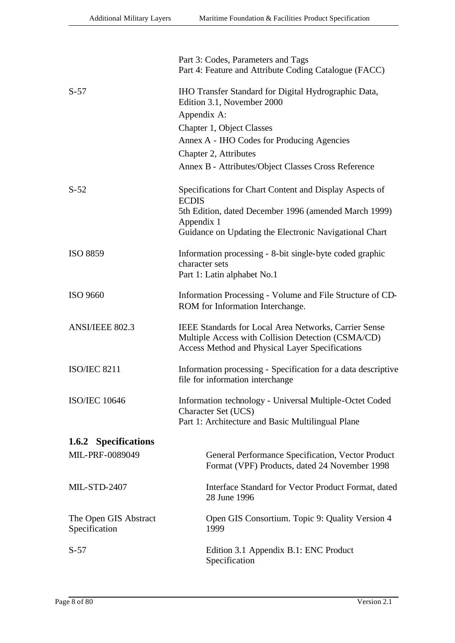|                                        | Part 3: Codes, Parameters and Tags<br>Part 4: Feature and Attribute Coding Catalogue (FACC)                                                                                  |  |  |
|----------------------------------------|------------------------------------------------------------------------------------------------------------------------------------------------------------------------------|--|--|
| $S-57$                                 | IHO Transfer Standard for Digital Hydrographic Data,<br>Edition 3.1, November 2000<br>Appendix A:                                                                            |  |  |
|                                        | Chapter 1, Object Classes                                                                                                                                                    |  |  |
|                                        | Annex A - IHO Codes for Producing Agencies                                                                                                                                   |  |  |
|                                        | Chapter 2, Attributes                                                                                                                                                        |  |  |
|                                        | Annex B - Attributes/Object Classes Cross Reference                                                                                                                          |  |  |
| $S-52$                                 | Specifications for Chart Content and Display Aspects of<br><b>ECDIS</b>                                                                                                      |  |  |
|                                        | 5th Edition, dated December 1996 (amended March 1999)                                                                                                                        |  |  |
|                                        | Appendix 1<br>Guidance on Updating the Electronic Navigational Chart                                                                                                         |  |  |
| <b>ISO 8859</b>                        | Information processing - 8-bit single-byte coded graphic<br>character sets                                                                                                   |  |  |
|                                        | Part 1: Latin alphabet No.1                                                                                                                                                  |  |  |
| ISO 9660                               | Information Processing - Volume and File Structure of CD-<br>ROM for Information Interchange.                                                                                |  |  |
| <b>ANSI/IEEE 802.3</b>                 | <b>IEEE Standards for Local Area Networks, Carrier Sense</b><br>Multiple Access with Collision Detection (CSMA/CD)<br><b>Access Method and Physical Layer Specifications</b> |  |  |
| <b>ISO/IEC 8211</b>                    | Information processing - Specification for a data descriptive<br>file for information interchange                                                                            |  |  |
| <b>ISO/IEC 10646</b>                   | Information technology - Universal Multiple-Octet Coded<br>Character Set (UCS)                                                                                               |  |  |
|                                        | Part 1: Architecture and Basic Multilingual Plane                                                                                                                            |  |  |
| 1.6.2 Specifications                   |                                                                                                                                                                              |  |  |
| MIL-PRF-0089049                        | General Performance Specification, Vector Product<br>Format (VPF) Products, dated 24 November 1998                                                                           |  |  |
| <b>MIL-STD-2407</b>                    | Interface Standard for Vector Product Format, dated<br>28 June 1996                                                                                                          |  |  |
| The Open GIS Abstract<br>Specification | Open GIS Consortium. Topic 9: Quality Version 4<br>1999                                                                                                                      |  |  |
| $S-57$                                 | Edition 3.1 Appendix B.1: ENC Product<br>Specification                                                                                                                       |  |  |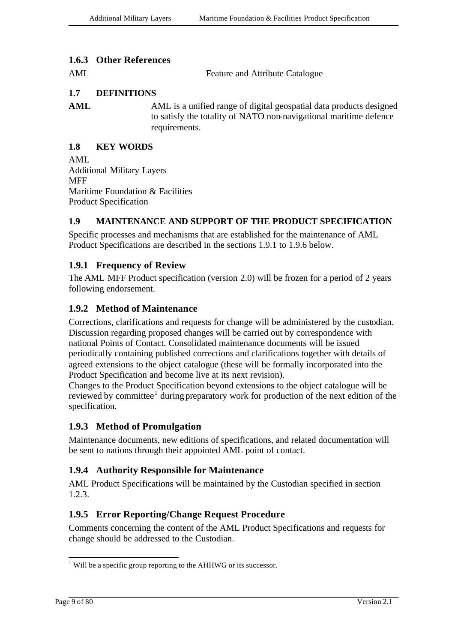#### **1.6.3 Other References**

AML Feature and Attribute Catalogue

### **1.7 DEFINITIONS**

AML AML is a unified range of digital geospatial data products designed to satisfy the totality of NATO non-navigational maritime defence requirements.

#### **1.8 KEY WORDS**

AML Additional Military Layers **MFF** Maritime Foundation & Facilities Product Specification

#### **1.9 MAINTENANCE AND SUPPORT OF THE PRODUCT SPECIFICATION**

Specific processes and mechanisms that are established for the maintenance of AML Product Specifications are described in the sections 1.9.1 to 1.9.6 below.

### **1.9.1 Frequency of Review**

The AML MFF Product specification (version 2.0) will be frozen for a period of 2 years following endorsement.

#### **1.9.2 Method of Maintenance**

Corrections, clarifications and requests for change will be administered by the custodian. Discussion regarding proposed changes will be carried out by correspondence with national Points of Contact. Consolidated maintenance documents will be issued periodically containing published corrections and clarifications together with details of agreed extensions to the object catalogue (these will be formally incorporated into the Product Specification and become live at its next revision).

Changes to the Product Specification beyond extensions to the object catalogue will be reviewed by committee<sup>1</sup> during preparatory work for production of the next edition of the specification.

#### **1.9.3 Method of Promulgation**

Maintenance documents, new editions of specifications, and related documentation will be sent to nations through their appointed AML point of contact.

#### **1.9.4 Authority Responsible for Maintenance**

AML Product Specifications will be maintained by the Custodian specified in section 1.2.3.

#### **1.9.5 Error Reporting/Change Request Procedure**

Comments concerning the content of the AML Product Specifications and requests for change should be addressed to the Custodian.

l

 $<sup>1</sup>$  Will be a specific group reporting to the AHHWG or its successor.</sup>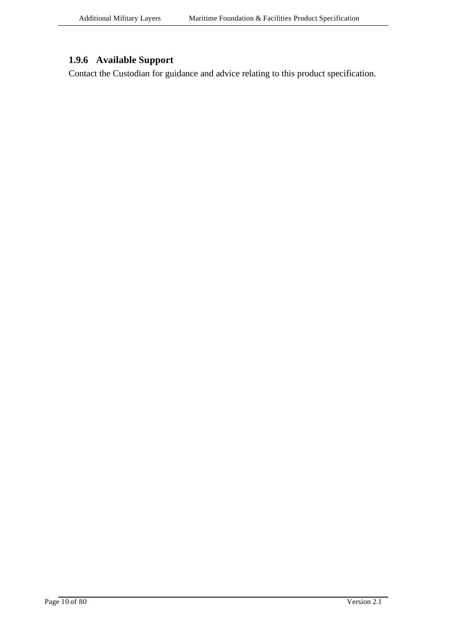# **1.9.6 Available Support**

Contact the Custodian for guidance and advice relating to this product specification.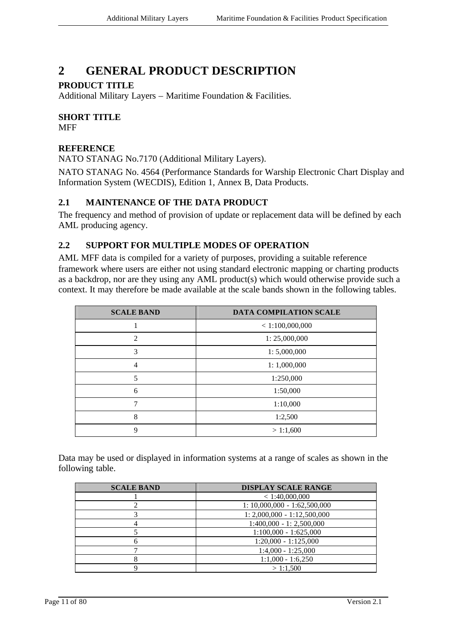# **2 GENERAL PRODUCT DESCRIPTION**

## **PRODUCT TITLE**

Additional Military Layers – Maritime Foundation & Facilities.

# **SHORT TITLE**

**MFF** 

#### **REFERENCE**

NATO STANAG No.7170 (Additional Military Layers).

NATO STANAG No. 4564 (Performance Standards for Warship Electronic Chart Display and Information System (WECDIS), Edition 1, Annex B, Data Products.

### **2.1 MAINTENANCE OF THE DATA PRODUCT**

The frequency and method of provision of update or replacement data will be defined by each AML producing agency.

# **2.2 SUPPORT FOR MULTIPLE MODES OF OPERATION**

AML MFF data is compiled for a variety of purposes, providing a suitable reference framework where users are either not using standard electronic mapping or charting products as a backdrop, nor are they using any AML product(s) which would otherwise provide such a context. It may therefore be made available at the scale bands shown in the following tables.

| <b>SCALE BAND</b> | DATA COMPILATION SCALE |
|-------------------|------------------------|
|                   | < 1:100,000,000        |
| 2                 | 1: 25,000,000          |
| 3                 | 1: 5,000,000           |
| 4                 | 1:1,000,000            |
| 5                 | 1:250,000              |
| 6                 | 1:50,000               |
| 7                 | 1:10,000               |
| 8                 | 1:2,500                |
| 9                 | > 1:1,600              |

Data may be used or displayed in information systems at a range of scales as shown in the following table.

| <b>SCALE BAND</b> | <b>DISPLAY SCALE RANGE</b>     |
|-------------------|--------------------------------|
|                   | < 1:40,000,000                 |
|                   | $1: 10,000,000 - 1:62,500,000$ |
|                   | $1: 2,000,000 - 1:12,500,000$  |
|                   | $1:400,000 - 1:2,500,000$      |
|                   | $1:100,000 - 1:625,000$        |
|                   | $1:20,000 - 1:125,000$         |
|                   | $1:4,000 - 1:25,000$           |
|                   | $1:1,000 - 1:6,250$            |
|                   | >1:1.500                       |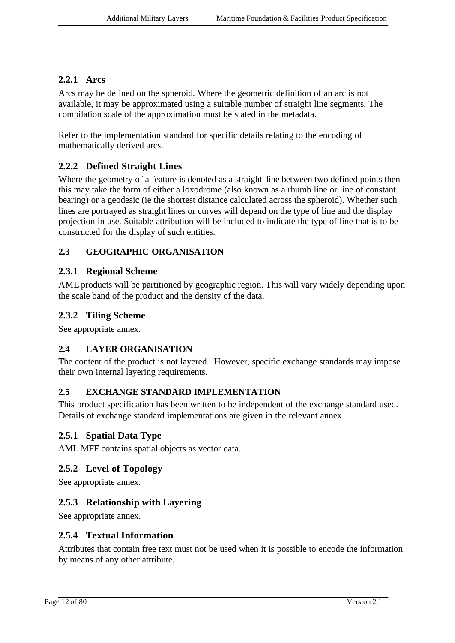#### **2.2.1 Arcs**

Arcs may be defined on the spheroid. Where the geometric definition of an arc is not available, it may be approximated using a suitable number of straight line segments. The compilation scale of the approximation must be stated in the metadata.

Refer to the implementation standard for specific details relating to the encoding of mathematically derived arcs.

# **2.2.2 Defined Straight Lines**

Where the geometry of a feature is denoted as a straight-line between two defined points then this may take the form of either a loxodrome (also known as a rhumb line or line of constant bearing) or a geodesic (ie the shortest distance calculated across the spheroid). Whether such lines are portrayed as straight lines or curves will depend on the type of line and the display projection in use. Suitable attribution will be included to indicate the type of line that is to be constructed for the display of such entities.

# **2.3 GEOGRAPHIC ORGANISATION**

#### **2.3.1 Regional Scheme**

AML products will be partitioned by geographic region. This will vary widely depending upon the scale band of the product and the density of the data.

### **2.3.2 Tiling Scheme**

See appropriate annex.

#### **2.4 LAYER ORGANISATION**

The content of the product is not layered. However, specific exchange standards may impose their own internal layering requirements.

#### **2.5 EXCHANGE STANDARD IMPLEMENTATION**

This product specification has been written to be independent of the exchange standard used. Details of exchange standard implementations are given in the relevant annex.

#### **2.5.1 Spatial Data Type**

AML MFF contains spatial objects as vector data.

#### **2.5.2 Level of Topology**

See appropriate annex.

# **2.5.3 Relationship with Layering**

See appropriate annex.

#### **2.5.4 Textual Information**

Attributes that contain free text must not be used when it is possible to encode the information by means of any other attribute.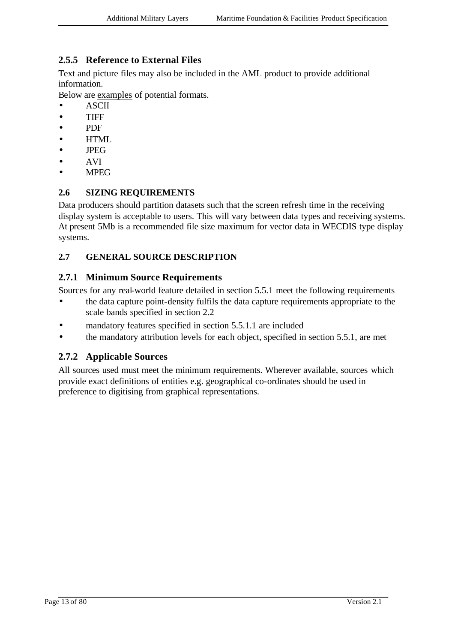# **2.5.5 Reference to External Files**

Text and picture files may also be included in the AML product to provide additional information.

Below are examples of potential formats.

- ASCII
- TIFF
- PDF
- HTML
- JPEG
- AVI
- MPEG

### **2.6 SIZING REQUIREMENTS**

Data producers should partition datasets such that the screen refresh time in the receiving display system is acceptable to users. This will vary between data types and receiving systems. At present 5Mb is a recommended file size maximum for vector data in WECDIS type display systems.

## **2.7 GENERAL SOURCE DESCRIPTION**

#### **2.7.1 Minimum Source Requirements**

Sources for any real-world feature detailed in section 5.5.1 meet the following requirements

- the data capture point-density fulfils the data capture requirements appropriate to the scale bands specified in section 2.2
- mandatory features specified in section 5.5.1.1 are included
- the mandatory attribution levels for each object, specified in section 5.5.1, are met

# **2.7.2 Applicable Sources**

All sources used must meet the minimum requirements. Wherever available, sources which provide exact definitions of entities e.g. geographical co-ordinates should be used in preference to digitising from graphical representations.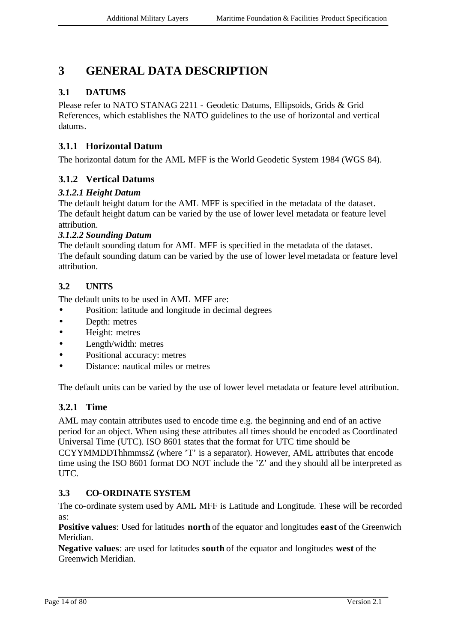# **3 GENERAL DATA DESCRIPTION**

# **3.1 DATUMS**

Please refer to NATO STANAG 2211 - Geodetic Datums, Ellipsoids, Grids & Grid References, which establishes the NATO guidelines to the use of horizontal and vertical datums.

# **3.1.1 Horizontal Datum**

The horizontal datum for the AML MFF is the World Geodetic System 1984 (WGS 84).

# **3.1.2 Vertical Datums**

### *3.1.2.1 Height Datum*

The default height datum for the AML MFF is specified in the metadata of the dataset. The default height datum can be varied by the use of lower level metadata or feature level attribution.

#### *3.1.2.2 Sounding Datum*

The default sounding datum for AML MFF is specified in the metadata of the dataset. The default sounding datum can be varied by the use of lower level metadata or feature level attribution.

# **3.2 UNITS**

The default units to be used in AML MFF are:

- Position: latitude and longitude in decimal degrees
- Depth: metres
- Height: metres
- Length/width: metres
- Positional accuracy: metres
- Distance: nautical miles or metres

The default units can be varied by the use of lower level metadata or feature level attribution.

# **3.2.1 Time**

AML may contain attributes used to encode time e.g. the beginning and end of an active period for an object. When using these attributes all times should be encoded as Coordinated Universal Time (UTC). ISO 8601 states that the format for UTC time should be CCYYMMDDThhmmssZ (where 'T' is a separator). However, AML attributes that encode time using the ISO 8601 format DO NOT include the 'Z' and they should all be interpreted as UTC.

#### **3.3 CO-ORDINATE SYSTEM**

The co-ordinate system used by AML MFF is Latitude and Longitude. These will be recorded as:

**Positive values**: Used for latitudes **north** of the equator and longitudes **east** of the Greenwich Meridian.

**Negative values**: are used for latitudes **south** of the equator and longitudes **west** of the Greenwich Meridian.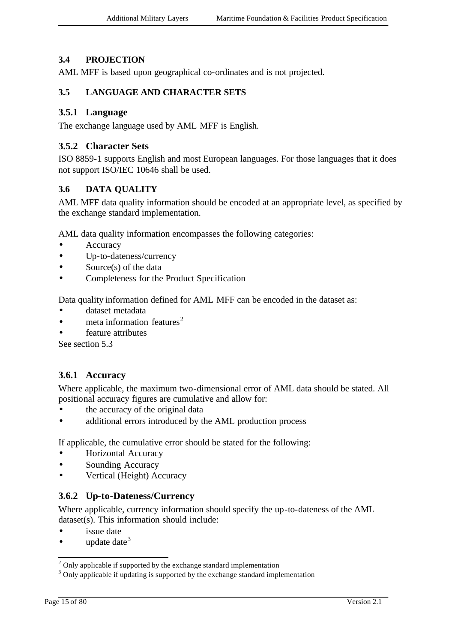### **3.4 PROJECTION**

AML MFF is based upon geographical co-ordinates and is not projected.

#### **3.5 LANGUAGE AND CHARACTER SETS**

#### **3.5.1 Language**

The exchange language used by AML MFF is English.

#### **3.5.2 Character Sets**

ISO 8859-1 supports English and most European languages. For those languages that it does not support ISO/IEC 10646 shall be used.

#### **3.6 DATA QUALITY**

AML MFF data quality information should be encoded at an appropriate level, as specified by the exchange standard implementation.

AML data quality information encompasses the following categories:

- **Accuracy**
- Up-to-dateness/currency
- Source(s) of the data
- Completeness for the Product Specification

Data quality information defined for AML MFF can be encoded in the dataset as:

- dataset metadata
- meta information features<sup>2</sup>
- feature attributes

See section 5.3

#### **3.6.1 Accuracy**

Where applicable, the maximum two-dimensional error of AML data should be stated. All positional accuracy figures are cumulative and allow for:

- the accuracy of the original data
- additional errors introduced by the AML production process

If applicable, the cumulative error should be stated for the following:

- Horizontal Accuracy
- Sounding Accuracy
- Vertical (Height) Accuracy

#### **3.6.2 Up-to-Dateness/Currency**

Where applicable, currency information should specify the up-to-dateness of the AML dataset(s). This information should include:

- issue date
- update date  $3$

l

 $2$  Only applicable if supported by the exchange standard implementation

<sup>&</sup>lt;sup>3</sup> Only applicable if updating is supported by the exchange standard implementation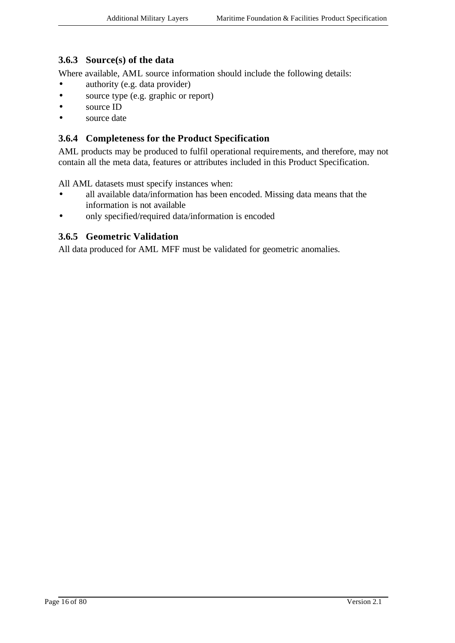# **3.6.3 Source(s) of the data**

Where available, AML source information should include the following details:

- authority (e.g. data provider)
- source type (e.g. graphic or report)
- source ID
- source date

#### **3.6.4 Completeness for the Product Specification**

AML products may be produced to fulfil operational requirements, and therefore, may not contain all the meta data, features or attributes included in this Product Specification.

All AML datasets must specify instances when:

- all available data/information has been encoded. Missing data means that the information is not available
- only specified/required data/information is encoded

#### **3.6.5 Geometric Validation**

All data produced for AML MFF must be validated for geometric anomalies.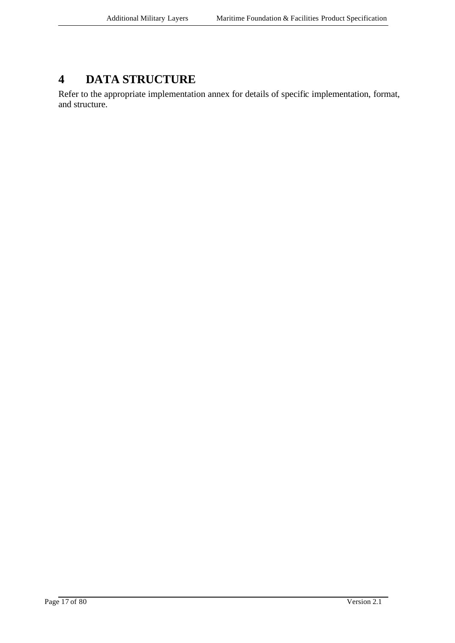# **4 DATA STRUCTURE**

Refer to the appropriate implementation annex for details of specific implementation, format, and structure.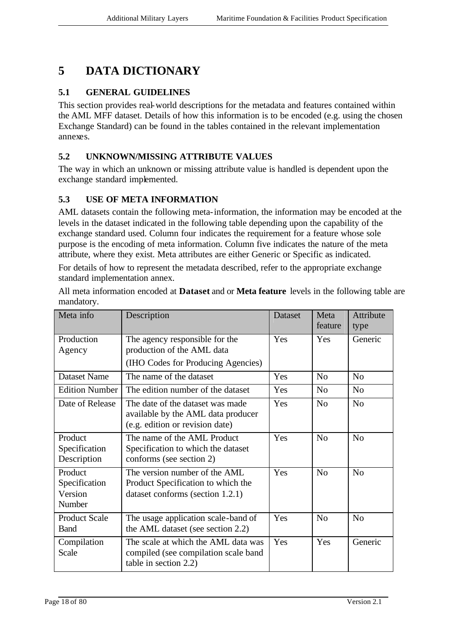# **5 DATA DICTIONARY**

# **5.1 GENERAL GUIDELINES**

This section provides real-world descriptions for the metadata and features contained within the AML MFF dataset. Details of how this information is to be encoded (e.g. using the chosen Exchange Standard) can be found in the tables contained in the relevant implementation annexes.

# **5.2 UNKNOWN/MISSING ATTRIBUTE VALUES**

The way in which an unknown or missing attribute value is handled is dependent upon the exchange standard implemented.

# **5.3 USE OF META INFORMATION**

AML datasets contain the following meta-information, the information may be encoded at the levels in the dataset indicated in the following table depending upon the capability of the exchange standard used. Column four indicates the requirement for a feature whose sole purpose is the encoding of meta information. Column five indicates the nature of the meta attribute, where they exist. Meta attributes are either Generic or Specific as indicated.

For details of how to represent the metadata described, refer to the appropriate exchange standard implementation annex.

All meta information encoded at **Dataset** and or **Meta feature** levels in the following table are mandatory.

| Meta info                                     | Description                                                                                               | Dataset | Meta<br>feature | Attribute<br>type |
|-----------------------------------------------|-----------------------------------------------------------------------------------------------------------|---------|-----------------|-------------------|
| Production<br>Agency                          | The agency responsible for the<br>production of the AML data<br>(IHO Codes for Producing Agencies)        | Yes     | <b>Yes</b>      | Generic           |
| <b>Dataset Name</b>                           | The name of the dataset                                                                                   | Yes     | N <sub>o</sub>  | No                |
| Edition Number                                | The edition number of the dataset                                                                         | Yes     | N <sub>o</sub>  | N <sub>o</sub>    |
| Date of Release                               | The date of the dataset was made<br>available by the AML data producer<br>(e.g. edition or revision date) | Yes     | No              | N <sub>o</sub>    |
| Product<br>Specification<br>Description       | The name of the AML Product<br>Specification to which the dataset<br>conforms (see section 2)             | Yes     | N <sub>o</sub>  | N <sub>o</sub>    |
| Product<br>Specification<br>Version<br>Number | The version number of the AML<br>Product Specification to which the<br>dataset conforms (section 1.2.1)   | Yes     | N <sub>o</sub>  | N <sub>o</sub>    |
| <b>Product Scale</b><br><b>Band</b>           | The usage application scale-band of<br>the AML dataset (see section 2.2)                                  | Yes     | N <sub>o</sub>  | N <sub>0</sub>    |
| Compilation<br>Scale                          | The scale at which the AML data was<br>compiled (see compilation scale band<br>table in section 2.2)      | Yes     | Yes             | Generic           |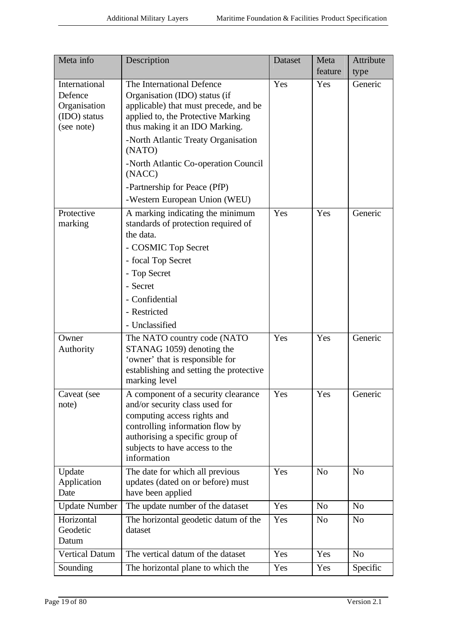| Meta info                                                              | Description                                                                                                                                                                                                                                                                                                                                     | Dataset | Meta<br>feature | Attribute<br>type |
|------------------------------------------------------------------------|-------------------------------------------------------------------------------------------------------------------------------------------------------------------------------------------------------------------------------------------------------------------------------------------------------------------------------------------------|---------|-----------------|-------------------|
| International<br>Defence<br>Organisation<br>(IDO) status<br>(see note) | The International Defence<br>Organisation (IDO) status (if<br>applicable) that must precede, and be<br>applied to, the Protective Marking<br>thus making it an IDO Marking.<br>-North Atlantic Treaty Organisation<br>(NATO)<br>-North Atlantic Co-operation Council<br>(NACC)<br>-Partnership for Peace (PfP)<br>-Western European Union (WEU) | Yes     | Yes             | Generic           |
| Protective<br>marking                                                  | A marking indicating the minimum<br>standards of protection required of<br>the data.<br>- COSMIC Top Secret<br>- focal Top Secret<br>- Top Secret<br>- Secret<br>- Confidential<br>- Restricted<br>- Unclassified                                                                                                                               | Yes     | Yes             | Generic           |
| Owner<br>Authority                                                     | The NATO country code (NATO<br>STANAG 1059) denoting the<br>'owner' that is responsible for<br>establishing and setting the protective<br>marking level                                                                                                                                                                                         | Yes     | Yes             | Generic           |
| Caveat (see<br>note)                                                   | A component of a security clearance<br>and/or security class used for<br>computing access rights and<br>controlling information flow by<br>authorising a specific group of<br>subjects to have access to the<br>information                                                                                                                     | Yes     | Yes             | Generic           |
| Update<br>Application<br>Date                                          | The date for which all previous<br>updates (dated on or before) must<br>have been applied                                                                                                                                                                                                                                                       | Yes     | N <sub>o</sub>  | N <sub>0</sub>    |
| <b>Update Number</b>                                                   | The update number of the dataset                                                                                                                                                                                                                                                                                                                | Yes     | No              | N <sub>o</sub>    |
| Horizontal<br>Geodetic<br>Datum                                        | The horizontal geodetic datum of the<br>dataset                                                                                                                                                                                                                                                                                                 | Yes     | N <sub>o</sub>  | N <sub>o</sub>    |
| <b>Vertical Datum</b>                                                  | The vertical datum of the dataset                                                                                                                                                                                                                                                                                                               | Yes     | Yes             | N <sub>o</sub>    |
| Sounding                                                               | The horizontal plane to which the                                                                                                                                                                                                                                                                                                               | Yes     | Yes             | Specific          |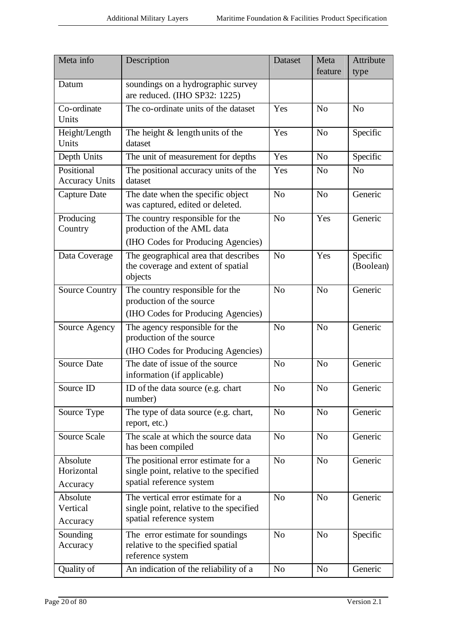| Meta info                           | Description                                                                                                | <b>Dataset</b> | Meta<br>feature | Attribute<br>type     |
|-------------------------------------|------------------------------------------------------------------------------------------------------------|----------------|-----------------|-----------------------|
| Datum                               | soundings on a hydrographic survey<br>are reduced. (IHO SP32: 1225)                                        |                |                 |                       |
| Co-ordinate<br>Units                | The co-ordinate units of the dataset                                                                       | Yes            | N <sub>o</sub>  | N <sub>o</sub>        |
| Height/Length<br>Units              | The height & length units of the<br>dataset                                                                | Yes            | N <sub>o</sub>  | Specific              |
| Depth Units                         | The unit of measurement for depths                                                                         | Yes            | No              | Specific              |
| Positional<br><b>Accuracy Units</b> | The positional accuracy units of the<br>dataset                                                            | Yes            | No              | N <sub>o</sub>        |
| <b>Capture Date</b>                 | The date when the specific object<br>was captured, edited or deleted.                                      | N <sub>o</sub> | No              | Generic               |
| Producing<br>Country                | The country responsible for the<br>production of the AML data<br>(IHO Codes for Producing Agencies)        | N <sub>0</sub> | Yes             | Generic               |
| Data Coverage                       | The geographical area that describes<br>the coverage and extent of spatial<br>objects                      | N <sub>o</sub> | Yes             | Specific<br>(Boolean) |
| <b>Source Country</b>               | The country responsible for the<br>production of the source<br>(IHO Codes for Producing Agencies)          | N <sub>o</sub> | N <sub>o</sub>  | Generic               |
| Source Agency                       | The agency responsible for the<br>production of the source<br>(IHO Codes for Producing Agencies)           | N <sub>o</sub> | N <sub>o</sub>  | Generic               |
| <b>Source Date</b>                  | The date of issue of the source<br>information (if applicable)                                             | N <sub>o</sub> | N <sub>o</sub>  | Generic               |
| Source ID                           | ID of the data source (e.g. chart<br>number)                                                               | N <sub>o</sub> | N <sub>o</sub>  | Generic               |
| Source Type                         | The type of data source (e.g. chart,<br>report, etc.)                                                      | N <sub>o</sub> | N <sub>o</sub>  | Generic               |
| Source Scale                        | The scale at which the source data<br>has been compiled                                                    | No             | N <sub>o</sub>  | Generic               |
| Absolute<br>Horizontal<br>Accuracy  | The positional error estimate for a<br>single point, relative to the specified<br>spatial reference system | N <sub>o</sub> | N <sub>o</sub>  | Generic               |
| Absolute<br>Vertical<br>Accuracy    | The vertical error estimate for a<br>single point, relative to the specified<br>spatial reference system   | N <sub>o</sub> | N <sub>o</sub>  | Generic               |
| Sounding<br>Accuracy                | The error estimate for soundings<br>relative to the specified spatial<br>reference system                  | N <sub>0</sub> | No              | Specific              |
| Quality of                          | An indication of the reliability of a                                                                      | N <sub>o</sub> | N <sub>o</sub>  | Generic               |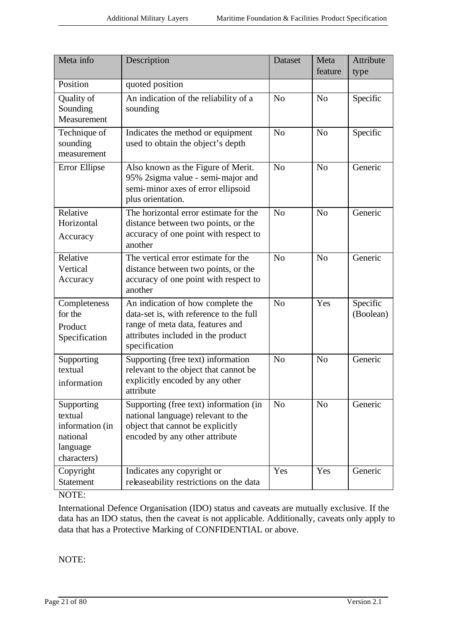| Meta info                                                                       | Description                                                                                                                                                             | Dataset        | Meta           | Attribute             |
|---------------------------------------------------------------------------------|-------------------------------------------------------------------------------------------------------------------------------------------------------------------------|----------------|----------------|-----------------------|
|                                                                                 |                                                                                                                                                                         |                | feature        | type                  |
| Position                                                                        | quoted position                                                                                                                                                         |                |                |                       |
| Quality of<br>Sounding<br>Measurement                                           | An indication of the reliability of a<br>sounding                                                                                                                       | N <sub>o</sub> | N <sub>o</sub> | Specific              |
| Technique of<br>sounding<br>measurement                                         | Indicates the method or equipment<br>used to obtain the object's depth                                                                                                  | N <sub>o</sub> | N <sub>o</sub> | Specific              |
| Error Ellipse                                                                   | Also known as the Figure of Merit.<br>95% 2sigma value - semi-major and<br>semi-minor axes of error ellipsoid<br>plus orientation.                                      | N <sub>o</sub> | N <sub>o</sub> | Generic               |
| Relative<br>Horizontal<br>Accuracy                                              | The horizontal error estimate for the<br>distance between two points, or the<br>accuracy of one point with respect to<br>another                                        | N <sub>o</sub> | N <sub>o</sub> | Generic               |
| Relative<br>Vertical<br>Accuracy                                                | The vertical error estimate for the<br>distance between two points, or the<br>accuracy of one point with respect to<br>another                                          | N <sub>o</sub> | N <sub>o</sub> | Generic               |
| Completeness<br>for the<br>Product<br>Specification                             | An indication of how complete the<br>data-set is, with reference to the full<br>range of meta data, features and<br>attributes included in the product<br>specification | N <sub>o</sub> | Yes            | Specific<br>(Boolean) |
| Supporting<br>textual<br>information                                            | Supporting (free text) information<br>relevant to the object that cannot be<br>explicitly encoded by any other<br>attribute                                             | N <sub>o</sub> | N <sub>o</sub> | Generic               |
| Supporting<br>textual<br>information (in<br>national<br>language<br>characters) | Supporting (free text) information (in<br>national language) relevant to the<br>object that cannot be explicitly<br>encoded by any other attribute                      | N <sub>o</sub> | N <sub>o</sub> | Generic               |
| Copyright<br><b>Statement</b>                                                   | Indicates any copyright or<br>releaseability restrictions on the data                                                                                                   | Yes            | Yes            | Generic               |

# NOTE:

International Defence Organisation (IDO) status and caveats are mutually exclusive. If the data has an IDO status, then the caveat is not applicable. Additionally, caveats only apply to data that has a Protective Marking of CONFIDENTIAL or above.

NOTE: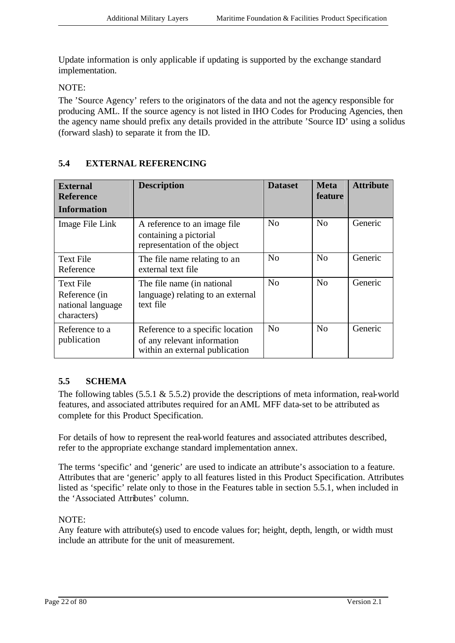Update information is only applicable if updating is supported by the exchange standard implementation.

NOTE:

The 'Source Agency' refers to the originators of the data and not the agency responsible for producing AML. If the source agency is not listed in IHO Codes for Producing Agencies, then the agency name should prefix any details provided in the attribute 'Source ID' using a solidus (forward slash) to separate it from the ID.

| <b>External</b><br><b>Reference</b><br><b>Information</b>             | <b>Description</b>                                                                                | <b>Dataset</b> | <b>Meta</b><br><b>feature</b> | <b>Attribute</b> |
|-----------------------------------------------------------------------|---------------------------------------------------------------------------------------------------|----------------|-------------------------------|------------------|
| Image File Link                                                       | A reference to an image file.<br>containing a pictorial<br>representation of the object           | N <sub>o</sub> | No                            | Generic          |
| <b>Text File</b><br>Reference                                         | The file name relating to an<br>external text file                                                | N <sub>0</sub> | No                            | Generic          |
| <b>Text File</b><br>Reference (in<br>national language<br>characters) | The file name (in national<br>language) relating to an external<br>text file                      | No             | No                            | Generic          |
| Reference to a<br>publication                                         | Reference to a specific location<br>of any relevant information<br>within an external publication | N <sub>0</sub> | N <sub>o</sub>                | Generic          |

# **5.4 EXTERNAL REFERENCING**

# **5.5 SCHEMA**

The following tables  $(5.5.1 \& 5.5.2)$  provide the descriptions of meta information, real-world features, and associated attributes required for an AML MFF data-set to be attributed as complete for this Product Specification.

For details of how to represent the real-world features and associated attributes described, refer to the appropriate exchange standard implementation annex.

The terms 'specific' and 'generic' are used to indicate an attribute's association to a feature. Attributes that are 'generic' apply to all features listed in this Product Specification. Attributes listed as 'specific' relate only to those in the Features table in section 5.5.1, when included in the 'Associated Attributes' column.

NOTE:

Any feature with attribute(s) used to encode values for; height, depth, length, or width must include an attribute for the unit of measurement.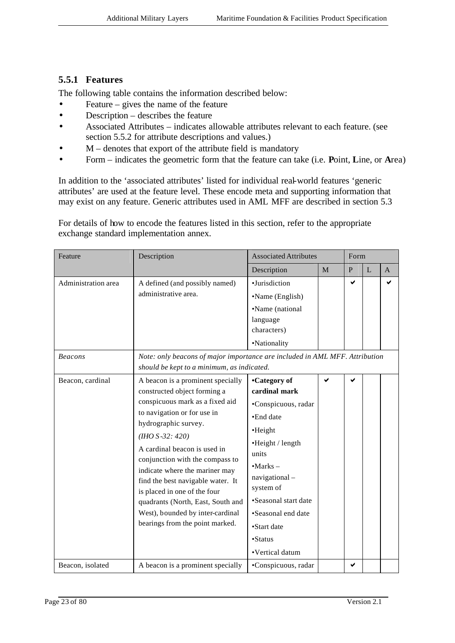## **5.5.1 Features**

The following table contains the information described below:

- Feature gives the name of the feature
- Description describes the feature
- Associated Attributes indicates allowable attributes relevant to each feature. (see section 5.5.2 for attribute descriptions and values.)
- $M$  denotes that export of the attribute field is mandatory
- Form indicates the geometric form that the feature can take (i.e. **P**oint, **L**ine, or **A**rea)

In addition to the 'associated attributes' listed for individual real-world features 'generic attributes' are used at the feature level. These encode meta and supporting information that may exist on any feature. Generic attributes used in AML MFF are described in section 5.3

For details of how to encode the features listed in this section, refer to the appropriate exchange standard implementation annex.

| Feature             | Description                                                                                                                                                                                                                                                                                                                                                                                                                                                              | <b>Associated Attributes</b>                                                                                                                                                                                                                     |              | Form           |                |              |
|---------------------|--------------------------------------------------------------------------------------------------------------------------------------------------------------------------------------------------------------------------------------------------------------------------------------------------------------------------------------------------------------------------------------------------------------------------------------------------------------------------|--------------------------------------------------------------------------------------------------------------------------------------------------------------------------------------------------------------------------------------------------|--------------|----------------|----------------|--------------|
|                     |                                                                                                                                                                                                                                                                                                                                                                                                                                                                          | Description                                                                                                                                                                                                                                      | $\mathbf{M}$ | $\overline{P}$ | $\overline{L}$ | $\mathbf{A}$ |
| Administration area | A defined (and possibly named)<br>administrative area.                                                                                                                                                                                                                                                                                                                                                                                                                   | ·Jurisdiction<br>•Name (English)<br>•Name (national<br>language<br>characters)<br>•Nationality                                                                                                                                                   |              | ✔              |                | ✔            |
| <b>Beacons</b>      | Note: only beacons of major importance are included in AML MFF. Attribution<br>should be kept to a minimum, as indicated.                                                                                                                                                                                                                                                                                                                                                |                                                                                                                                                                                                                                                  |              |                |                |              |
| Beacon, cardinal    | A beacon is a prominent specially<br>constructed object forming a<br>conspicuous mark as a fixed aid<br>to navigation or for use in<br>hydrographic survey.<br>$(HHO S - 32: 420)$<br>A cardinal beacon is used in<br>conjunction with the compass to<br>indicate where the mariner may<br>find the best navigable water. It<br>is placed in one of the four<br>quadrants (North, East, South and<br>West), bounded by inter-cardinal<br>bearings from the point marked. | •Category of<br>cardinal mark<br>·Conspicuous, radar<br>•End date<br>•Height<br>•Height / length<br>units<br>$-Marks -$<br>navigational-<br>system of<br>•Seasonal start date<br>•Seasonal end date<br>•Start date<br>•Status<br>•Vertical datum | ✔            | ✔              |                |              |
| Beacon, isolated    | A beacon is a prominent specially                                                                                                                                                                                                                                                                                                                                                                                                                                        | •Conspicuous, radar                                                                                                                                                                                                                              |              | ✔              |                |              |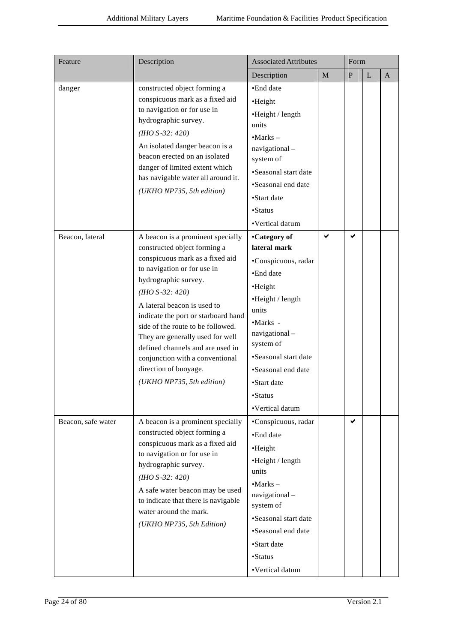| Feature            | Description                                                                                                                                                                                                                                                                                                                                                                                                                                                    | <b>Associated Attributes</b>                                                                                                                                                                                                                                 |              | Form         |   |              |
|--------------------|----------------------------------------------------------------------------------------------------------------------------------------------------------------------------------------------------------------------------------------------------------------------------------------------------------------------------------------------------------------------------------------------------------------------------------------------------------------|--------------------------------------------------------------------------------------------------------------------------------------------------------------------------------------------------------------------------------------------------------------|--------------|--------------|---|--------------|
|                    |                                                                                                                                                                                                                                                                                                                                                                                                                                                                | Description                                                                                                                                                                                                                                                  | $\mathbf{M}$ | $\mathbf{P}$ | L | $\mathbf{A}$ |
| danger             | constructed object forming a<br>conspicuous mark as a fixed aid<br>to navigation or for use in<br>hydrographic survey.<br>$(HHO S - 32: 420)$<br>An isolated danger beacon is a<br>beacon erected on an isolated<br>danger of limited extent which<br>has navigable water all around it.<br>(UKHO NP735, 5th edition)                                                                                                                                          | •End date<br>•Height<br>•Height / length<br>units<br>$\bullet$ Marks $-$<br>navigational-<br>system of<br>•Seasonal start date<br>•Seasonal end date<br>•Start date<br>•Status<br>•Vertical datum                                                            |              |              |   |              |
| Beacon, lateral    | A beacon is a prominent specially<br>constructed object forming a<br>conspicuous mark as a fixed aid<br>to navigation or for use in<br>hydrographic survey.<br>$(HHO S - 32: 420)$<br>A lateral beacon is used to<br>indicate the port or starboard hand<br>side of the route to be followed.<br>They are generally used for well<br>defined channels and are used in<br>conjunction with a conventional<br>direction of buoyage.<br>(UKHO NP735, 5th edition) | •Category of<br>lateral mark<br>·Conspicuous, radar<br>·End date<br>•Height<br>•Height / length<br>units<br>$-Marks -$<br>navigational-<br>system of<br>•Seasonal start date<br>•Seasonal end date<br>•Start date<br>$\mbox{\bf -}Status$<br>•Vertical datum | ✔            | ✔            |   |              |
| Beacon, safe water | A beacon is a prominent specially<br>constructed object forming a<br>conspicuous mark as a fixed aid<br>to navigation or for use in<br>hydrographic survey.<br>$(HHO S - 32: 420)$<br>A safe water beacon may be used<br>to indicate that there is navigable<br>water around the mark.<br>(UKHO NP735, 5th Edition)                                                                                                                                            | •Conspicuous, radar<br>•End date<br>•Height<br>$\cdot$ Height / length<br>units<br>$-Marks -$<br>navigational-<br>system of<br>•Seasonal start date<br>•Seasonal end date<br>•Start date<br>• <b>Status</b><br>•Vertical datum                               |              | ✔            |   |              |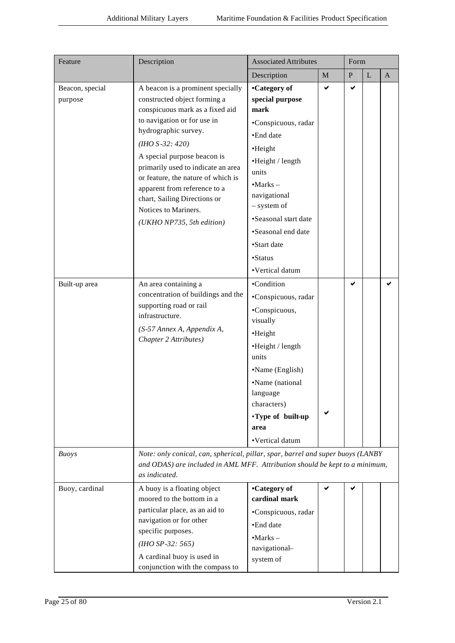| Feature                    | Description                                                                                                                                                                                                                                                                                                                                                                                                        | <b>Associated Attributes</b>                                                                                                                                                                                                                                |   | Form      |   |             |
|----------------------------|--------------------------------------------------------------------------------------------------------------------------------------------------------------------------------------------------------------------------------------------------------------------------------------------------------------------------------------------------------------------------------------------------------------------|-------------------------------------------------------------------------------------------------------------------------------------------------------------------------------------------------------------------------------------------------------------|---|-----------|---|-------------|
|                            |                                                                                                                                                                                                                                                                                                                                                                                                                    | Description                                                                                                                                                                                                                                                 | M | ${\bf P}$ | L | $\mathbf A$ |
| Beacon, special<br>purpose | A beacon is a prominent specially<br>constructed object forming a<br>conspicuous mark as a fixed aid<br>to navigation or for use in<br>hydrographic survey.<br>$(HHO S - 32: 420)$<br>A special purpose beacon is<br>primarily used to indicate an area<br>or feature, the nature of which is<br>apparent from reference to a<br>chart, Sailing Directions or<br>Notices to Mariners.<br>(UKHO NP735, 5th edition) | •Category of<br>special purpose<br>mark<br>•Conspicuous, radar<br>•End date<br>•Height<br>•Height / length<br>units<br>$-Marks -$<br>navigational<br>- system of<br>•Seasonal start date<br>•Seasonal end date<br>•Start date<br>•Status<br>•Vertical datum | ✔ | ✔         |   |             |
| Built-up area              | An area containing a<br>concentration of buildings and the<br>supporting road or rail<br>infrastructure.<br>(S-57 Annex A, Appendix A,<br>Chapter 2 Attributes)                                                                                                                                                                                                                                                    | •Condition<br>•Conspicuous, radar<br>•Conspicuous,<br>visually<br>•Height<br>•Height / length<br>units<br>•Name (English)<br>•Name (national<br>language<br>characters)<br>•Type of built-up<br>area<br>•Vertical datum                                     |   | ✔         |   |             |
| <b>Buoys</b>               | Note: only conical, can, spherical, pillar, spar, barrel and super buoys (LANBY<br>and ODAS) are included in AML MFF. Attribution should be kept to a minimum,<br>as indicated.                                                                                                                                                                                                                                    |                                                                                                                                                                                                                                                             |   |           |   |             |
| Buoy, cardinal             | A buoy is a floating object<br>moored to the bottom in a<br>particular place, as an aid to<br>navigation or for other<br>specific purposes.<br>$(HHO SP-32: 565)$<br>A cardinal buoy is used in<br>conjunction with the compass to                                                                                                                                                                                 | •Category of<br>cardinal mark<br>·Conspicuous, radar<br>•End date<br>$\cdot$ Marks –<br>navigational-<br>system of                                                                                                                                          | ✔ | ✔         |   |             |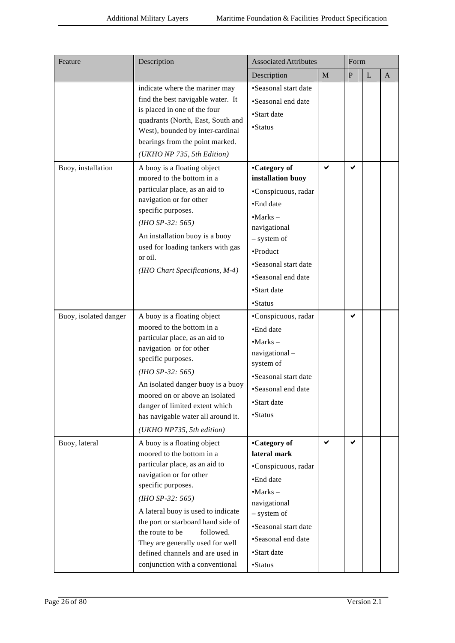| Feature               | Description                                                                                                                                                                                                                                                                                                                                                                              | <b>Associated Attributes</b>                                                                                                                                                                                   |              | Form         |             |              |
|-----------------------|------------------------------------------------------------------------------------------------------------------------------------------------------------------------------------------------------------------------------------------------------------------------------------------------------------------------------------------------------------------------------------------|----------------------------------------------------------------------------------------------------------------------------------------------------------------------------------------------------------------|--------------|--------------|-------------|--------------|
|                       |                                                                                                                                                                                                                                                                                                                                                                                          | Description                                                                                                                                                                                                    | $\mathbf{M}$ | $\mathbf{P}$ | $\mathbf L$ | $\mathbf{A}$ |
|                       | indicate where the mariner may<br>find the best navigable water. It<br>is placed in one of the four<br>quadrants (North, East, South and<br>West), bounded by inter-cardinal<br>bearings from the point marked.<br>(UKHO NP 735, 5th Edition)                                                                                                                                            | •Seasonal start date<br>•Seasonal end date<br>•Start date<br>•Status                                                                                                                                           |              |              |             |              |
| Buoy, installation    | A buoy is a floating object<br>moored to the bottom in a<br>particular place, as an aid to<br>navigation or for other<br>specific purposes.<br>$(HIO$ SP-32: 565)<br>An installation buoy is a buoy<br>used for loading tankers with gas<br>or oil.<br>(IHO Chart Specifications, M-4)                                                                                                   | •Category of<br>installation buoy<br>•Conspicuous, radar<br>•End date<br>$-Marks -$<br>navigational<br>- system of<br>•Product<br>•Seasonal start date<br>•Seasonal end date<br>•Start date<br>• <b>Status</b> | ✔            | ✔            |             |              |
| Buoy, isolated danger | A buoy is a floating object<br>moored to the bottom in a<br>particular place, as an aid to<br>navigation or for other<br>specific purposes.<br>$(HIO$ SP-32: 565)<br>An isolated danger buoy is a buoy<br>moored on or above an isolated<br>danger of limited extent which<br>has navigable water all around it.<br>(UKHO NP735, 5th edition)                                            | •Conspicuous, radar<br>•End date<br>$-Marks -$<br>navigational-<br>system of<br>•Seasonal start date<br>•Seasonal end date<br>·Start date<br>•Status                                                           |              | ✔            |             |              |
| Buoy, lateral         | A buoy is a floating object<br>moored to the bottom in a<br>particular place, as an aid to<br>navigation or for other<br>specific purposes.<br>$(HIO$ SP-32: 565)<br>A lateral buoy is used to indicate<br>the port or starboard hand side of<br>the route to be<br>followed.<br>They are generally used for well<br>defined channels and are used in<br>conjunction with a conventional | •Category of<br>lateral mark<br>•Conspicuous, radar<br>•End date<br>$-Marks -$<br>navigational<br>- system of<br>•Seasonal start date<br>•Seasonal end date<br>•Start date<br>•Status                          | ✔            | ✔            |             |              |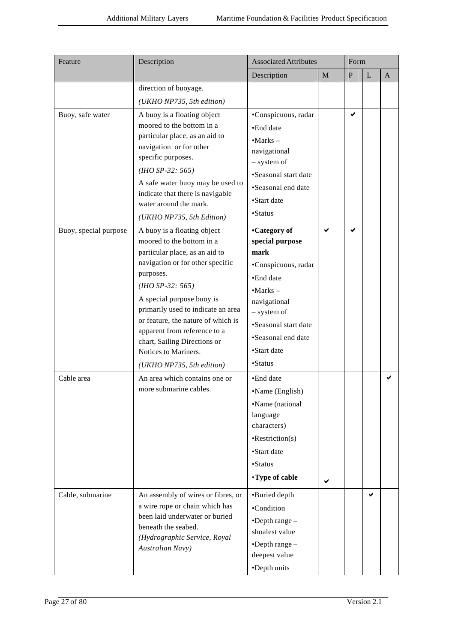| Feature               | Description                                               | <b>Associated Attributes</b> |   | Form         |              |   |
|-----------------------|-----------------------------------------------------------|------------------------------|---|--------------|--------------|---|
|                       |                                                           | Description                  | M | $\, {\bf P}$ | $\mathbf{L}$ | A |
|                       | direction of buoyage.                                     |                              |   |              |              |   |
|                       | (UKHO NP735, 5th edition)                                 |                              |   |              |              |   |
| Buoy, safe water      | A buoy is a floating object                               | •Conspicuous, radar          |   | ✔            |              |   |
|                       | moored to the bottom in a                                 | •End date                    |   |              |              |   |
|                       | particular place, as an aid to<br>navigation or for other | $-Marks -$                   |   |              |              |   |
|                       | specific purposes.                                        | navigational                 |   |              |              |   |
|                       | $(HIO$ SP-32: 565)                                        | - system of                  |   |              |              |   |
|                       | A safe water buoy may be used to                          | •Seasonal start date         |   |              |              |   |
|                       | indicate that there is navigable                          | •Seasonal end date           |   |              |              |   |
|                       | water around the mark.                                    | •Start date                  |   |              |              |   |
|                       | (UKHO NP735, 5th Edition)                                 | •Status                      |   |              |              |   |
| Buoy, special purpose | A buoy is a floating object                               | •Category of                 | ✔ | ✔            |              |   |
|                       | moored to the bottom in a                                 | special purpose              |   |              |              |   |
|                       | particular place, as an aid to                            | mark                         |   |              |              |   |
|                       | navigation or for other specific<br>purposes.             | •Conspicuous, radar          |   |              |              |   |
|                       | $(1HO SP - 32: 565)$                                      | •End date                    |   |              |              |   |
|                       | A special purpose buoy is                                 | $-Marks -$                   |   |              |              |   |
|                       | primarily used to indicate an area                        | navigational<br>- system of  |   |              |              |   |
|                       | or feature, the nature of which is                        | •Seasonal start date         |   |              |              |   |
|                       | apparent from reference to a                              | •Seasonal end date           |   |              |              |   |
|                       | chart, Sailing Directions or<br>Notices to Mariners.      | •Start date                  |   |              |              |   |
|                       | (UKHO NP735, 5th edition)                                 | •Status                      |   |              |              |   |
| Cable area            | An area which contains one or                             | •End date                    |   |              |              |   |
|                       | more submarine cables.                                    | •Name (English)              |   |              |              |   |
|                       |                                                           | •Name (national              |   |              |              |   |
|                       |                                                           | language                     |   |              |              |   |
|                       |                                                           | characters)                  |   |              |              |   |
|                       |                                                           | $\cdot$ Restriction(s)       |   |              |              |   |
|                       |                                                           | •Start date                  |   |              |              |   |
|                       |                                                           | •Status                      |   |              |              |   |
|                       |                                                           | •Type of cable               |   |              |              |   |
| Cable, submarine      | An assembly of wires or fibres, or                        | •Buried depth                |   |              | ✔            |   |
|                       | a wire rope or chain which has                            | •Condition                   |   |              |              |   |
|                       | been laid underwater or buried                            | $\bullet$ Depth range $-$    |   |              |              |   |
|                       | beneath the seabed.<br>(Hydrographic Service, Royal       | shoalest value               |   |              |              |   |
|                       | Australian Navy)                                          | $\bullet$ Depth range $-$    |   |              |              |   |
|                       |                                                           | deepest value                |   |              |              |   |
|                       |                                                           | •Depth units                 |   |              |              |   |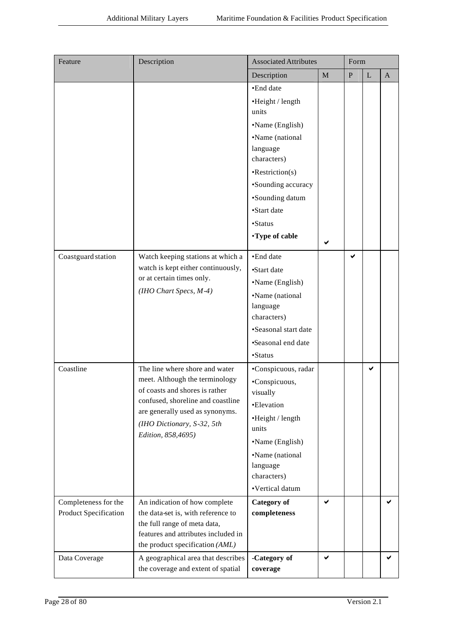| Feature                                              | Description                                                                                                                                                                                                                    | <b>Associated Attributes</b>                                                                                                                                                                                                    |             | Form      |             |              |
|------------------------------------------------------|--------------------------------------------------------------------------------------------------------------------------------------------------------------------------------------------------------------------------------|---------------------------------------------------------------------------------------------------------------------------------------------------------------------------------------------------------------------------------|-------------|-----------|-------------|--------------|
|                                                      |                                                                                                                                                                                                                                | Description                                                                                                                                                                                                                     | $\mathbf M$ | ${\bf P}$ | $\mathbf L$ | $\mathbf{A}$ |
|                                                      |                                                                                                                                                                                                                                | •End date<br>•Height / length<br>units<br>•Name (English)<br>•Name (national<br>language<br>characters)<br>$\cdot$ Restriction(s)<br>•Sounding accuracy<br>•Sounding datum<br>•Start date<br>$\bullet$ Status<br>•Type of cable | ✔           |           |             |              |
| Coastguard station                                   | Watch keeping stations at which a<br>watch is kept either continuously,<br>or at certain times only.<br>(IHO Chart Specs, M-4)                                                                                                 | •End date<br>•Start date<br>•Name (English)<br>•Name (national<br>language<br>characters)<br>•Seasonal start date<br>•Seasonal end date<br>•Status                                                                              |             | ✔         |             |              |
| Coastline                                            | The line where shore and water<br>meet. Although the terminology<br>of coasts and shores is rather<br>confused, shoreline and coastline<br>are generally used as synonyms.<br>(IHO Dictionary, S-32, 5th<br>Edition, 858,4695) | •Conspicuous, radar<br>•Conspicuous,<br>visually<br>•Elevation<br>•Height / length<br>units<br>•Name (English)<br>•Name (national<br>language<br>characters)<br>•Vertical datum                                                 |             |           | ✔           |              |
| Completeness for the<br><b>Product Specification</b> | An indication of how complete<br>the data-set is, with reference to<br>the full range of meta data,<br>features and attributes included in<br>the product specification (AML)                                                  | <b>Category</b> of<br>completeness                                                                                                                                                                                              | ✓           |           |             |              |
| Data Coverage                                        | A geographical area that describes<br>the coverage and extent of spatial                                                                                                                                                       | -Category of<br>coverage                                                                                                                                                                                                        | ✓           |           |             | ✔            |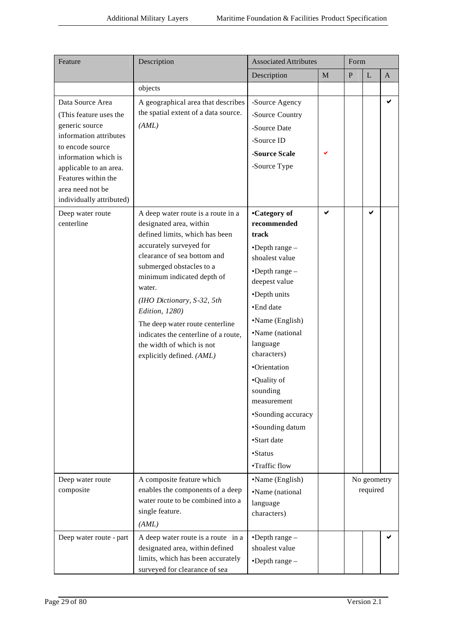| Feature                                                                                                                                                                                                                                                               | Description                                                                                                                                                                                                                                                                                                                                                          | <b>Associated Attributes</b>                                                                                                                                                                                                                                       |             | Form         |                         |              |  |
|-----------------------------------------------------------------------------------------------------------------------------------------------------------------------------------------------------------------------------------------------------------------------|----------------------------------------------------------------------------------------------------------------------------------------------------------------------------------------------------------------------------------------------------------------------------------------------------------------------------------------------------------------------|--------------------------------------------------------------------------------------------------------------------------------------------------------------------------------------------------------------------------------------------------------------------|-------------|--------------|-------------------------|--------------|--|
|                                                                                                                                                                                                                                                                       |                                                                                                                                                                                                                                                                                                                                                                      | Description                                                                                                                                                                                                                                                        | $\mathbf M$ | $\mathbf{P}$ | L                       | $\mathbf{A}$ |  |
|                                                                                                                                                                                                                                                                       | objects                                                                                                                                                                                                                                                                                                                                                              |                                                                                                                                                                                                                                                                    |             |              |                         |              |  |
| Data Source Area<br>(This feature uses the<br>generic source<br>information attributes<br>to encode source<br>information which is<br>applicable to an area.<br>Features within the<br>area need not be<br>individually attributed)<br>Deep water route<br>centerline | A geographical area that describes<br>the spatial extent of a data source.<br>(AML)<br>A deep water route is a route in a<br>designated area, within<br>defined limits, which has been<br>accurately surveyed for<br>clearance of sea bottom and<br>submerged obstacles to a<br>minimum indicated depth of<br>water.<br>(IHO Dictionary, S-32, 5th<br>Edition, 1280) | -Source Agency<br>-Source Country<br>-Source Date<br>-Source ID<br>-Source Scale<br>-Source Type<br>•Category of<br>recommended<br>track<br>$\bullet$ Depth range $-$<br>shoalest value<br>$\bullet$ Depth range $-$<br>deepest value<br>•Depth units<br>•End date | ✔<br>✔      |              | ✔                       | ✔            |  |
|                                                                                                                                                                                                                                                                       | The deep water route centerline<br>indicates the centerline of a route,<br>the width of which is not<br>explicitly defined. (AML)                                                                                                                                                                                                                                    | •Name (English)<br>•Name (national<br>language<br>characters)<br>•Orientation<br>•Quality of<br>sounding<br>measurement<br>•Sounding accuracy<br>•Sounding datum<br>•Start date<br>•Status<br>•Traffic flow                                                        |             |              |                         |              |  |
| Deep water route<br>composite                                                                                                                                                                                                                                         | A composite feature which<br>enables the components of a deep<br>water route to be combined into a<br>single feature.<br>(AML)                                                                                                                                                                                                                                       | •Name (English)<br>•Name (national<br>language<br>characters)                                                                                                                                                                                                      |             |              | No geometry<br>required |              |  |
| Deep water route - part                                                                                                                                                                                                                                               | A deep water route is a route in a<br>designated area, within defined<br>limits, which has been accurately<br>surveyed for clearance of sea                                                                                                                                                                                                                          | $\bullet$ Depth range $-$<br>shoalest value<br>$\bullet$ Depth range $-$                                                                                                                                                                                           |             |              |                         |              |  |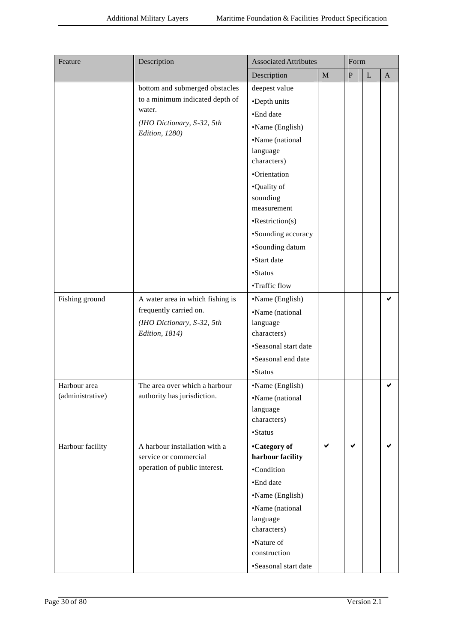| Feature          | Description                                                | <b>Associated Attributes</b> |              | Form         |              |              |
|------------------|------------------------------------------------------------|------------------------------|--------------|--------------|--------------|--------------|
|                  |                                                            | Description                  | $\mathbf M$  | ${\bf P}$    | $\mathbf{L}$ | $\mathbf{A}$ |
|                  | bottom and submerged obstacles                             | deepest value                |              |              |              |              |
|                  | to a minimum indicated depth of                            | •Depth units                 |              |              |              |              |
|                  | water.                                                     | ·End date                    |              |              |              |              |
|                  | (IHO Dictionary, S-32, 5th                                 | •Name (English)              |              |              |              |              |
|                  | Edition, 1280)                                             | •Name (national              |              |              |              |              |
|                  |                                                            | language                     |              |              |              |              |
|                  |                                                            | characters)                  |              |              |              |              |
|                  |                                                            | ·Orientation                 |              |              |              |              |
|                  |                                                            | •Quality of                  |              |              |              |              |
|                  |                                                            | sounding<br>measurement      |              |              |              |              |
|                  |                                                            | $\cdot$ Restriction(s)       |              |              |              |              |
|                  |                                                            | •Sounding accuracy           |              |              |              |              |
|                  |                                                            | •Sounding datum              |              |              |              |              |
|                  |                                                            | •Start date                  |              |              |              |              |
|                  |                                                            | •Status                      |              |              |              |              |
|                  |                                                            |                              |              |              |              |              |
|                  |                                                            | •Traffic flow                |              |              |              |              |
| Fishing ground   | A water area in which fishing is<br>frequently carried on. | •Name (English)              |              |              |              | ✔            |
|                  | (IHO Dictionary, S-32, 5th                                 | •Name (national<br>language  |              |              |              |              |
|                  | Edition, 1814)                                             | characters)                  |              |              |              |              |
|                  |                                                            | •Seasonal start date         |              |              |              |              |
|                  |                                                            | •Seasonal end date           |              |              |              |              |
|                  |                                                            | •Status                      |              |              |              |              |
| Harbour area     | The area over which a harbour                              | •Name (English)              |              |              |              | ✔            |
| (administrative) | authority has jurisdiction.                                | •Name (national              |              |              |              |              |
|                  |                                                            | language                     |              |              |              |              |
|                  |                                                            | characters)                  |              |              |              |              |
|                  |                                                            | •Status                      |              |              |              |              |
| Harbour facility | A harbour installation with a                              | •Category of                 | $\checkmark$ | $\checkmark$ |              | ✔            |
|                  | service or commercial                                      | harbour facility             |              |              |              |              |
|                  | operation of public interest.                              | •Condition                   |              |              |              |              |
|                  |                                                            | •End date                    |              |              |              |              |
|                  |                                                            | •Name (English)              |              |              |              |              |
|                  |                                                            | •Name (national              |              |              |              |              |
|                  |                                                            | language<br>characters)      |              |              |              |              |
|                  |                                                            | •Nature of                   |              |              |              |              |
|                  |                                                            | construction                 |              |              |              |              |
|                  |                                                            | •Seasonal start date         |              |              |              |              |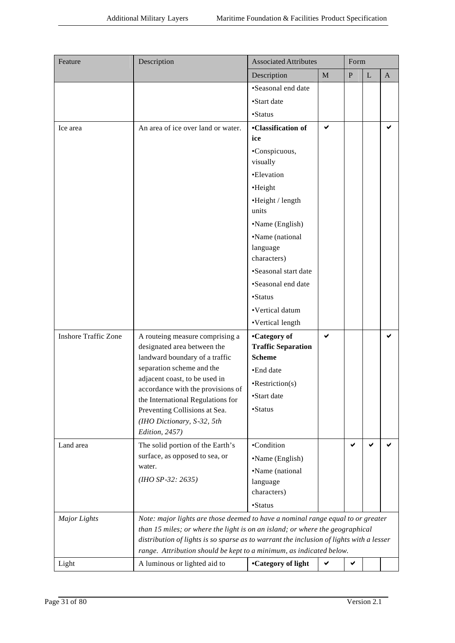| Feature                     | Description                                                                             | <b>Associated Attributes</b>               |              | Form      |             |              |  |
|-----------------------------|-----------------------------------------------------------------------------------------|--------------------------------------------|--------------|-----------|-------------|--------------|--|
|                             |                                                                                         | Description                                | $\mathbf{M}$ | ${\bf P}$ | $\mathbf L$ | $\mathbf{A}$ |  |
|                             |                                                                                         | •Seasonal end date                         |              |           |             |              |  |
|                             |                                                                                         | •Start date                                |              |           |             |              |  |
|                             |                                                                                         | •Status                                    |              |           |             |              |  |
| Ice area                    | An area of ice over land or water.                                                      | <b>•Classification of</b>                  | ✔            |           |             | ✔            |  |
|                             |                                                                                         | ice                                        |              |           |             |              |  |
|                             |                                                                                         | •Conspicuous,<br>visually                  |              |           |             |              |  |
|                             |                                                                                         | •Elevation                                 |              |           |             |              |  |
|                             |                                                                                         | •Height                                    |              |           |             |              |  |
|                             |                                                                                         | •Height / length                           |              |           |             |              |  |
|                             |                                                                                         | units                                      |              |           |             |              |  |
|                             |                                                                                         | •Name (English)                            |              |           |             |              |  |
|                             |                                                                                         | •Name (national                            |              |           |             |              |  |
|                             |                                                                                         | language                                   |              |           |             |              |  |
|                             |                                                                                         | characters)                                |              |           |             |              |  |
|                             |                                                                                         | •Seasonal start date                       |              |           |             |              |  |
|                             |                                                                                         | •Seasonal end date                         |              |           |             |              |  |
|                             |                                                                                         | $\bullet$ Status                           |              |           |             |              |  |
|                             |                                                                                         | •Vertical datum                            |              |           |             |              |  |
|                             |                                                                                         | •Vertical length                           |              |           |             |              |  |
| <b>Inshore Traffic Zone</b> | A routeing measure comprising a                                                         | •Category of                               | ✔            |           |             | ✔            |  |
|                             | designated area between the                                                             | <b>Traffic Separation</b><br><b>Scheme</b> |              |           |             |              |  |
|                             | landward boundary of a traffic<br>separation scheme and the                             |                                            |              |           |             |              |  |
|                             | adjacent coast, to be used in                                                           | •End date                                  |              |           |             |              |  |
|                             | accordance with the provisions of                                                       | $\cdot$ Restriction(s)                     |              |           |             |              |  |
|                             | the International Regulations for                                                       | ·Start date                                |              |           |             |              |  |
|                             | Preventing Collisions at Sea.                                                           | •Status                                    |              |           |             |              |  |
|                             | (IHO Dictionary, S-32, 5th<br>Edition, 2457)                                            |                                            |              |           |             |              |  |
| Land area                   | The solid portion of the Earth's                                                        | •Condition                                 |              | ✔         | ✔           |              |  |
|                             | surface, as opposed to sea, or                                                          | •Name (English)                            |              |           |             |              |  |
|                             | water.                                                                                  | •Name (national                            |              |           |             |              |  |
|                             | $(HIO$ SP-32: 2635)                                                                     | language                                   |              |           |             |              |  |
|                             |                                                                                         | characters)                                |              |           |             |              |  |
|                             |                                                                                         | •Status                                    |              |           |             |              |  |
| <b>Major</b> Lights         | Note: major lights are those deemed to have a nominal range equal to or greater         |                                            |              |           |             |              |  |
|                             | than 15 miles; or where the light is on an island; or where the geographical            |                                            |              |           |             |              |  |
|                             | distribution of lights is so sparse as to warrant the inclusion of lights with a lesser |                                            |              |           |             |              |  |
|                             | range. Attribution should be kept to a minimum, as indicated below.                     |                                            |              |           |             |              |  |
| Light                       | A luminous or lighted aid to                                                            | •Category of light                         | ✔            |           |             |              |  |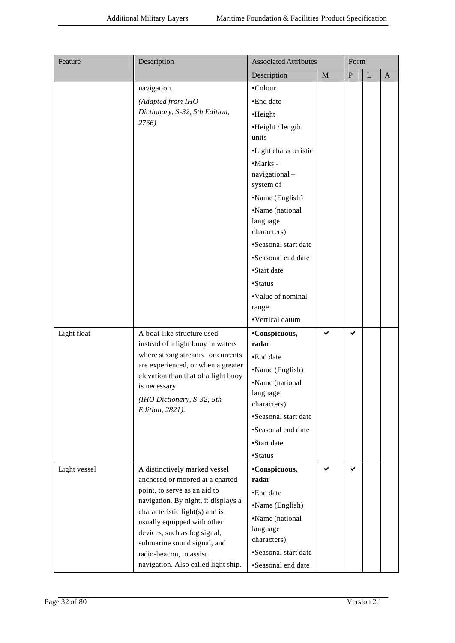| Feature      | Description                                                           | <b>Associated Attributes</b> |             | Form      |             |              |  |
|--------------|-----------------------------------------------------------------------|------------------------------|-------------|-----------|-------------|--------------|--|
|              |                                                                       | Description                  | $\mathbf M$ | ${\bf P}$ | $\mathbf L$ | $\mathbf{A}$ |  |
|              | navigation.                                                           | •Colour                      |             |           |             |              |  |
|              | (Adapted from IHO                                                     | •End date                    |             |           |             |              |  |
|              | Dictionary, S-32, 5th Edition,                                        | •Height                      |             |           |             |              |  |
|              | 2766)                                                                 | •Height / length             |             |           |             |              |  |
|              |                                                                       | units                        |             |           |             |              |  |
|              |                                                                       | ·Light characteristic        |             |           |             |              |  |
|              |                                                                       | •Marks -                     |             |           |             |              |  |
|              |                                                                       | navigational-                |             |           |             |              |  |
|              |                                                                       | system of                    |             |           |             |              |  |
|              |                                                                       | •Name (English)              |             |           |             |              |  |
|              |                                                                       | •Name (national              |             |           |             |              |  |
|              |                                                                       | language                     |             |           |             |              |  |
|              |                                                                       | characters)                  |             |           |             |              |  |
|              |                                                                       | •Seasonal start date         |             |           |             |              |  |
|              |                                                                       | •Seasonal end date           |             |           |             |              |  |
|              |                                                                       | •Start date                  |             |           |             |              |  |
|              |                                                                       | ·Status                      |             |           |             |              |  |
|              |                                                                       | •Value of nominal            |             |           |             |              |  |
|              |                                                                       | range                        |             |           |             |              |  |
|              |                                                                       | •Vertical datum              |             |           |             |              |  |
| Light float  | A boat-like structure used                                            | •Conspicuous,<br>radar       | ✔           | ✔         |             |              |  |
|              | instead of a light buoy in waters<br>where strong streams or currents |                              |             |           |             |              |  |
|              | are experienced, or when a greater                                    | •End date                    |             |           |             |              |  |
|              | elevation than that of a light buoy                                   | •Name (English)              |             |           |             |              |  |
|              | is necessary                                                          | •Name (national              |             |           |             |              |  |
|              | (IHO Dictionary, S-32, 5th                                            | language<br>characters)      |             |           |             |              |  |
|              | Edition, 2821).                                                       | •Seasonal start date         |             |           |             |              |  |
|              |                                                                       | •Seasonal end date           |             |           |             |              |  |
|              |                                                                       | •Start date                  |             |           |             |              |  |
|              |                                                                       | ·Status                      |             |           |             |              |  |
| Light vessel | A distinctively marked vessel                                         | •Conspicuous,                | ✔           | ✔         |             |              |  |
|              | anchored or moored at a charted                                       | radar                        |             |           |             |              |  |
|              | point, to serve as an aid to                                          | •End date                    |             |           |             |              |  |
|              | navigation. By night, it displays a                                   | •Name (English)              |             |           |             |              |  |
|              | characteristic light(s) and is                                        | •Name (national              |             |           |             |              |  |
|              | usually equipped with other                                           | language                     |             |           |             |              |  |
|              | devices, such as fog signal,<br>submarine sound signal, and           | characters)                  |             |           |             |              |  |
|              | radio-beacon, to assist                                               | •Seasonal start date         |             |           |             |              |  |
|              | navigation. Also called light ship.                                   | •Seasonal end date           |             |           |             |              |  |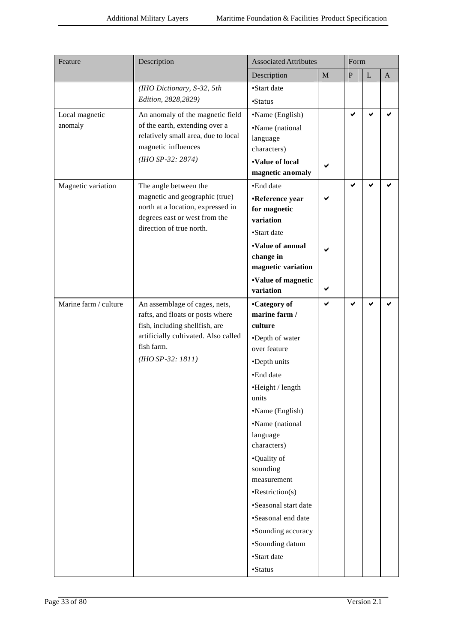| Feature               | Description                                                         | <b>Associated Attributes</b> | Form        |              |           |              |
|-----------------------|---------------------------------------------------------------------|------------------------------|-------------|--------------|-----------|--------------|
|                       |                                                                     | Description                  | $\mathbf M$ | $\mathbf{P}$ | ${\bf L}$ | $\mathbf{A}$ |
|                       | (IHO Dictionary, S-32, 5th                                          | •Start date                  |             |              |           |              |
|                       | Edition, 2828, 2829)                                                | •Status                      |             |              |           |              |
| Local magnetic        | An anomaly of the magnetic field                                    | •Name (English)              |             | ✔            | ✔         |              |
| anomaly               | of the earth, extending over a                                      | •Name (national              |             |              |           |              |
|                       | relatively small area, due to local                                 | language                     |             |              |           |              |
|                       | magnetic influences                                                 | characters)                  |             |              |           |              |
|                       | $(HIO$ SP-32: 2874)                                                 | •Value of local              |             |              |           |              |
|                       |                                                                     | magnetic anomaly             |             |              |           |              |
| Magnetic variation    | The angle between the                                               | •End date                    |             | ✔            | ✔         |              |
|                       | magnetic and geographic (true)<br>north at a location, expressed in | •Reference year              |             |              |           |              |
|                       | degrees east or west from the                                       | for magnetic<br>variation    |             |              |           |              |
|                       | direction of true north.                                            | •Start date                  |             |              |           |              |
|                       |                                                                     | •Value of annual             |             |              |           |              |
|                       |                                                                     | change in                    |             |              |           |              |
|                       |                                                                     | magnetic variation           |             |              |           |              |
|                       |                                                                     | •Value of magnetic           |             |              |           |              |
|                       |                                                                     | variation                    | ✔           |              |           |              |
| Marine farm / culture | An assemblage of cages, nets,                                       | •Category of                 | ✔           | $\checkmark$ | ✔         |              |
|                       | rafts, and floats or posts where                                    | marine farm /                |             |              |           |              |
|                       | fish, including shellfish, are                                      | culture                      |             |              |           |              |
|                       | artificially cultivated. Also called<br>fish farm.                  | •Depth of water              |             |              |           |              |
|                       | $(HIO$ SP-32: 1811)                                                 | over feature                 |             |              |           |              |
|                       |                                                                     | •Depth units                 |             |              |           |              |
|                       |                                                                     | •End date                    |             |              |           |              |
|                       |                                                                     | •Height / length<br>units    |             |              |           |              |
|                       |                                                                     | •Name (English)              |             |              |           |              |
|                       |                                                                     | •Name (national              |             |              |           |              |
|                       |                                                                     | language                     |             |              |           |              |
|                       |                                                                     | characters)                  |             |              |           |              |
|                       |                                                                     | •Quality of                  |             |              |           |              |
|                       |                                                                     | sounding                     |             |              |           |              |
|                       |                                                                     | measurement                  |             |              |           |              |
|                       |                                                                     | $\cdot$ Restriction(s)       |             |              |           |              |
|                       |                                                                     | •Seasonal start date         |             |              |           |              |
|                       |                                                                     | •Seasonal end date           |             |              |           |              |
|                       |                                                                     | •Sounding accuracy           |             |              |           |              |
|                       |                                                                     | •Sounding datum              |             |              |           |              |
|                       |                                                                     | •Start date                  |             |              |           |              |
|                       |                                                                     | •Status                      |             |              |           |              |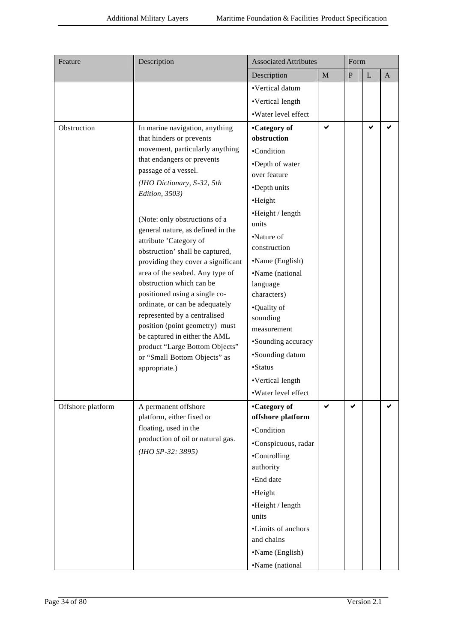| Feature           | Description                                                        | <b>Associated Attributes</b>      | Form |              |             |              |
|-------------------|--------------------------------------------------------------------|-----------------------------------|------|--------------|-------------|--------------|
|                   |                                                                    | Description                       | M    | $\, {\bf P}$ | $\mathbf L$ | $\mathbf{A}$ |
|                   |                                                                    | ·Vertical datum                   |      |              |             |              |
|                   |                                                                    | •Vertical length                  |      |              |             |              |
|                   |                                                                    | ·Water level effect               |      |              |             |              |
| Obstruction       | In marine navigation, anything<br>that hinders or prevents         | •Category of<br>obstruction       | ✔    |              | ✔           |              |
|                   | movement, particularly anything                                    | •Condition                        |      |              |             |              |
|                   | that endangers or prevents                                         | •Depth of water                   |      |              |             |              |
|                   | passage of a vessel.                                               | over feature                      |      |              |             |              |
|                   | (IHO Dictionary, S-32, 5th                                         | •Depth units                      |      |              |             |              |
|                   | Edition, 3503)                                                     | •Height                           |      |              |             |              |
|                   | (Note: only obstructions of a<br>general nature, as defined in the | •Height / length<br>units         |      |              |             |              |
|                   |                                                                    | •Nature of                        |      |              |             |              |
|                   | attribute 'Category of<br>obstruction' shall be captured,          | construction                      |      |              |             |              |
|                   | providing they cover a significant                                 | •Name (English)                   |      |              |             |              |
|                   | area of the seabed. Any type of                                    | •Name (national                   |      |              |             |              |
|                   | obstruction which can be                                           | language                          |      |              |             |              |
|                   | positioned using a single co-                                      | characters)                       |      |              |             |              |
|                   | ordinate, or can be adequately<br>represented by a centralised     | •Quality of                       |      |              |             |              |
|                   | position (point geometry) must                                     | sounding<br>measurement           |      |              |             |              |
|                   | be captured in either the AML                                      | •Sounding accuracy                |      |              |             |              |
|                   | product "Large Bottom Objects"                                     | •Sounding datum                   |      |              |             |              |
|                   | or "Small Bottom Objects" as                                       | •Status                           |      |              |             |              |
|                   | appropriate.)                                                      |                                   |      |              |             |              |
|                   |                                                                    | •Vertical length                  |      |              |             |              |
|                   |                                                                    | ·Water level effect               |      |              |             |              |
| Offshore platform | A permanent offshore<br>platform, either fixed or                  | •Category of<br>offshore platform | ✔    | ✔            |             |              |
|                   | floating, used in the                                              | •Condition                        |      |              |             |              |
|                   | production of oil or natural gas.                                  | •Conspicuous, radar               |      |              |             |              |
|                   | $(HIO$ SP-32: 3895)                                                | •Controlling                      |      |              |             |              |
|                   |                                                                    | authority                         |      |              |             |              |
|                   |                                                                    | ·End date                         |      |              |             |              |
|                   |                                                                    | •Height                           |      |              |             |              |
|                   |                                                                    | •Height / length                  |      |              |             |              |
|                   |                                                                    | units                             |      |              |             |              |
|                   |                                                                    | •Limits of anchors                |      |              |             |              |
|                   |                                                                    | and chains                        |      |              |             |              |
|                   |                                                                    | •Name (English)                   |      |              |             |              |
|                   |                                                                    | •Name (national                   |      |              |             |              |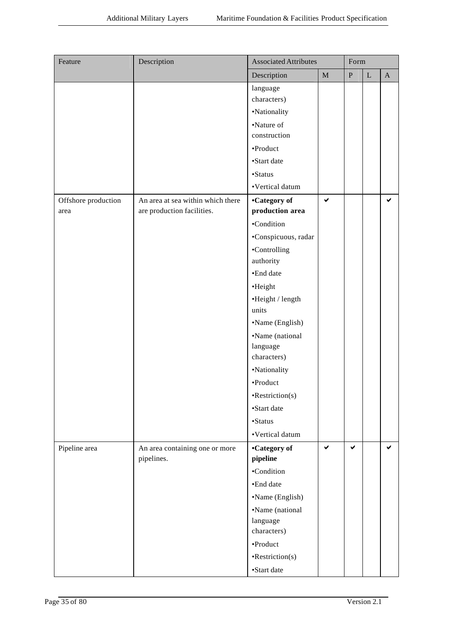| Feature             | Description                                  | <b>Associated Attributes</b> |              | Form      |             |             |
|---------------------|----------------------------------------------|------------------------------|--------------|-----------|-------------|-------------|
|                     |                                              | Description                  | $\mathbf M$  | ${\bf P}$ | $\mathbf L$ | $\mathbf A$ |
|                     |                                              | language                     |              |           |             |             |
|                     |                                              | characters)                  |              |           |             |             |
|                     |                                              | •Nationality                 |              |           |             |             |
|                     |                                              | •Nature of<br>construction   |              |           |             |             |
|                     |                                              | •Product                     |              |           |             |             |
|                     |                                              | •Start date                  |              |           |             |             |
|                     |                                              | •Status                      |              |           |             |             |
|                     |                                              | •Vertical datum              |              |           |             |             |
| Offshore production | An area at sea within which there            | •Category of                 | $\checkmark$ |           |             | ✔           |
| area                | are production facilities.                   | production area              |              |           |             |             |
|                     |                                              | •Condition                   |              |           |             |             |
|                     |                                              | ·Conspicuous, radar          |              |           |             |             |
|                     |                                              | •Controlling                 |              |           |             |             |
|                     |                                              | authority                    |              |           |             |             |
|                     |                                              | •End date                    |              |           |             |             |
|                     |                                              | •Height                      |              |           |             |             |
|                     |                                              | •Height / length             |              |           |             |             |
|                     |                                              | units                        |              |           |             |             |
|                     |                                              | •Name (English)              |              |           |             |             |
|                     |                                              | •Name (national              |              |           |             |             |
|                     |                                              | language                     |              |           |             |             |
|                     |                                              | characters)                  |              |           |             |             |
|                     |                                              | •Nationality                 |              |           |             |             |
|                     |                                              | •Product                     |              |           |             |             |
|                     |                                              | •Restriction(s)              |              |           |             |             |
|                     |                                              | •Start date                  |              |           |             |             |
|                     |                                              | •Status                      |              |           |             |             |
|                     |                                              | •Vertical datum              |              |           |             |             |
| Pipeline area       | An area containing one or more<br>pipelines. | •Category of<br>pipeline     | $\checkmark$ | ✔         |             | ✔           |
|                     |                                              | •Condition                   |              |           |             |             |
|                     |                                              | •End date                    |              |           |             |             |
|                     |                                              |                              |              |           |             |             |
|                     |                                              | •Name (English)              |              |           |             |             |
|                     |                                              | •Name (national<br>language  |              |           |             |             |
|                     |                                              | characters)                  |              |           |             |             |
|                     |                                              | •Product                     |              |           |             |             |
|                     |                                              | $\cdot$ Restriction(s)       |              |           |             |             |
|                     |                                              | •Start date                  |              |           |             |             |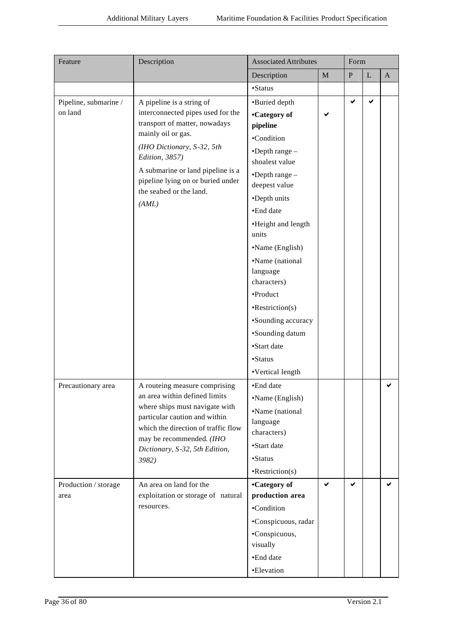| Feature                          | Description                                                                                                                                                                                                                                     | <b>Associated Attributes</b>                                                                                                                                                                                                                                                                                                                        | Form        |              |             |              |
|----------------------------------|-------------------------------------------------------------------------------------------------------------------------------------------------------------------------------------------------------------------------------------------------|-----------------------------------------------------------------------------------------------------------------------------------------------------------------------------------------------------------------------------------------------------------------------------------------------------------------------------------------------------|-------------|--------------|-------------|--------------|
|                                  |                                                                                                                                                                                                                                                 | Description                                                                                                                                                                                                                                                                                                                                         | $\mathbf M$ | ${\bf P}$    | $\mathbf L$ | $\mathbf{A}$ |
|                                  |                                                                                                                                                                                                                                                 | •Status                                                                                                                                                                                                                                                                                                                                             |             |              |             |              |
| Pipeline, submarine /<br>on land | A pipeline is a string of<br>interconnected pipes used for the<br>transport of matter, nowadays<br>mainly oil or gas.                                                                                                                           | •Buried depth<br>•Category of<br>pipeline<br>•Condition                                                                                                                                                                                                                                                                                             | ✔           | $\checkmark$ | ✔           |              |
|                                  | (IHO Dictionary, S-32, 5th<br>Edition, 3857)<br>A submarine or land pipeline is a<br>pipeline lying on or buried under<br>the seabed or the land.<br>(AML)                                                                                      | $\bullet$ Depth range $-$<br>shoalest value<br>$\bullet$ Depth range $-$<br>deepest value<br>•Depth units<br>•End date<br>•Height and length<br>units<br>•Name (English)<br>•Name (national<br>language<br>characters)<br>•Product<br>$\cdot$ Restriction(s)<br>•Sounding accuracy<br>•Sounding datum<br>•Start date<br>•Status<br>•Vertical length |             |              |             |              |
| Precautionary area               | A routeing measure comprising<br>an area within defined limits<br>where ships must navigate with<br>particular caution and within<br>which the direction of traffic flow<br>may be recommended. (IHO<br>Dictionary, S-32, 5th Edition,<br>3982) | •End date<br>•Name (English)<br>•Name (national<br>language<br>characters)<br>•Start date<br>•Status<br>$\cdot$ Restriction(s)                                                                                                                                                                                                                      |             |              |             | ✔            |
| Production / storage<br>area     | An area on land for the<br>exploitation or storage of natural<br>resources.                                                                                                                                                                     | •Category of<br>production area<br>•Condition<br>•Conspicuous, radar<br>•Conspicuous,<br>visually<br>•End date<br>•Elevation                                                                                                                                                                                                                        | ✓           | ✔            |             | ✔            |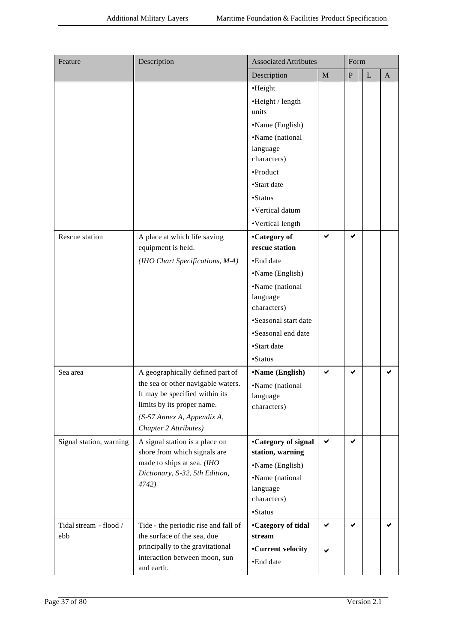| Feature                       | Description                                                                                                                                                                                   | <b>Associated Attributes</b>                                                                                                                                                                             |              | Form      |           |              |
|-------------------------------|-----------------------------------------------------------------------------------------------------------------------------------------------------------------------------------------------|----------------------------------------------------------------------------------------------------------------------------------------------------------------------------------------------------------|--------------|-----------|-----------|--------------|
|                               |                                                                                                                                                                                               | Description                                                                                                                                                                                              | $\mathbf M$  | ${\bf P}$ | ${\bf L}$ | $\mathbf{A}$ |
|                               |                                                                                                                                                                                               | ·Height<br>•Height / length<br>units<br>•Name (English)<br>•Name (national<br>language<br>characters)<br>•Product<br>•Start date<br>•Status                                                              |              |           |           |              |
|                               |                                                                                                                                                                                               | •Vertical datum                                                                                                                                                                                          |              |           |           |              |
| Rescue station                | A place at which life saving<br>equipment is held.<br>(IHO Chart Specifications, M-4)                                                                                                         | •Vertical length<br>•Category of<br>rescue station<br>•End date<br>•Name (English)<br>•Name (national<br>language<br>characters)<br>•Seasonal start date<br>•Seasonal end date<br>•Start date<br>•Status | ✔            | ✔         |           |              |
| Sea area                      | A geographically defined part of<br>the sea or other navigable waters.<br>It may be specified within its<br>limits by its proper name.<br>(S-57 Annex A, Appendix A,<br>Chapter 2 Attributes) | •Name (English)<br>•Name (national<br>language<br>characters)                                                                                                                                            | $\checkmark$ | ✔         |           | ✔            |
| Signal station, warning       | A signal station is a place on<br>shore from which signals are<br>made to ships at sea. (IHO<br>Dictionary, S-32, 5th Edition,<br>4742)                                                       | <b>•Category of signal</b><br>station, warning<br>•Name (English)<br>•Name (national<br>language<br>characters)<br>•Status                                                                               | $\checkmark$ | ✔         |           |              |
| Tidal stream - flood /<br>ebb | Tide - the periodic rise and fall of<br>the surface of the sea, due<br>principally to the gravitational<br>interaction between moon, sun<br>and earth.                                        | <b>•Category of tidal</b><br>stream<br>•Current velocity<br>•End date                                                                                                                                    | ✔            | ✔         |           | ✔            |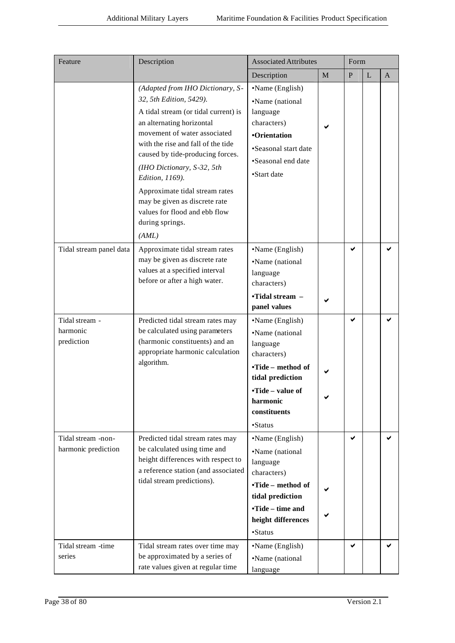| Feature                                   | Description                                                                                                                                                                                                                                                                                                                                                                                                                 | <b>Associated Attributes</b>                                                                                                                                               |              | Form         |   |              |
|-------------------------------------------|-----------------------------------------------------------------------------------------------------------------------------------------------------------------------------------------------------------------------------------------------------------------------------------------------------------------------------------------------------------------------------------------------------------------------------|----------------------------------------------------------------------------------------------------------------------------------------------------------------------------|--------------|--------------|---|--------------|
|                                           |                                                                                                                                                                                                                                                                                                                                                                                                                             | Description                                                                                                                                                                | $\mathbf{M}$ | $\mathbf{P}$ | L | $\mathbf{A}$ |
|                                           | (Adapted from IHO Dictionary, S-<br>32, 5th Edition, 5429).<br>A tidal stream (or tidal current) is<br>an alternating horizontal<br>movement of water associated<br>with the rise and fall of the tide<br>caused by tide-producing forces.<br>(IHO Dictionary, S-32, 5th<br>Edition, 1169).<br>Approximate tidal stream rates<br>may be given as discrete rate<br>values for flood and ebb flow<br>during springs.<br>(AML) | •Name (English)<br>•Name (national<br>language<br>characters)<br>•Orientation<br>•Seasonal start date<br>•Seasonal end date<br>•Start date                                 |              |              |   |              |
| Tidal stream panel data                   | Approximate tidal stream rates<br>may be given as discrete rate<br>values at a specified interval<br>before or after a high water.                                                                                                                                                                                                                                                                                          | •Name (English)<br>•Name (national<br>language<br>characters)<br>•Tidal stream -<br>panel values                                                                           |              | ✔            |   |              |
| Tidal stream -<br>harmonic<br>prediction  | Predicted tidal stream rates may<br>be calculated using parameters<br>(harmonic constituents) and an<br>appropriate harmonic calculation<br>algorithm.                                                                                                                                                                                                                                                                      | •Name (English)<br>•Name (national<br>language<br>characters)<br>•Tide – method of<br>tidal prediction<br>•Tide – value of<br>harmonic<br>constituents<br>$\bullet$ Status |              | ✔            |   |              |
| Tidal stream -non-<br>harmonic prediction | Predicted tidal stream rates may<br>be calculated using time and<br>height differences with respect to<br>a reference station (and associated<br>tidal stream predictions).                                                                                                                                                                                                                                                 | •Name (English)<br>•Name (national<br>language<br>characters)<br>•Tide - method of<br>tidal prediction<br>•Tide – time and<br>height differences<br>•Status                |              | ✔            |   |              |
| Tidal stream -time<br>series              | Tidal stream rates over time may<br>be approximated by a series of<br>rate values given at regular time                                                                                                                                                                                                                                                                                                                     | •Name (English)<br>•Name (national<br>language                                                                                                                             |              | ✔            |   | ✔            |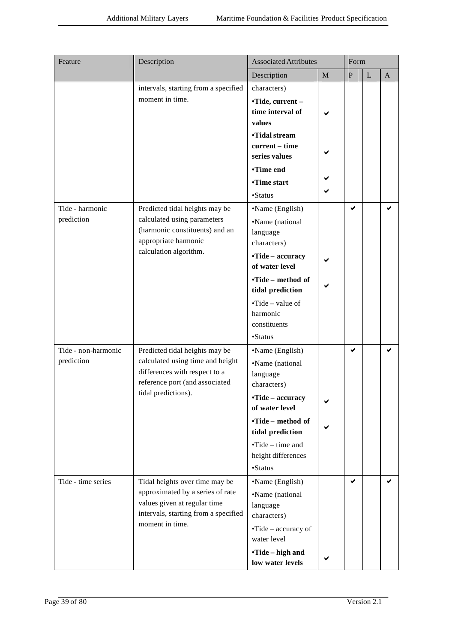| Feature             | Description                                                          | <b>Associated Attributes</b>                        |              | Form      |           |              |
|---------------------|----------------------------------------------------------------------|-----------------------------------------------------|--------------|-----------|-----------|--------------|
|                     |                                                                      | Description                                         | $\mathbf{M}$ | ${\bf P}$ | ${\bf L}$ | $\mathbf{A}$ |
|                     | intervals, starting from a specified                                 | characters)                                         |              |           |           |              |
|                     | moment in time.                                                      | •Tide, current -<br>time interval of<br>values      |              |           |           |              |
|                     |                                                                      | •Tidal stream<br>current - time<br>series values    |              |           |           |              |
|                     |                                                                      | •Time end                                           |              |           |           |              |
|                     |                                                                      | •Time start                                         |              |           |           |              |
|                     |                                                                      | •Status                                             |              |           |           |              |
| Tide - harmonic     | Predicted tidal heights may be                                       | •Name (English)                                     |              | ✔         |           | ✔            |
| prediction          | calculated using parameters                                          | •Name (national                                     |              |           |           |              |
|                     | (harmonic constituents) and an<br>appropriate harmonic               | language                                            |              |           |           |              |
|                     | calculation algorithm.                                               | characters)                                         |              |           |           |              |
|                     |                                                                      | •Tide – accuracy<br>of water level                  |              |           |           |              |
|                     |                                                                      | •Tide – method of<br>tidal prediction               |              |           |           |              |
|                     |                                                                      | $\cdot$ Tide – value of<br>harmonic<br>constituents |              |           |           |              |
|                     |                                                                      | •Status                                             |              |           |           |              |
| Tide - non-harmonic | Predicted tidal heights may be                                       | •Name (English)                                     |              | ✔         |           | ✔            |
| prediction          | calculated using time and height<br>differences with respect to a    | •Name (national                                     |              |           |           |              |
|                     | reference port (and associated                                       | language<br>characters)                             |              |           |           |              |
|                     | tidal predictions).                                                  |                                                     |              |           |           |              |
|                     |                                                                      | •Tide - accuracy<br>of water level                  |              |           |           |              |
|                     |                                                                      | •Tide – method of<br>tidal prediction               |              |           |           |              |
|                     |                                                                      | $\cdot$ Tide – time and<br>height differences       |              |           |           |              |
|                     |                                                                      | •Status                                             |              |           |           |              |
| Tide - time series  | Tidal heights over time may be                                       | •Name (English)                                     |              | ✔         |           | ✔            |
|                     | approximated by a series of rate                                     | •Name (national                                     |              |           |           |              |
|                     | values given at regular time<br>intervals, starting from a specified | language<br>characters)                             |              |           |           |              |
|                     | moment in time.                                                      | •Tide – accuracy of<br>water level                  |              |           |           |              |
|                     |                                                                      | •Tide – high and                                    |              |           |           |              |
|                     |                                                                      | low water levels                                    |              |           |           |              |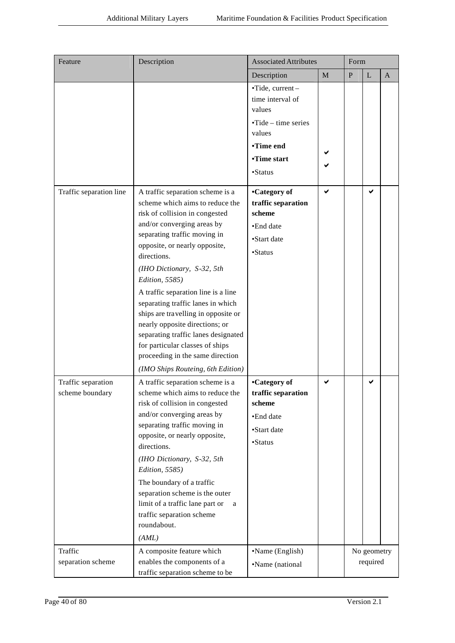| Feature                               | Description                                                                                                                                                                                                                                                                                                                                                                                                                                                                                                                                                                 | <b>Associated Attributes</b>                                                                                                 |   | Form      |                         |              |  |
|---------------------------------------|-----------------------------------------------------------------------------------------------------------------------------------------------------------------------------------------------------------------------------------------------------------------------------------------------------------------------------------------------------------------------------------------------------------------------------------------------------------------------------------------------------------------------------------------------------------------------------|------------------------------------------------------------------------------------------------------------------------------|---|-----------|-------------------------|--------------|--|
|                                       |                                                                                                                                                                                                                                                                                                                                                                                                                                                                                                                                                                             | Description                                                                                                                  | M | ${\bf P}$ | $\mathbf L$             | $\mathbf{A}$ |  |
|                                       |                                                                                                                                                                                                                                                                                                                                                                                                                                                                                                                                                                             | •Tide, current-<br>time interval of<br>values<br>$\cdot$ Tide – time series<br>values<br>•Time end<br>•Time start<br>•Status |   |           |                         |              |  |
| Traffic separation line               | A traffic separation scheme is a<br>scheme which aims to reduce the<br>risk of collision in congested<br>and/or converging areas by<br>separating traffic moving in<br>opposite, or nearly opposite,<br>directions.<br>(IHO Dictionary, S-32, 5th<br>Edition, 5585)<br>A traffic separation line is a line<br>separating traffic lanes in which<br>ships are travelling in opposite or<br>nearly opposite directions; or<br>separating traffic lanes designated<br>for particular classes of ships<br>proceeding in the same direction<br>(IMO Ships Routeing, 6th Edition) | •Category of<br>traffic separation<br>scheme<br>•End date<br>•Start date<br>•Status                                          |   |           | $\checkmark$            |              |  |
| Traffic separation<br>scheme boundary | A traffic separation scheme is a<br>scheme which aims to reduce the<br>risk of collision in congested<br>and/or converging areas by<br>separating traffic moving in<br>opposite, or nearly opposite,<br>directions.<br>(IHO Dictionary, S-32, 5th<br>Edition, 5585)<br>The boundary of a traffic<br>separation scheme is the outer<br>limit of a traffic lane part or<br>a<br>traffic separation scheme<br>roundabout.<br>(AML)                                                                                                                                             | •Category of<br>traffic separation<br>scheme<br>•End date<br>•Start date<br>•Status                                          | ✔ |           | ✔                       |              |  |
| Traffic<br>separation scheme          | A composite feature which<br>enables the components of a<br>traffic separation scheme to be                                                                                                                                                                                                                                                                                                                                                                                                                                                                                 | •Name (English)<br>•Name (national                                                                                           |   |           | No geometry<br>required |              |  |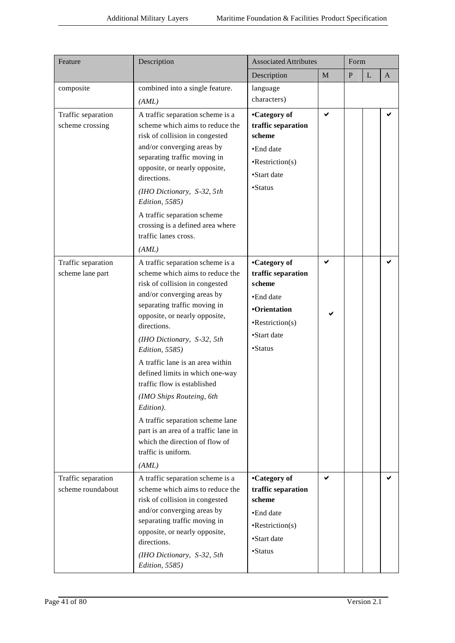| Feature                                 | Description                                                                                                                                                                                                                                                                                                                                                                                                                                                                                                                                                      | <b>Associated Attributes</b>                                                                                                         |   | Form      |              |   |
|-----------------------------------------|------------------------------------------------------------------------------------------------------------------------------------------------------------------------------------------------------------------------------------------------------------------------------------------------------------------------------------------------------------------------------------------------------------------------------------------------------------------------------------------------------------------------------------------------------------------|--------------------------------------------------------------------------------------------------------------------------------------|---|-----------|--------------|---|
|                                         |                                                                                                                                                                                                                                                                                                                                                                                                                                                                                                                                                                  | Description                                                                                                                          | M | ${\bf P}$ | $\mathbf{L}$ | A |
| composite                               | combined into a single feature.                                                                                                                                                                                                                                                                                                                                                                                                                                                                                                                                  | language                                                                                                                             |   |           |              |   |
|                                         | (AML)                                                                                                                                                                                                                                                                                                                                                                                                                                                                                                                                                            | characters)                                                                                                                          |   |           |              |   |
| Traffic separation<br>scheme crossing   | A traffic separation scheme is a<br>scheme which aims to reduce the<br>risk of collision in congested<br>and/or converging areas by<br>separating traffic moving in<br>opposite, or nearly opposite,<br>directions.<br>(IHO Dictionary, S-32, 5th<br>Edition, 5585)<br>A traffic separation scheme<br>crossing is a defined area where                                                                                                                                                                                                                           | •Category of<br>traffic separation<br>scheme<br>•End date<br>$\cdot$ Restriction(s)<br>•Start date<br>•Status                        | ✔ |           |              |   |
|                                         | traffic lanes cross.<br>(AML)                                                                                                                                                                                                                                                                                                                                                                                                                                                                                                                                    |                                                                                                                                      |   |           |              |   |
| Traffic separation<br>scheme lane part  | A traffic separation scheme is a<br>scheme which aims to reduce the<br>risk of collision in congested<br>and/or converging areas by<br>separating traffic moving in<br>opposite, or nearly opposite,<br>directions.<br>(IHO Dictionary, S-32, 5th<br>Edition, 5585)<br>A traffic lane is an area within<br>defined limits in which one-way<br>traffic flow is established<br>(IMO Ships Routeing, 6th<br>Edition).<br>A traffic separation scheme lane<br>part is an area of a traffic lane in<br>which the direction of flow of<br>traffic is uniform.<br>(AML) | •Category of<br>traffic separation<br>scheme<br>•End date<br><b>•Orientation</b><br>$\cdot$ Restriction(s)<br>•Start date<br>•Status | ✔ |           |              | ✔ |
| Traffic separation<br>scheme roundabout | A traffic separation scheme is a<br>scheme which aims to reduce the<br>risk of collision in congested<br>and/or converging areas by<br>separating traffic moving in<br>opposite, or nearly opposite,<br>directions.<br>(IHO Dictionary, S-32, 5th<br>Edition, 5585)                                                                                                                                                                                                                                                                                              | •Category of<br>traffic separation<br>scheme<br>•End date<br>$\cdot$ Restriction(s)<br>•Start date<br>•Status                        | ✔ |           |              | ✔ |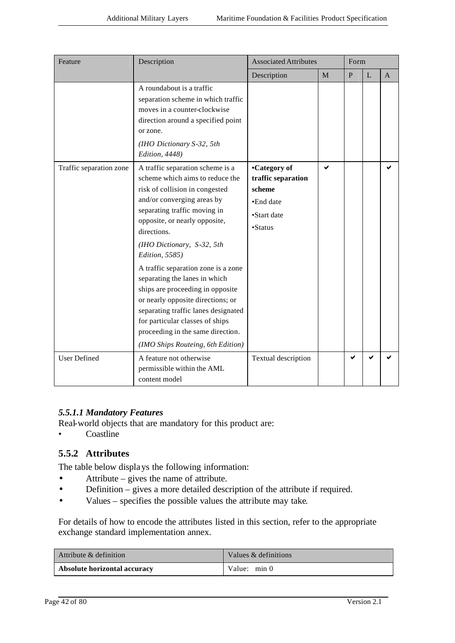| Feature                 | Description                                                                                                                                                                                                                                                                                                                                                                                                                                                                                                                                                              | <b>Associated Attributes</b>                                                        |   | Form         |             |                |
|-------------------------|--------------------------------------------------------------------------------------------------------------------------------------------------------------------------------------------------------------------------------------------------------------------------------------------------------------------------------------------------------------------------------------------------------------------------------------------------------------------------------------------------------------------------------------------------------------------------|-------------------------------------------------------------------------------------|---|--------------|-------------|----------------|
|                         |                                                                                                                                                                                                                                                                                                                                                                                                                                                                                                                                                                          | Description                                                                         | M | $\mathbf{P}$ | $\mathbf L$ | $\overline{A}$ |
|                         | A roundabout is a traffic<br>separation scheme in which traffic<br>moves in a counter-clockwise<br>direction around a specified point<br>or zone.<br>(IHO Dictionary S-32, 5th<br>Edition, 4448)                                                                                                                                                                                                                                                                                                                                                                         |                                                                                     |   |              |             |                |
| Traffic separation zone | A traffic separation scheme is a<br>scheme which aims to reduce the<br>risk of collision in congested<br>and/or converging areas by<br>separating traffic moving in<br>opposite, or nearly opposite,<br>directions.<br>(IHO Dictionary, S-32, 5th<br>Edition, 5585)<br>A traffic separation zone is a zone<br>separating the lanes in which<br>ships are proceeding in opposite<br>or nearly opposite directions; or<br>separating traffic lanes designated<br>for particular classes of ships<br>proceeding in the same direction.<br>(IMO Ships Routeing, 6th Edition) | •Category of<br>traffic separation<br>scheme<br>•End date<br>•Start date<br>•Status | ✔ |              |             | ✔              |
| <b>User Defined</b>     | A feature not otherwise<br>permissible within the AML<br>content model                                                                                                                                                                                                                                                                                                                                                                                                                                                                                                   | Textual description                                                                 |   | ✔            | ✔           |                |

## *5.5.1.1 Mandatory Features*

Real-world objects that are mandatory for this product are:

• Coastline

## **5.5.2 Attributes**

The table below displays the following information:

- Attribute gives the name of attribute.
- Definition gives a more detailed description of the attribute if required.
- Values specifies the possible values the attribute may take.

For details of how to encode the attributes listed in this section, refer to the appropriate exchange standard implementation annex.

| Attribute & definition       | Values & definitions |
|------------------------------|----------------------|
| Absolute horizontal accuracy | Value: $min 0$       |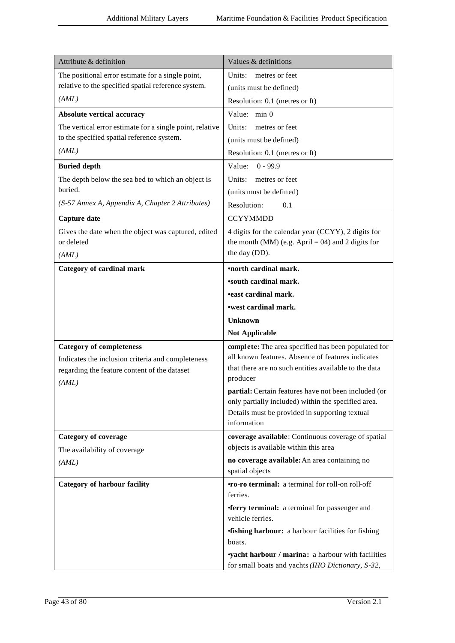| Attribute & definition                                   | Values & definitions                                                                                       |
|----------------------------------------------------------|------------------------------------------------------------------------------------------------------------|
| The positional error estimate for a single point,        | Units:<br>metres or feet                                                                                   |
| relative to the specified spatial reference system.      | (units must be defined)                                                                                    |
| (AML)                                                    | Resolution: 0.1 (metres or ft)                                                                             |
| Absolute vertical accuracy                               | Value: min 0                                                                                               |
| The vertical error estimate for a single point, relative | Units:<br>metres or feet                                                                                   |
| to the specified spatial reference system.               | (units must be defined)                                                                                    |
| (AML)                                                    | Resolution: 0.1 (metres or ft)                                                                             |
| <b>Buried depth</b>                                      | Value:<br>$0 - 99.9$                                                                                       |
| The depth below the sea bed to which an object is        | Units:<br>metres or feet                                                                                   |
| buried.                                                  | (units must be defined)                                                                                    |
| (S-57 Annex A, Appendix A, Chapter 2 Attributes)         | Resolution:<br>0.1                                                                                         |
| Capture date                                             | <b>CCYYMMDD</b>                                                                                            |
| Gives the date when the object was captured, edited      | 4 digits for the calendar year (CCYY), 2 digits for                                                        |
| or deleted                                               | the month (MM) (e.g. April = 04) and 2 digits for                                                          |
| (AML)                                                    | the day (DD).                                                                                              |
| <b>Category of cardinal mark</b>                         | <b>•north cardinal mark.</b>                                                                               |
|                                                          | <b>'south cardinal mark.</b>                                                                               |
|                                                          | <b>•east cardinal mark.</b>                                                                                |
|                                                          | •west cardinal mark.                                                                                       |
|                                                          | <b>Unknown</b>                                                                                             |
|                                                          | <b>Not Applicable</b>                                                                                      |
| <b>Category of completeness</b>                          | complete: The area specified has been populated for                                                        |
| Indicates the inclusion criteria and completeness        | all known features. Absence of features indicates<br>that there are no such entities available to the data |
| regarding the feature content of the dataset             | producer                                                                                                   |
| (AML)                                                    | partial: Certain features have not been included (or                                                       |
|                                                          | only partially included) within the specified area.                                                        |
|                                                          | Details must be provided in supporting textual                                                             |
|                                                          | information                                                                                                |
| <b>Category of coverage</b>                              | coverage available: Continuous coverage of spatial                                                         |
| The availability of coverage                             | objects is available within this area                                                                      |
| (AML)                                                    | no coverage available: An area containing no<br>spatial objects                                            |
| <b>Category of harbour facility</b>                      | <b>TO-ro terminal:</b> a terminal for roll-on roll-off                                                     |
|                                                          | ferries.                                                                                                   |
|                                                          | <b>ferry terminal:</b> a terminal for passenger and                                                        |
|                                                          | vehicle ferries.                                                                                           |
|                                                          | <b>fishing harbour:</b> a harbour facilities for fishing                                                   |
|                                                          | boats.                                                                                                     |
|                                                          | vacht harbour / marina: a harbour with facilities                                                          |
|                                                          | for small boats and yachts (IHO Dictionary, S-32,                                                          |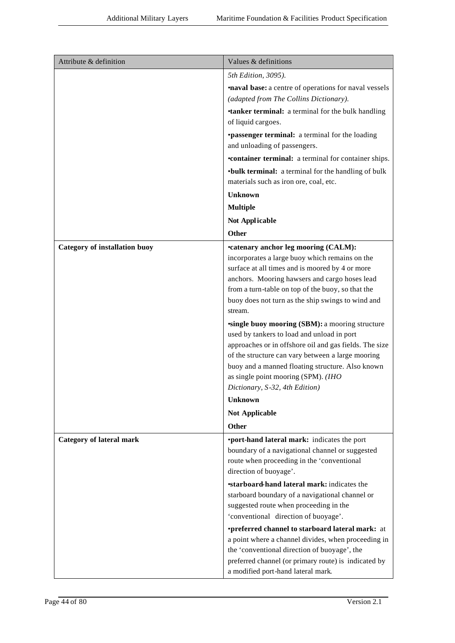| Attribute & definition          | Values & definitions                                                                                                                                                                                                                                                                                                                                                                                                                                                                                                                                                                      |
|---------------------------------|-------------------------------------------------------------------------------------------------------------------------------------------------------------------------------------------------------------------------------------------------------------------------------------------------------------------------------------------------------------------------------------------------------------------------------------------------------------------------------------------------------------------------------------------------------------------------------------------|
|                                 | 5th Edition, 3095).                                                                                                                                                                                                                                                                                                                                                                                                                                                                                                                                                                       |
|                                 | <b>naval base:</b> a centre of operations for naval vessels<br>(adapted from The Collins Dictionary).                                                                                                                                                                                                                                                                                                                                                                                                                                                                                     |
|                                 | <b>tanker terminal:</b> a terminal for the bulk handling<br>of liquid cargoes.                                                                                                                                                                                                                                                                                                                                                                                                                                                                                                            |
|                                 | <b>•passenger terminal:</b> a terminal for the loading<br>and unloading of passengers.                                                                                                                                                                                                                                                                                                                                                                                                                                                                                                    |
|                                 | <b>•container terminal:</b> a terminal for container ships.                                                                                                                                                                                                                                                                                                                                                                                                                                                                                                                               |
|                                 | • bulk terminal: a terminal for the handling of bulk<br>materials such as iron ore, coal, etc.                                                                                                                                                                                                                                                                                                                                                                                                                                                                                            |
|                                 | <b>Unknown</b>                                                                                                                                                                                                                                                                                                                                                                                                                                                                                                                                                                            |
|                                 | <b>Multiple</b>                                                                                                                                                                                                                                                                                                                                                                                                                                                                                                                                                                           |
|                                 | Not Applicable                                                                                                                                                                                                                                                                                                                                                                                                                                                                                                                                                                            |
|                                 | <b>Other</b>                                                                                                                                                                                                                                                                                                                                                                                                                                                                                                                                                                              |
| Category of installation buoy   | <b>•catenary anchor leg mooring (CALM):</b><br>incorporates a large buoy which remains on the<br>surface at all times and is moored by 4 or more<br>anchors. Mooring hawsers and cargo hoses lead<br>from a turn-table on top of the buoy, so that the<br>buoy does not turn as the ship swings to wind and<br>stream.<br>single buoy mooring (SBM): a mooring structure<br>used by tankers to load and unload in port<br>approaches or in offshore oil and gas fields. The size<br>of the structure can vary between a large mooring<br>buoy and a manned floating structure. Also known |
|                                 | as single point mooring (SPM). (IHO                                                                                                                                                                                                                                                                                                                                                                                                                                                                                                                                                       |
|                                 | Dictionary, S-32, 4th Edition)                                                                                                                                                                                                                                                                                                                                                                                                                                                                                                                                                            |
|                                 | <b>Unknown</b>                                                                                                                                                                                                                                                                                                                                                                                                                                                                                                                                                                            |
|                                 | <b>Not Applicable</b><br><b>Other</b>                                                                                                                                                                                                                                                                                                                                                                                                                                                                                                                                                     |
| <b>Category of lateral mark</b> | •port-hand lateral mark: indicates the port                                                                                                                                                                                                                                                                                                                                                                                                                                                                                                                                               |
|                                 | boundary of a navigational channel or suggested<br>route when proceeding in the 'conventional<br>direction of buoyage'.                                                                                                                                                                                                                                                                                                                                                                                                                                                                   |
|                                 | <b>starboard-hand lateral mark:</b> indicates the                                                                                                                                                                                                                                                                                                                                                                                                                                                                                                                                         |
|                                 | starboard boundary of a navigational channel or                                                                                                                                                                                                                                                                                                                                                                                                                                                                                                                                           |
|                                 | suggested route when proceeding in the<br>'conventional direction of buoyage'.                                                                                                                                                                                                                                                                                                                                                                                                                                                                                                            |
|                                 | •preferred channel to starboard lateral mark: at                                                                                                                                                                                                                                                                                                                                                                                                                                                                                                                                          |
|                                 | a point where a channel divides, when proceeding in<br>the 'conventional direction of buoyage', the<br>preferred channel (or primary route) is indicated by                                                                                                                                                                                                                                                                                                                                                                                                                               |
|                                 | a modified port-hand lateral mark.                                                                                                                                                                                                                                                                                                                                                                                                                                                                                                                                                        |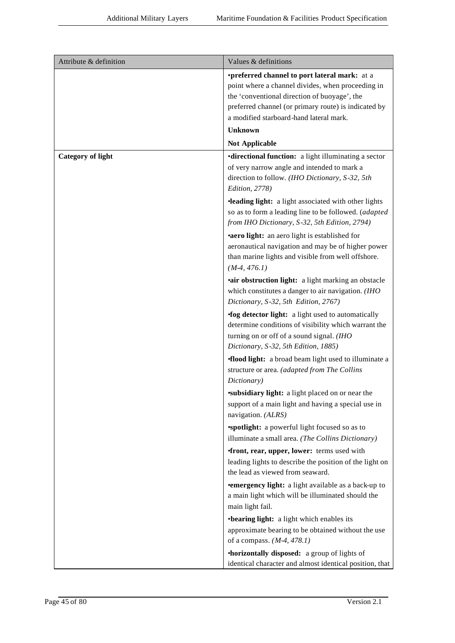| Attribute & definition   | Values & definitions                                                                                                                                                                                                                                         |
|--------------------------|--------------------------------------------------------------------------------------------------------------------------------------------------------------------------------------------------------------------------------------------------------------|
|                          | <i>•preferred channel to port lateral mark: at a</i><br>point where a channel divides, when proceeding in<br>the 'conventional direction of buoyage', the<br>preferred channel (or primary route) is indicated by<br>a modified starboard-hand lateral mark. |
|                          | <b>Unknown</b>                                                                                                                                                                                                                                               |
|                          | <b>Not Applicable</b>                                                                                                                                                                                                                                        |
| <b>Category of light</b> | <b>•directional function:</b> a light illuminating a sector<br>of very narrow angle and intended to mark a<br>direction to follow. (IHO Dictionary, S-32, 5th<br>Edition, 2778)                                                                              |
|                          | <b>·leading light:</b> a light associated with other lights<br>so as to form a leading line to be followed. (adapted<br>from IHO Dictionary, S-32, 5th Edition, 2794)                                                                                        |
|                          | •aero light: an aero light is established for<br>aeronautical navigation and may be of higher power<br>than marine lights and visible from well offshore.<br>$(M-4, 476.1)$                                                                                  |
|                          | •air obstruction light: a light marking an obstacle<br>which constitutes a danger to air navigation. (IHO<br>Dictionary, S-32, 5th Edition, 2767)                                                                                                            |
|                          | <b>fog detector light:</b> a light used to automatically<br>determine conditions of visibility which warrant the<br>turning on or off of a sound signal. (IHO<br>Dictionary, S-32, 5th Edition, 1885)                                                        |
|                          | <b>flood light:</b> a broad beam light used to illuminate a<br>structure or area. (adapted from The Collins<br>Dictionary)                                                                                                                                   |
|                          | <b>subsidiary light:</b> a light placed on or near the<br>support of a main light and having a special use in<br>navigation. (ALRS)                                                                                                                          |
|                          | "spotlight: a powerful light focused so as to<br>illuminate a small area. (The Collins Dictionary)                                                                                                                                                           |
|                          | <b>front, rear, upper, lower:</b> terms used with<br>leading lights to describe the position of the light on<br>the lead as viewed from seaward.                                                                                                             |
|                          | <b>•emergency light:</b> a light available as a back-up to<br>a main light which will be illuminated should the<br>main light fail.                                                                                                                          |
|                          | • bearing light: a light which enables its<br>approximate bearing to be obtained without the use<br>of a compass. $(M-4, 478.1)$                                                                                                                             |
|                          | •horizontally disposed: a group of lights of<br>identical character and almost identical position, that                                                                                                                                                      |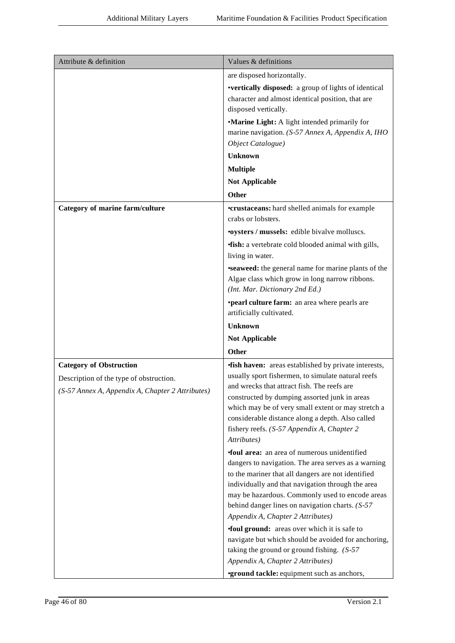| Attribute & definition                                                                                                        | Values & definitions                                                                                                                                                                                                                                                                                                                                                                    |
|-------------------------------------------------------------------------------------------------------------------------------|-----------------------------------------------------------------------------------------------------------------------------------------------------------------------------------------------------------------------------------------------------------------------------------------------------------------------------------------------------------------------------------------|
|                                                                                                                               | are disposed horizontally.                                                                                                                                                                                                                                                                                                                                                              |
|                                                                                                                               | •vertically disposed: a group of lights of identical<br>character and almost identical position, that are<br>disposed vertically.                                                                                                                                                                                                                                                       |
|                                                                                                                               | •Marine Light: A light intended primarily for<br>marine navigation. (S-57 Annex A, Appendix A, IHO<br>Object Catalogue)                                                                                                                                                                                                                                                                 |
|                                                                                                                               | <b>Unknown</b>                                                                                                                                                                                                                                                                                                                                                                          |
|                                                                                                                               | <b>Multiple</b>                                                                                                                                                                                                                                                                                                                                                                         |
|                                                                                                                               | <b>Not Applicable</b>                                                                                                                                                                                                                                                                                                                                                                   |
|                                                                                                                               | <b>Other</b>                                                                                                                                                                                                                                                                                                                                                                            |
| Category of marine farm/culture                                                                                               | <b>•crustaceans:</b> hard shelled animals for example<br>crabs or lobsters.                                                                                                                                                                                                                                                                                                             |
|                                                                                                                               | <b>.oysters / mussels:</b> edible bivalve molluscs.                                                                                                                                                                                                                                                                                                                                     |
|                                                                                                                               | <b>fish:</b> a vertebrate cold blooded animal with gills,<br>living in water.                                                                                                                                                                                                                                                                                                           |
|                                                                                                                               | <b>seaweed:</b> the general name for marine plants of the<br>Algae class which grow in long narrow ribbons.<br>(Int. Mar. Dictionary 2nd Ed.)                                                                                                                                                                                                                                           |
|                                                                                                                               | <b>•pearl culture farm:</b> an area where pearls are<br>artificially cultivated.                                                                                                                                                                                                                                                                                                        |
|                                                                                                                               | <b>Unknown</b>                                                                                                                                                                                                                                                                                                                                                                          |
|                                                                                                                               | <b>Not Applicable</b>                                                                                                                                                                                                                                                                                                                                                                   |
|                                                                                                                               | <b>Other</b>                                                                                                                                                                                                                                                                                                                                                                            |
| <b>Category of Obstruction</b><br>Description of the type of obstruction.<br>(S-57 Annex A, Appendix A, Chapter 2 Attributes) | <b>fish haven:</b> areas established by private interests,<br>usually sport fishermen, to simulate natural reefs<br>and wrecks that attract fish. The reefs are<br>constructed by dumping assorted junk in areas<br>which may be of very small extent or may stretch a<br>considerable distance along a depth. Also called<br>fishery reefs. (S-57 Appendix A, Chapter 2<br>Attributes) |
|                                                                                                                               | <b>foul area:</b> an area of numerous unidentified<br>dangers to navigation. The area serves as a warning<br>to the mariner that all dangers are not identified<br>individually and that navigation through the area<br>may be hazardous. Commonly used to encode areas<br>behind danger lines on navigation charts. (S-57<br>Appendix A, Chapter 2 Attributes)                         |
|                                                                                                                               | <b>foul ground:</b> areas over which it is safe to<br>navigate but which should be avoided for anchoring,<br>taking the ground or ground fishing. $(S-57)$<br>Appendix A, Chapter 2 Attributes)<br><b>•ground tackle:</b> equipment such as anchors,                                                                                                                                    |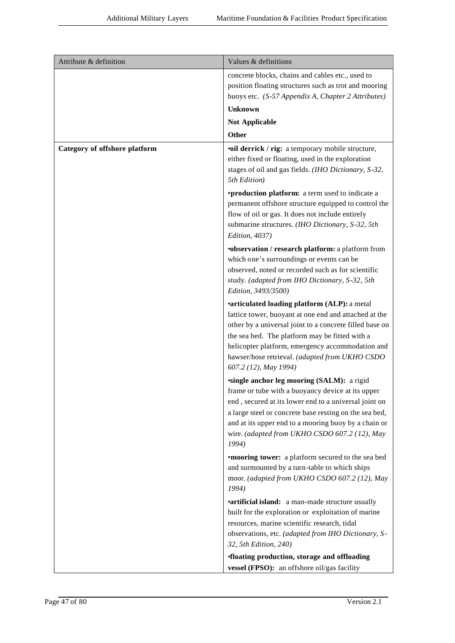| Attribute & definition        | Values & definitions                                                                                                                                                                                                                                                                                                                |
|-------------------------------|-------------------------------------------------------------------------------------------------------------------------------------------------------------------------------------------------------------------------------------------------------------------------------------------------------------------------------------|
|                               | concrete blocks, chains and cables etc., used to                                                                                                                                                                                                                                                                                    |
|                               | position floating structures such as trot and mooring                                                                                                                                                                                                                                                                               |
|                               | buoys etc. (S-57 Appendix A, Chapter 2 Attributes)                                                                                                                                                                                                                                                                                  |
|                               | <b>Unknown</b>                                                                                                                                                                                                                                                                                                                      |
|                               | <b>Not Applicable</b>                                                                                                                                                                                                                                                                                                               |
|                               | <b>Other</b>                                                                                                                                                                                                                                                                                                                        |
| Category of offshore platform | <b>•oil derrick / rig:</b> a temporary mobile structure,<br>either fixed or floating, used in the exploration<br>stages of oil and gas fields. (IHO Dictionary, S-32,<br>5th Edition)                                                                                                                                               |
|                               | <b>•production platform:</b> a term used to indicate a<br>permanent offshore structure equipped to control the<br>flow of oil or gas. It does not include entirely<br>submarine structures. (IHO Dictionary, S-32, 5th<br>Edition, 4037)                                                                                            |
|                               | <b>•observation / research platform:</b> a platform from<br>which one's surroundings or events can be<br>observed, noted or recorded such as for scientific<br>study. (adapted from IHO Dictionary, S-32, 5th<br>Edition, 3493/3500)                                                                                                |
|                               | <b>•articulated loading platform (ALP): a metal</b>                                                                                                                                                                                                                                                                                 |
|                               | lattice tower, buoyant at one end and attached at the<br>other by a universal joint to a concrete filled base on<br>the sea bed. The platform may be fitted with a<br>helicopter platform, emergency accommodation and<br>hawser/hose retrieval. (adapted from UKHO CSDO<br>607.2 (12), May 1994)                                   |
|                               | single anchor leg mooring (SALM): a rigid<br>frame or tube with a buoyancy device at its upper<br>end, secured at its lower end to a universal joint on<br>a large steel or concrete base resting on the sea bed,<br>and at its upper end to a mooring buoy by a chain or<br>wire. (adapted from UKHO CSDO 607.2 (12), May<br>1994) |
|                               | <b>•mooring tower:</b> a platform secured to the sea bed<br>and surmounted by a turn-table to which ships<br>moor. (adapted from UKHO CSDO 607.2 (12), May<br>1994)                                                                                                                                                                 |
|                               | <b>•artificial island:</b> a man-made structure usually<br>built for the exploration or exploitation of marine<br>resources, marine scientific research, tidal<br>observations, etc. (adapted from IHO Dictionary, S-<br>32, 5th Edition, 240)                                                                                      |
|                               | <b>floating production, storage and offloading</b><br>vessel (FPSO): an offshore oil/gas facility                                                                                                                                                                                                                                   |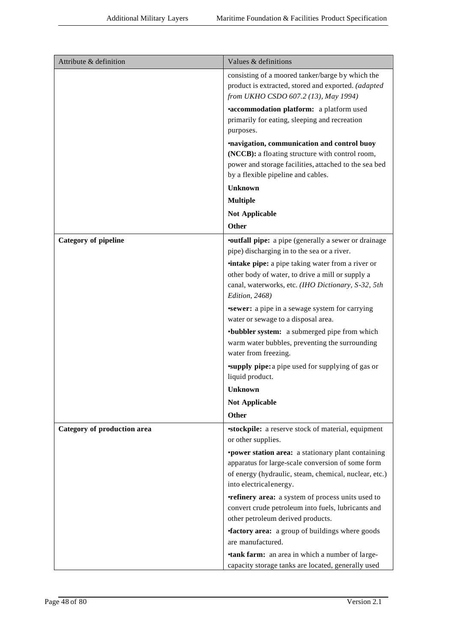| Attribute & definition      | Values & definitions                                                                                                                                                                                |
|-----------------------------|-----------------------------------------------------------------------------------------------------------------------------------------------------------------------------------------------------|
|                             | consisting of a moored tanker/barge by which the<br>product is extracted, stored and exported. (adapted<br>from UKHO CSDO 607.2 (13), May 1994)                                                     |
|                             | <b>*accommodation platform:</b> a platform used<br>primarily for eating, sleeping and recreation<br>purposes.                                                                                       |
|                             | <i>mavigation, communication and control buoy</i><br>(NCCB): a floating structure with control room,<br>power and storage facilities, attached to the sea bed<br>by a flexible pipeline and cables. |
|                             | Unknown                                                                                                                                                                                             |
|                             | <b>Multiple</b>                                                                                                                                                                                     |
|                             | <b>Not Applicable</b>                                                                                                                                                                               |
|                             | <b>Other</b>                                                                                                                                                                                        |
| <b>Category of pipeline</b> | <b>•outfall pipe:</b> a pipe (generally a sewer or drainage<br>pipe) discharging in to the sea or a river.                                                                                          |
|                             | <b>intake pipe:</b> a pipe taking water from a river or<br>other body of water, to drive a mill or supply a<br>canal, waterworks, etc. (IHO Dictionary, S-32, 5th<br>Edition, 2468)                 |
|                             | <b>sewer:</b> a pipe in a sewage system for carrying<br>water or sewage to a disposal area.                                                                                                         |
|                             | •bubbler system: a submerged pipe from which<br>warm water bubbles, preventing the surrounding<br>water from freezing.                                                                              |
|                             | <b>supply pipe:</b> a pipe used for supplying of gas or<br>liquid product.                                                                                                                          |
|                             | <b>Unknown</b>                                                                                                                                                                                      |
|                             | <b>Not Applicable</b>                                                                                                                                                                               |
|                             | <b>Other</b>                                                                                                                                                                                        |
| Category of production area | <b>stockpile:</b> a reserve stock of material, equipment<br>or other supplies.                                                                                                                      |
|                             | <b>•power station area:</b> a stationary plant containing<br>apparatus for large-scale conversion of some form<br>of energy (hydraulic, steam, chemical, nuclear, etc.)<br>into electrical energy.  |
|                             | <b>•refinery area:</b> a system of process units used to<br>convert crude petroleum into fuels, lubricants and<br>other petroleum derived products.                                                 |
|                             | <b>factory area:</b> a group of buildings where goods<br>are manufactured.                                                                                                                          |
|                             | <b>tank farm:</b> an area in which a number of large-<br>capacity storage tanks are located, generally used                                                                                         |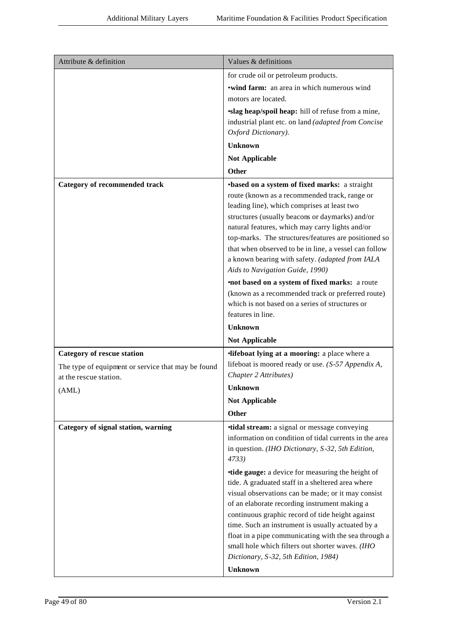| Attribute & definition                                                                                            | Values & definitions                                                                                                                                                                                                                                                                                                                                                                                                                                                                               |
|-------------------------------------------------------------------------------------------------------------------|----------------------------------------------------------------------------------------------------------------------------------------------------------------------------------------------------------------------------------------------------------------------------------------------------------------------------------------------------------------------------------------------------------------------------------------------------------------------------------------------------|
|                                                                                                                   | for crude oil or petroleum products.                                                                                                                                                                                                                                                                                                                                                                                                                                                               |
|                                                                                                                   | <b>•wind farm:</b> an area in which numerous wind<br>motors are located.                                                                                                                                                                                                                                                                                                                                                                                                                           |
|                                                                                                                   | slag heap/spoil heap: hill of refuse from a mine,<br>industrial plant etc. on land (adapted from Concise<br>Oxford Dictionary).                                                                                                                                                                                                                                                                                                                                                                    |
|                                                                                                                   | <b>Unknown</b>                                                                                                                                                                                                                                                                                                                                                                                                                                                                                     |
|                                                                                                                   | <b>Not Applicable</b>                                                                                                                                                                                                                                                                                                                                                                                                                                                                              |
|                                                                                                                   | Other                                                                                                                                                                                                                                                                                                                                                                                                                                                                                              |
| <b>Category of recommended track</b>                                                                              | •based on a system of fixed marks: a straight                                                                                                                                                                                                                                                                                                                                                                                                                                                      |
|                                                                                                                   | route (known as a recommended track, range or<br>leading line), which comprises at least two<br>structures (usually beacons or daymarks) and/or<br>natural features, which may carry lights and/or<br>top-marks. The structures/features are positioned so<br>that when observed to be in line, a vessel can follow<br>a known bearing with safety. (adapted from IALA<br>Aids to Navigation Guide, 1990)                                                                                          |
|                                                                                                                   | <b>not based on a system of fixed marks:</b> a route<br>(known as a recommended track or preferred route)<br>which is not based on a series of structures or<br>features in line.                                                                                                                                                                                                                                                                                                                  |
|                                                                                                                   | <b>Unknown</b>                                                                                                                                                                                                                                                                                                                                                                                                                                                                                     |
|                                                                                                                   | <b>Not Applicable</b>                                                                                                                                                                                                                                                                                                                                                                                                                                                                              |
| <b>Category of rescue station</b><br>The type of equipment or service that may be found<br>at the rescue station. | <b>lifeboat lying at a mooring:</b> a place where a<br>lifeboat is moored ready or use. (S-57 Appendix A,<br>Chapter 2 Attributes)                                                                                                                                                                                                                                                                                                                                                                 |
| (AML)                                                                                                             | Unknown                                                                                                                                                                                                                                                                                                                                                                                                                                                                                            |
|                                                                                                                   | <b>Not Applicable</b>                                                                                                                                                                                                                                                                                                                                                                                                                                                                              |
|                                                                                                                   | <b>Other</b>                                                                                                                                                                                                                                                                                                                                                                                                                                                                                       |
| Category of signal station, warning                                                                               | <b>tidal stream:</b> a signal or message conveying<br>information on condition of tidal currents in the area<br>in question. (IHO Dictionary, S-32, 5th Edition,<br>4733)                                                                                                                                                                                                                                                                                                                          |
|                                                                                                                   | <b>tide gauge:</b> a device for measuring the height of<br>tide. A graduated staff in a sheltered area where<br>visual observations can be made; or it may consist<br>of an elaborate recording instrument making a<br>continuous graphic record of tide height against<br>time. Such an instrument is usually actuated by a<br>float in a pipe communicating with the sea through a<br>small hole which filters out shorter waves. (IHO<br>Dictionary, S-32, 5th Edition, 1984)<br><b>Unknown</b> |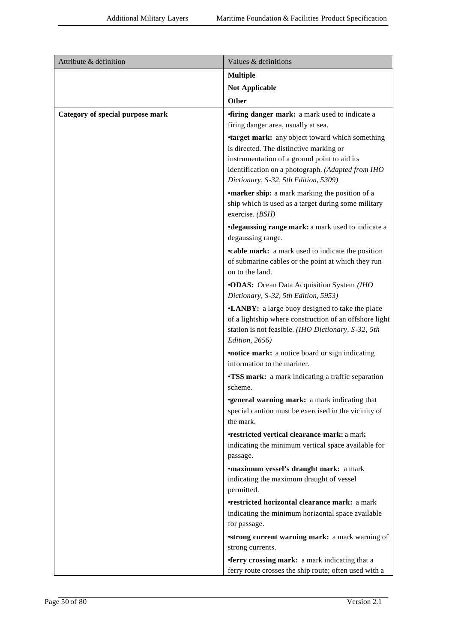| Attribute & definition           | Values & definitions                                                                                                                                                                                                                          |
|----------------------------------|-----------------------------------------------------------------------------------------------------------------------------------------------------------------------------------------------------------------------------------------------|
|                                  | <b>Multiple</b>                                                                                                                                                                                                                               |
|                                  | <b>Not Applicable</b>                                                                                                                                                                                                                         |
|                                  | Other                                                                                                                                                                                                                                         |
| Category of special purpose mark | <b>firing danger mark:</b> a mark used to indicate a                                                                                                                                                                                          |
|                                  | firing danger area, usually at sea.                                                                                                                                                                                                           |
|                                  | <b>target mark:</b> any object toward which something<br>is directed. The distinctive marking or<br>instrumentation of a ground point to aid its<br>identification on a photograph. (Adapted from IHO<br>Dictionary, S-32, 5th Edition, 5309) |
|                                  | <b>•marker ship:</b> a mark marking the position of a<br>ship which is used as a target during some military<br>exercise. (BSH)                                                                                                               |
|                                  | •degaussing range mark: a mark used to indicate a<br>degaussing range.                                                                                                                                                                        |
|                                  | <b>•cable mark:</b> a mark used to indicate the position<br>of submarine cables or the point at which they run<br>on to the land.                                                                                                             |
|                                  | <b>.ODAS:</b> Ocean Data Acquisition System (IHO<br>Dictionary, S-32, 5th Edition, 5953)                                                                                                                                                      |
|                                  | •LANBY: a large buoy designed to take the place<br>of a lightship where construction of an offshore light<br>station is not feasible. (IHO Dictionary, S-32, 5th<br>Edition, 2656)                                                            |
|                                  | <b>notice mark:</b> a notice board or sign indicating<br>information to the mariner.                                                                                                                                                          |
|                                  | <b>•TSS mark:</b> a mark indicating a traffic separation<br>scheme.                                                                                                                                                                           |
|                                  | <b>general warning mark:</b> a mark indicating that<br>special caution must be exercised in the vicinity of<br>the mark.                                                                                                                      |
|                                  | <b>restricted vertical clearance mark: a mark</b><br>indicating the minimum vertical space available for<br>passage.                                                                                                                          |
|                                  | <b>•maximum vessel's draught mark:</b> a mark<br>indicating the maximum draught of vessel<br>permitted.                                                                                                                                       |
|                                  | <b>•restricted horizontal clearance mark:</b> a mark<br>indicating the minimum horizontal space available<br>for passage.                                                                                                                     |
|                                  | <b>strong current warning mark:</b> a mark warning of<br>strong currents.                                                                                                                                                                     |
|                                  | <b>ferry crossing mark:</b> a mark indicating that a<br>ferry route crosses the ship route; often used with a                                                                                                                                 |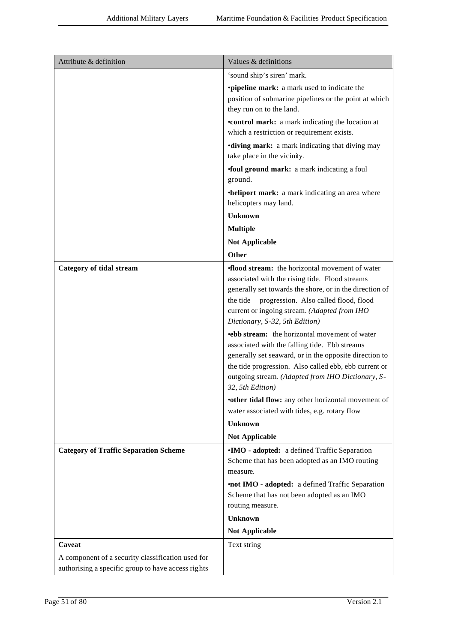| Attribute & definition                             | Values & definitions                                                                                                                                                                                                                                                                                                                                                                                                                                                                                                                                                                                                                                                                                                                                              |
|----------------------------------------------------|-------------------------------------------------------------------------------------------------------------------------------------------------------------------------------------------------------------------------------------------------------------------------------------------------------------------------------------------------------------------------------------------------------------------------------------------------------------------------------------------------------------------------------------------------------------------------------------------------------------------------------------------------------------------------------------------------------------------------------------------------------------------|
|                                                    | 'sound ship's siren' mark.                                                                                                                                                                                                                                                                                                                                                                                                                                                                                                                                                                                                                                                                                                                                        |
|                                                    | <b>•pipeline mark:</b> a mark used to indicate the<br>position of submarine pipelines or the point at which<br>they run on to the land.                                                                                                                                                                                                                                                                                                                                                                                                                                                                                                                                                                                                                           |
|                                                    | <b>•control mark:</b> a mark indicating the location at<br>which a restriction or requirement exists.                                                                                                                                                                                                                                                                                                                                                                                                                                                                                                                                                                                                                                                             |
|                                                    | <b>•diving mark:</b> a mark indicating that diving may<br>take place in the vicinity.                                                                                                                                                                                                                                                                                                                                                                                                                                                                                                                                                                                                                                                                             |
|                                                    | <b>foul ground mark:</b> a mark indicating a foul<br>ground.                                                                                                                                                                                                                                                                                                                                                                                                                                                                                                                                                                                                                                                                                                      |
|                                                    | •heliport mark: a mark indicating an area where                                                                                                                                                                                                                                                                                                                                                                                                                                                                                                                                                                                                                                                                                                                   |
|                                                    | helicopters may land.                                                                                                                                                                                                                                                                                                                                                                                                                                                                                                                                                                                                                                                                                                                                             |
|                                                    | <b>Unknown</b>                                                                                                                                                                                                                                                                                                                                                                                                                                                                                                                                                                                                                                                                                                                                                    |
|                                                    | <b>Multiple</b>                                                                                                                                                                                                                                                                                                                                                                                                                                                                                                                                                                                                                                                                                                                                                   |
|                                                    | <b>Not Applicable</b>                                                                                                                                                                                                                                                                                                                                                                                                                                                                                                                                                                                                                                                                                                                                             |
|                                                    | Other                                                                                                                                                                                                                                                                                                                                                                                                                                                                                                                                                                                                                                                                                                                                                             |
| <b>Category of tidal stream</b>                    | <b>flood stream:</b> the horizontal movement of water<br>associated with the rising tide. Flood streams<br>generally set towards the shore, or in the direction of<br>progression. Also called flood, flood<br>the tide<br>current or ingoing stream. (Adapted from IHO<br>Dictionary, S-32, 5th Edition)<br><b>•ebb stream:</b> the horizontal movement of water<br>associated with the falling tide. Ebb streams<br>generally set seaward, or in the opposite direction to<br>the tide progression. Also called ebb, ebb current or<br>outgoing stream. (Adapted from IHO Dictionary, S-<br>32, 5th Edition)<br>•other tidal flow: any other horizontal movement of<br>water associated with tides, e.g. rotary flow<br><b>Unknown</b><br><b>Not Applicable</b> |
| <b>Category of Traffic Separation Scheme</b>       | •IMO - adopted: a defined Traffic Separation<br>Scheme that has been adopted as an IMO routing<br>measure.<br>•not IMO - adopted: a defined Traffic Separation<br>Scheme that has not been adopted as an IMO<br>routing measure.<br><b>Unknown</b><br><b>Not Applicable</b>                                                                                                                                                                                                                                                                                                                                                                                                                                                                                       |
| Caveat                                             | Text string                                                                                                                                                                                                                                                                                                                                                                                                                                                                                                                                                                                                                                                                                                                                                       |
| A component of a security classification used for  |                                                                                                                                                                                                                                                                                                                                                                                                                                                                                                                                                                                                                                                                                                                                                                   |
| authorising a specific group to have access rights |                                                                                                                                                                                                                                                                                                                                                                                                                                                                                                                                                                                                                                                                                                                                                                   |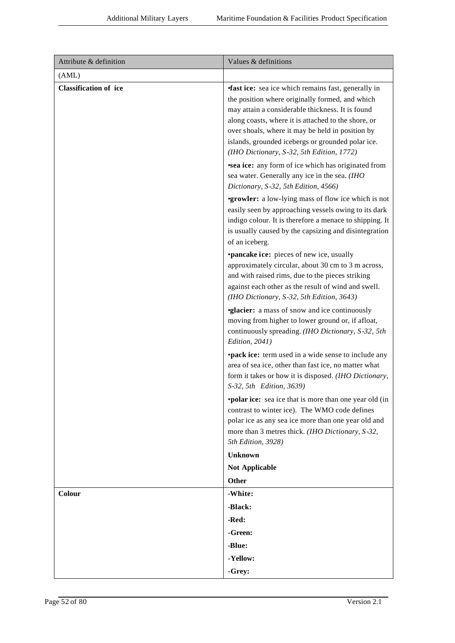| Attribute & definition       | Values & definitions                                                                                                                                                                                                                                                                                                                                                          |
|------------------------------|-------------------------------------------------------------------------------------------------------------------------------------------------------------------------------------------------------------------------------------------------------------------------------------------------------------------------------------------------------------------------------|
| (AML)                        |                                                                                                                                                                                                                                                                                                                                                                               |
| <b>Classification of ice</b> | <b>fast ice:</b> sea ice which remains fast, generally in<br>the position where originally formed, and which<br>may attain a considerable thickness. It is found<br>along coasts, where it is attached to the shore, or<br>over shoals, where it may be held in position by<br>islands, grounded icebergs or grounded polar ice.<br>(IHO Dictionary, S-32, 5th Edition, 1772) |
|                              | <b>sea ice:</b> any form of ice which has originated from<br>sea water. Generally any ice in the sea. (IHO<br>Dictionary, S-32, 5th Edition, 4566)                                                                                                                                                                                                                            |
|                              | <b>•growler:</b> a low-lying mass of flow ice which is not<br>easily seen by approaching vessels owing to its dark<br>indigo colour. It is therefore a menace to shipping. It<br>is usually caused by the capsizing and disintegration<br>of an iceberg.                                                                                                                      |
|                              | <b>•pancake ice:</b> pieces of new ice, usually<br>approximately circular, about 30 cm to 3 m across,<br>and with raised rims, due to the pieces striking<br>against each other as the result of wind and swell.<br>(IHO Dictionary, S-32, 5th Edition, 3643)                                                                                                                 |
|                              | <b>glacier:</b> a mass of snow and ice continuously<br>moving from higher to lower ground or, if afloat,<br>continuously spreading. (IHO Dictionary, S-32, 5th<br>Edition, 2041)                                                                                                                                                                                              |
|                              | <b>•pack ice:</b> term used in a wide sense to include any<br>area of sea ice, other than fast ice, no matter what<br>form it takes or how it is disposed. (IHO Dictionary,<br>S-32, 5th Edition, 3639)                                                                                                                                                                       |
|                              | <b>•polar ice:</b> sea ice that is more than one year old (in<br>contrast to winter ice). The WMO code defines<br>polar ice as any sea ice more than one year old and<br>more than 3 metres thick. (IHO Dictionary, S-32,<br>5th Edition, 3928)                                                                                                                               |
|                              | <b>Unknown</b>                                                                                                                                                                                                                                                                                                                                                                |
|                              | <b>Not Applicable</b>                                                                                                                                                                                                                                                                                                                                                         |
|                              | Other                                                                                                                                                                                                                                                                                                                                                                         |
| Colour                       | -White:                                                                                                                                                                                                                                                                                                                                                                       |
|                              | -Black:                                                                                                                                                                                                                                                                                                                                                                       |
|                              | -Red:<br>-Green:                                                                                                                                                                                                                                                                                                                                                              |
|                              | -Blue:                                                                                                                                                                                                                                                                                                                                                                        |
|                              | -Yellow:                                                                                                                                                                                                                                                                                                                                                                      |
|                              | -Grey:                                                                                                                                                                                                                                                                                                                                                                        |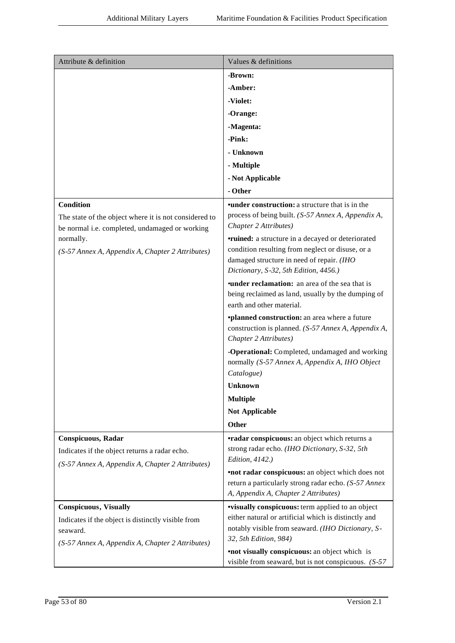| Attribute & definition                                                                                  | Values & definitions                                                                                                                 |
|---------------------------------------------------------------------------------------------------------|--------------------------------------------------------------------------------------------------------------------------------------|
|                                                                                                         | -Brown:                                                                                                                              |
|                                                                                                         | -Amber:                                                                                                                              |
|                                                                                                         | -Violet:                                                                                                                             |
|                                                                                                         | -Orange:                                                                                                                             |
|                                                                                                         | -Magenta:                                                                                                                            |
|                                                                                                         | -Pink:                                                                                                                               |
|                                                                                                         | - Unknown                                                                                                                            |
|                                                                                                         | - Multiple                                                                                                                           |
|                                                                                                         | - Not Applicable                                                                                                                     |
|                                                                                                         | - Other                                                                                                                              |
| <b>Condition</b>                                                                                        | <b>•under construction:</b> a structure that is in the                                                                               |
| The state of the object where it is not considered to<br>be normal i.e. completed, undamaged or working | process of being built. (S-57 Annex A, Appendix A,<br>Chapter 2 Attributes)                                                          |
| normally.                                                                                               | <b>•ruined:</b> a structure in a decayed or deteriorated                                                                             |
| (S-57 Annex A, Appendix A, Chapter 2 Attributes)                                                        | condition resulting from neglect or disuse, or a<br>damaged structure in need of repair. (IHO                                        |
|                                                                                                         | Dictionary, S-32, 5th Edition, 4456.)                                                                                                |
|                                                                                                         | <b>under reclamation:</b> an area of the sea that is<br>being reclaimed as land, usually by the dumping of                           |
|                                                                                                         | earth and other material.                                                                                                            |
|                                                                                                         | <i>*planned construction: an area where a future</i><br>construction is planned. (S-57 Annex A, Appendix A,<br>Chapter 2 Attributes) |
|                                                                                                         | -Operational: Completed, undamaged and working<br>normally (S-57 Annex A, Appendix A, IHO Object                                     |
|                                                                                                         | Catalogue)                                                                                                                           |
|                                                                                                         | <b>Unknown</b>                                                                                                                       |
|                                                                                                         | <b>Multiple</b>                                                                                                                      |
|                                                                                                         | <b>Not Applicable</b>                                                                                                                |
|                                                                                                         | Other                                                                                                                                |
| Conspicuous, Radar                                                                                      | <b>•radar conspicuous:</b> an object which returns a                                                                                 |
| Indicates if the object returns a radar echo.                                                           | strong radar echo. (IHO Dictionary, S-32, 5th                                                                                        |
| (S-57 Annex A, Appendix A, Chapter 2 Attributes)                                                        | Edition, 4142.)                                                                                                                      |
|                                                                                                         | <b>•not radar conspicuous:</b> an object which does not<br>return a particularly strong radar echo. (S-57 Annex                      |
|                                                                                                         | A, Appendix A, Chapter 2 Attributes)                                                                                                 |
| <b>Conspicuous</b> , Visually                                                                           | <b>visually conspicuous:</b> term applied to an object                                                                               |
| Indicates if the object is distinctly visible from                                                      | either natural or artificial which is distinctly and                                                                                 |
| seaward.                                                                                                | notably visible from seaward. (IHO Dictionary, S-<br>32, 5th Edition, 984)                                                           |
| (S-57 Annex A, Appendix A, Chapter 2 Attributes)                                                        |                                                                                                                                      |
|                                                                                                         | <b>•not visually conspicuous:</b> an object which is<br>visible from seaward, but is not conspicuous. $(S-57)$                       |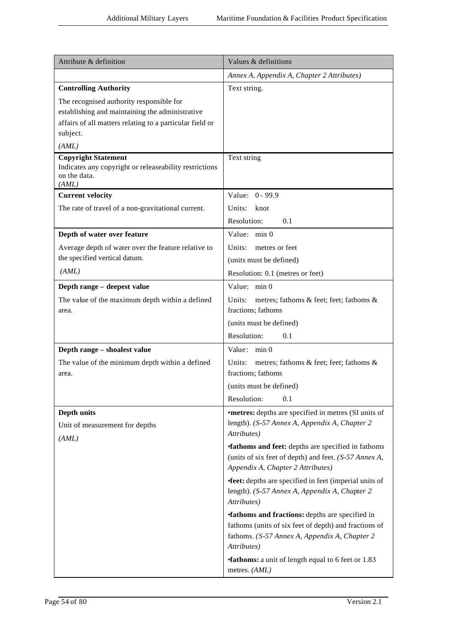| Attribute & definition                                                                                                                                                       | Values & definitions                                                                                                                                                           |
|------------------------------------------------------------------------------------------------------------------------------------------------------------------------------|--------------------------------------------------------------------------------------------------------------------------------------------------------------------------------|
|                                                                                                                                                                              | Annex A, Appendix A, Chapter 2 Attributes)                                                                                                                                     |
| <b>Controlling Authority</b>                                                                                                                                                 | Text string.                                                                                                                                                                   |
| The recognised authority responsible for<br>establishing and maintaining the administrative<br>affairs of all matters relating to a particular field or<br>subject.<br>(AML) |                                                                                                                                                                                |
| <b>Copyright Statement</b><br>Indicates any copyright or releaseability restrictions<br>on the data.<br>(AML)                                                                | Text string                                                                                                                                                                    |
| <b>Current velocity</b>                                                                                                                                                      | Value: 0 - 99.9                                                                                                                                                                |
| The rate of travel of a non-gravitational current.                                                                                                                           | Units:<br>knot<br>0.1<br>Resolution:                                                                                                                                           |
| Depth of water over feature                                                                                                                                                  | Value: min 0                                                                                                                                                                   |
| Average depth of water over the feature relative to                                                                                                                          | Units:<br>metres or feet                                                                                                                                                       |
| the specified vertical datum.                                                                                                                                                | (units must be defined)                                                                                                                                                        |
| (AML)                                                                                                                                                                        | Resolution: 0.1 (metres or feet)                                                                                                                                               |
| Depth range - deepest value                                                                                                                                                  | Value: min 0                                                                                                                                                                   |
| The value of the maximum depth within a defined<br>area.                                                                                                                     | Units:<br>metres; fathoms & feet; feet; fathoms &<br>fractions; fathoms                                                                                                        |
|                                                                                                                                                                              | (units must be defined)                                                                                                                                                        |
|                                                                                                                                                                              | Resolution:<br>0.1                                                                                                                                                             |
| Depth range - shoalest value                                                                                                                                                 | Value: min 0                                                                                                                                                                   |
| The value of the minimum depth within a defined<br>area.                                                                                                                     | metres; fathoms & feet; feet; fathoms &<br>Units:<br>fractions; fathoms                                                                                                        |
|                                                                                                                                                                              | (units must be defined)                                                                                                                                                        |
|                                                                                                                                                                              | Resolution:<br>0.1                                                                                                                                                             |
| Depth units<br>Unit of measurement for depths                                                                                                                                | <b>•metres:</b> depths are specified in metres (SI units of<br>length). (S-57 Annex A, Appendix A, Chapter 2<br>Attributes)                                                    |
| (AML)                                                                                                                                                                        | <b>fathoms and feet:</b> depths are specified in fathoms<br>(units of six feet of depth) and feet. (S-57 Annex A,<br>Appendix A, Chapter 2 Attributes)                         |
|                                                                                                                                                                              | <b>feet:</b> depths are specified in feet (imperial units of<br>length). (S-57 Annex A, Appendix A, Chapter 2<br>Attributes)                                                   |
|                                                                                                                                                                              | <b>fathoms and fractions:</b> depths are specified in<br>fathoms (units of six feet of depth) and fractions of<br>fathoms. (S-57 Annex A, Appendix A, Chapter 2<br>Attributes) |
|                                                                                                                                                                              | <b>fathoms:</b> a unit of length equal to 6 feet or 1.83<br>metres. (AML)                                                                                                      |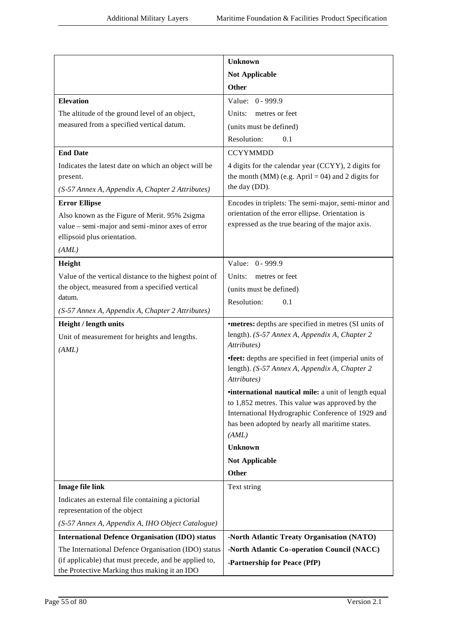| <b>Unknown</b>                                                                                                                        |  |
|---------------------------------------------------------------------------------------------------------------------------------------|--|
| <b>Not Applicable</b>                                                                                                                 |  |
| <b>Other</b>                                                                                                                          |  |
| <b>Elevation</b><br>Value: 0 - 999.9                                                                                                  |  |
| The altitude of the ground level of an object,<br>Units:<br>metres or feet                                                            |  |
| measured from a specified vertical datum.<br>(units must be defined)                                                                  |  |
| Resolution:<br>0.1                                                                                                                    |  |
| <b>End Date</b><br><b>CCYYMMDD</b>                                                                                                    |  |
| Indicates the latest date on which an object will be<br>4 digits for the calendar year (CCYY), 2 digits for                           |  |
| the month (MM) (e.g. April = 04) and 2 digits for<br>present.                                                                         |  |
| the day (DD).<br>(S-57 Annex A, Appendix A, Chapter 2 Attributes)                                                                     |  |
| Encodes in triplets: The semi-major, semi-minor and<br><b>Error Ellipse</b>                                                           |  |
| orientation of the error ellipse. Orientation is<br>Also known as the Figure of Merit. 95% 2sigma                                     |  |
| expressed as the true bearing of the major axis.<br>value – semi-major and semi-minor axes of error                                   |  |
| ellipsoid plus orientation.                                                                                                           |  |
| (AML)                                                                                                                                 |  |
| Height<br>Value: 0 - 999.9                                                                                                            |  |
| Value of the vertical distance to the highest point of<br>Units:<br>metres or feet                                                    |  |
| the object, measured from a specified vertical<br>(units must be defined)<br>datum.                                                   |  |
| Resolution:<br>0.1<br>(S-57 Annex A, Appendix A, Chapter 2 Attributes)                                                                |  |
| Height / length units<br><b>•metres:</b> depths are specified in metres (SI units of                                                  |  |
| length). (S-57 Annex A, Appendix A, Chapter 2<br>Unit of measurement for heights and lengths.                                         |  |
| Attributes)<br>(AML)                                                                                                                  |  |
| <b>•feet:</b> depths are specified in feet (imperial units of                                                                         |  |
| length). (S-57 Annex A, Appendix A, Chapter 2                                                                                         |  |
| Attributes)                                                                                                                           |  |
| <i>international nautical mile: a unit of length equal</i>                                                                            |  |
| to 1,852 metres. This value was approved by the<br>International Hydrographic Conference of 1929 and                                  |  |
| has been adopted by nearly all maritime states.                                                                                       |  |
| (AML)                                                                                                                                 |  |
| <b>Unknown</b>                                                                                                                        |  |
| <b>Not Applicable</b>                                                                                                                 |  |
| Other                                                                                                                                 |  |
| <b>Image file link</b><br>Text string                                                                                                 |  |
| Indicates an external file containing a pictorial                                                                                     |  |
| representation of the object                                                                                                          |  |
| (S-57 Annex A, Appendix A, IHO Object Catalogue)                                                                                      |  |
| <b>International Defence Organisation (IDO) status</b><br>-North Atlantic Treaty Organisation (NATO)                                  |  |
| The International Defence Organisation (IDO) status<br>-North Atlantic Co-operation Council (NACC)                                    |  |
| (if applicable) that must precede, and be applied to,<br>-Partnership for Peace (PfP)<br>the Protective Marking thus making it an IDO |  |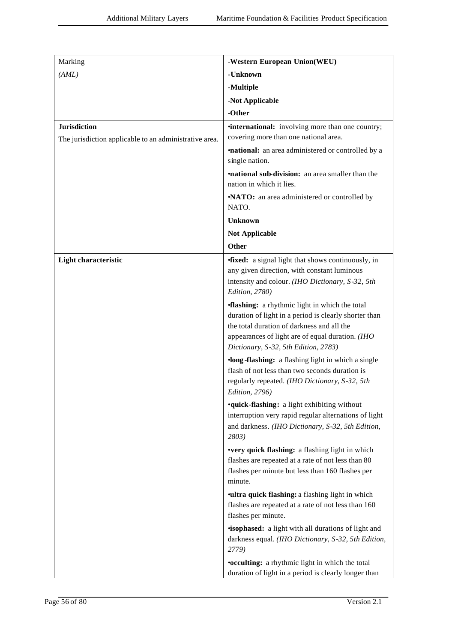| Marking                                                                       | -Western European Union(WEU)                                                                                                                                                                                                                            |
|-------------------------------------------------------------------------------|---------------------------------------------------------------------------------------------------------------------------------------------------------------------------------------------------------------------------------------------------------|
| (AML)                                                                         | -Unknown                                                                                                                                                                                                                                                |
|                                                                               | -Multiple                                                                                                                                                                                                                                               |
|                                                                               | -Not Applicable                                                                                                                                                                                                                                         |
|                                                                               | -Other                                                                                                                                                                                                                                                  |
| <b>Jurisdiction</b><br>The jurisdiction applicable to an administrative area. | <i>international:</i> involving more than one country;<br>covering more than one national area.                                                                                                                                                         |
|                                                                               | <b>mational:</b> an area administered or controlled by a<br>single nation.                                                                                                                                                                              |
|                                                                               | <b>mational sub-division:</b> an area smaller than the<br>nation in which it lies.                                                                                                                                                                      |
|                                                                               | •NATO: an area administered or controlled by<br>NATO.                                                                                                                                                                                                   |
|                                                                               | <b>Unknown</b>                                                                                                                                                                                                                                          |
|                                                                               | <b>Not Applicable</b>                                                                                                                                                                                                                                   |
|                                                                               | Other                                                                                                                                                                                                                                                   |
| Light characteristic                                                          | <b>fixed:</b> a signal light that shows continuously, in<br>any given direction, with constant luminous<br>intensity and colour. (IHO Dictionary, S-32, 5th<br>Edition, 2780)                                                                           |
|                                                                               | <b>flashing:</b> a rhythmic light in which the total<br>duration of light in a period is clearly shorter than<br>the total duration of darkness and all the<br>appearances of light are of equal duration. (IHO<br>Dictionary, S-32, 5th Edition, 2783) |
|                                                                               | ·long-flashing: a flashing light in which a single<br>flash of not less than two seconds duration is<br>regularly repeated. (IHO Dictionary, S-32, 5th<br><i>Edition</i> , 2796)                                                                        |
|                                                                               | <b>•quick-flashing:</b> a light exhibiting without<br>interruption very rapid regular alternations of light<br>and darkness. (IHO Dictionary, S-32, 5th Edition,<br>2803)                                                                               |
|                                                                               | •very quick flashing: a flashing light in which<br>flashes are repeated at a rate of not less than 80<br>flashes per minute but less than 160 flashes per<br>minute.                                                                                    |
|                                                                               | <b>ultra quick flashing:</b> a flashing light in which<br>flashes are repeated at a rate of not less than 160<br>flashes per minute.                                                                                                                    |
|                                                                               | <b>isophased:</b> a light with all durations of light and<br>darkness equal. (IHO Dictionary, S-32, 5th Edition,<br>2779)                                                                                                                               |
|                                                                               | <b>.occulting:</b> a rhythmic light in which the total<br>duration of light in a period is clearly longer than                                                                                                                                          |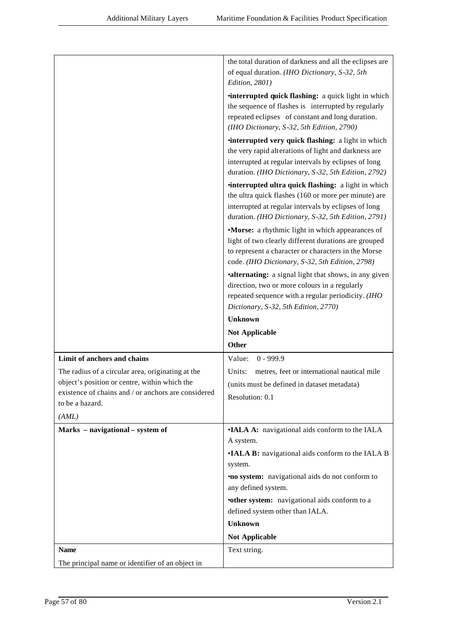|                                                     | the total duration of darkness and all the eclipses are   |
|-----------------------------------------------------|-----------------------------------------------------------|
|                                                     | of equal duration. (IHO Dictionary, S-32, 5th             |
|                                                     | Edition, 2801)                                            |
|                                                     | <b>interrupted quick flashing:</b> a quick light in which |
|                                                     | the sequence of flashes is interrupted by regularly       |
|                                                     | repeated eclipses of constant and long duration.          |
|                                                     | (IHO Dictionary, S-32, 5th Edition, 2790)                 |
|                                                     |                                                           |
|                                                     | <i>interrupted very quick flashing: a light in which</i>  |
|                                                     | the very rapid alterations of light and darkness are      |
|                                                     | interrupted at regular intervals by eclipses of long      |
|                                                     | duration. (IHO Dictionary, S-32, 5th Edition, 2792)       |
|                                                     | <i>interrupted ultra quick flashing: a light in which</i> |
|                                                     | the ultra quick flashes (160 or more per minute) are      |
|                                                     | interrupted at regular intervals by eclipses of long      |
|                                                     | duration. (IHO Dictionary, S-32, 5th Edition, 2791)       |
|                                                     | •Morse: a rhythmic light in which appearances of          |
|                                                     | light of two clearly different durations are grouped      |
|                                                     | to represent a character or characters in the Morse       |
|                                                     | code. (IHO Dictionary, S-32, 5th Edition, 2798)           |
|                                                     | •alternating: a signal light that shows, in any given     |
|                                                     | direction, two or more colours in a regularly             |
|                                                     | repeated sequence with a regular periodicity. (IHO        |
|                                                     | Dictionary, S-32, 5th Edition, 2770)                      |
|                                                     |                                                           |
|                                                     | <b>Unknown</b>                                            |
|                                                     | <b>Not Applicable</b>                                     |
|                                                     | <b>Other</b>                                              |
| Limit of anchors and chains                         | $0 - 999.9$<br>Value:                                     |
| The radius of a circular area, originating at the   | metres, feet or international nautical mile<br>Units:     |
| object's position or centre, within which the       | (units must be defined in dataset metadata)               |
| existence of chains and / or anchors are considered |                                                           |
| to be a hazard.                                     | Resolution: 0.1                                           |
| (AML)                                               |                                                           |
| Marks - navigational - system of                    | •IALA A: navigational aids conform to the IALA            |
|                                                     | A system.                                                 |
|                                                     | •IALA B: navigational aids conform to the IALA B          |
|                                                     | system.                                                   |
|                                                     | <b>no system:</b> navigational aids do not conform to     |
|                                                     | any defined system.                                       |
|                                                     | <b>•other system:</b> navigational aids conform to a      |
|                                                     | defined system other than IALA.                           |
|                                                     | <b>Unknown</b>                                            |
|                                                     | <b>Not Applicable</b>                                     |
| <b>Name</b>                                         | Text string.                                              |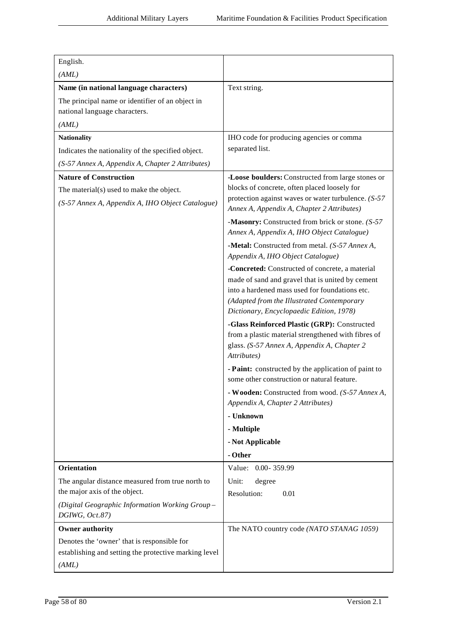| English.<br>(AML)                                                                 |                                                                                                     |
|-----------------------------------------------------------------------------------|-----------------------------------------------------------------------------------------------------|
|                                                                                   |                                                                                                     |
| Name (in national language characters)                                            | Text string.                                                                                        |
| The principal name or identifier of an object in<br>national language characters. |                                                                                                     |
| (AML)                                                                             |                                                                                                     |
| <b>Nationality</b>                                                                | IHO code for producing agencies or comma                                                            |
| Indicates the nationality of the specified object.                                | separated list.                                                                                     |
| (S-57 Annex A, Appendix A, Chapter 2 Attributes)                                  |                                                                                                     |
| <b>Nature of Construction</b>                                                     | -Loose boulders: Constructed from large stones or                                                   |
| The material(s) used to make the object.                                          | blocks of concrete, often placed loosely for                                                        |
| (S-57 Annex A, Appendix A, IHO Object Catalogue)                                  | protection against waves or water turbulence. (S-57<br>Annex A, Appendix A, Chapter 2 Attributes)   |
|                                                                                   | -Masonry: Constructed from brick or stone. (S-57                                                    |
|                                                                                   | Annex A, Appendix A, IHO Object Catalogue)                                                          |
|                                                                                   | -Metal: Constructed from metal. (S-57 Annex A,<br>Appendix A, IHO Object Catalogue)                 |
|                                                                                   | -Concreted: Constructed of concrete, a material                                                     |
|                                                                                   | made of sand and gravel that is united by cement                                                    |
|                                                                                   | into a hardened mass used for foundations etc.                                                      |
|                                                                                   | (Adapted from the Illustrated Contemporary<br>Dictionary, Encyclopaedic Edition, 1978)              |
|                                                                                   | -Glass Reinforced Plastic (GRP): Constructed<br>from a plastic material strengthened with fibres of |
|                                                                                   | glass. (S-57 Annex A, Appendix A, Chapter 2<br>Attributes)                                          |
|                                                                                   | - Paint: constructed by the application of paint to<br>some other construction or natural feature.  |
|                                                                                   | - Wooden: Constructed from wood. (S-57 Annex A,<br>Appendix A, Chapter 2 Attributes)                |
|                                                                                   | - Unknown                                                                                           |
|                                                                                   | - Multiple                                                                                          |
|                                                                                   | - Not Applicable                                                                                    |
|                                                                                   | - Other                                                                                             |
| Orientation                                                                       | Value: 0.00-359.99                                                                                  |
| The angular distance measured from true north to                                  | Unit:<br>degree                                                                                     |
| the major axis of the object.                                                     | Resolution:<br>0.01                                                                                 |
| (Digital Geographic Information Working Group-<br>DGIWG, Oct.87)                  |                                                                                                     |
| <b>Owner authority</b>                                                            | The NATO country code (NATO STANAG 1059)                                                            |
| Denotes the 'owner' that is responsible for                                       |                                                                                                     |
| establishing and setting the protective marking level                             |                                                                                                     |
| (AML)                                                                             |                                                                                                     |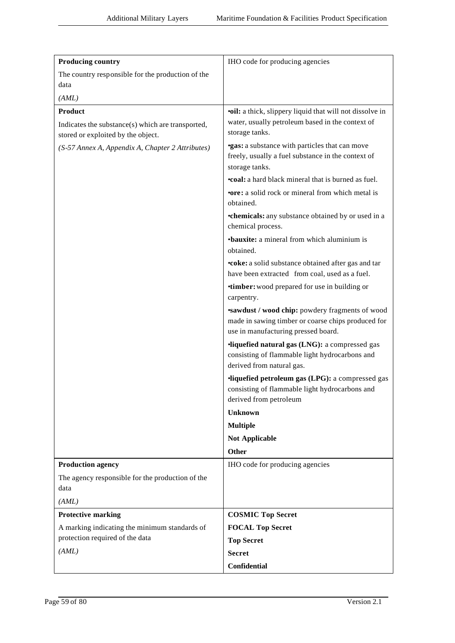| <b>Producing country</b>                                                                | IHO code for producing agencies                                                                                                             |
|-----------------------------------------------------------------------------------------|---------------------------------------------------------------------------------------------------------------------------------------------|
| The country responsible for the production of the                                       |                                                                                                                                             |
| data                                                                                    |                                                                                                                                             |
| (AML)                                                                                   |                                                                                                                                             |
| <b>Product</b>                                                                          | <b>•oil:</b> a thick, slippery liquid that will not dissolve in                                                                             |
| Indicates the substance(s) which are transported,<br>stored or exploited by the object. | water, usually petroleum based in the context of<br>storage tanks.                                                                          |
| (S-57 Annex A, Appendix A, Chapter 2 Attributes)                                        | <b>gas:</b> a substance with particles that can move<br>freely, usually a fuel substance in the context of<br>storage tanks.                |
|                                                                                         | <b>•coal:</b> a hard black mineral that is burned as fuel.                                                                                  |
|                                                                                         | <b>•ore:</b> a solid rock or mineral from which metal is<br>obtained.                                                                       |
|                                                                                         | <b>•chemicals:</b> any substance obtained by or used in a<br>chemical process.                                                              |
|                                                                                         | <b>•bauxite:</b> a mineral from which aluminium is<br>obtained.                                                                             |
|                                                                                         | •coke: a solid substance obtained after gas and tar<br>have been extracted from coal, used as a fuel.                                       |
|                                                                                         | <b>timber:</b> wood prepared for use in building or<br>carpentry.                                                                           |
|                                                                                         | sawdust / wood chip: powdery fragments of wood<br>made in sawing timber or coarse chips produced for<br>use in manufacturing pressed board. |
|                                                                                         | ·liquefied natural gas (LNG): a compressed gas<br>consisting of flammable light hydrocarbons and<br>derived from natural gas.               |
|                                                                                         | ·liquefied petroleum gas (LPG): a compressed gas<br>consisting of flammable light hydrocarbons and<br>derived from petroleum                |
|                                                                                         | <b>Unknown</b>                                                                                                                              |
|                                                                                         | <b>Multiple</b>                                                                                                                             |
|                                                                                         | <b>Not Applicable</b>                                                                                                                       |
|                                                                                         | <b>Other</b>                                                                                                                                |
| <b>Production agency</b>                                                                | IHO code for producing agencies                                                                                                             |
| The agency responsible for the production of the<br>data                                |                                                                                                                                             |
| (AML)                                                                                   |                                                                                                                                             |
| <b>Protective marking</b>                                                               | <b>COSMIC Top Secret</b>                                                                                                                    |
| A marking indicating the minimum standards of                                           | <b>FOCAL Top Secret</b>                                                                                                                     |
| protection required of the data                                                         | <b>Top Secret</b>                                                                                                                           |
| (AML)                                                                                   | <b>Secret</b>                                                                                                                               |
|                                                                                         | <b>Confidential</b>                                                                                                                         |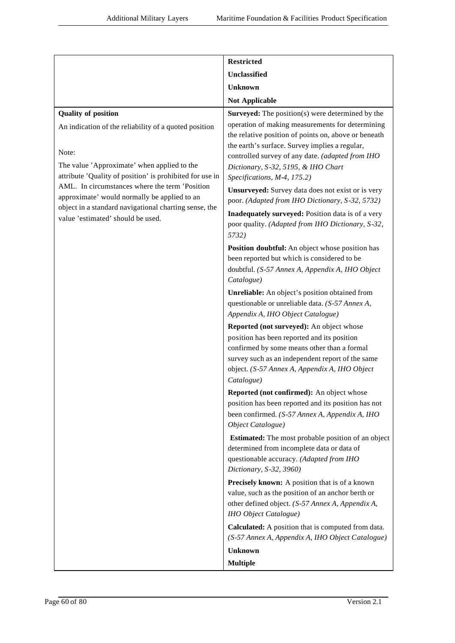|                                                                                                | <b>Restricted</b>                                                                                                                                                                                             |
|------------------------------------------------------------------------------------------------|---------------------------------------------------------------------------------------------------------------------------------------------------------------------------------------------------------------|
|                                                                                                | Unclassified                                                                                                                                                                                                  |
|                                                                                                | <b>Unknown</b>                                                                                                                                                                                                |
|                                                                                                | <b>Not Applicable</b>                                                                                                                                                                                         |
| <b>Quality of position</b>                                                                     | <b>Surveyed:</b> The position(s) were determined by the                                                                                                                                                       |
| An indication of the reliability of a quoted position                                          | operation of making measurements for determining<br>the relative position of points on, above or beneath<br>the earth's surface. Survey implies a regular,                                                    |
| Note:<br>The value 'Approximate' when applied to the                                           | controlled survey of any date. (adapted from IHO<br>Dictionary, S-32, 5195, & IHO Chart                                                                                                                       |
| attribute 'Quality of position' is prohibited for use in                                       | Specifications, M-4, 175.2)                                                                                                                                                                                   |
| AML. In circumstances where the term 'Position<br>approximate' would normally be applied to an | Unsurveyed: Survey data does not exist or is very<br>poor. (Adapted from IHO Dictionary, S-32, 5732)                                                                                                          |
| object in a standard navigational charting sense, the<br>value 'estimated' should be used.     | Inadequately surveyed: Position data is of a very<br>poor quality. (Adapted from IHO Dictionary, S-32,<br>5732)                                                                                               |
|                                                                                                | Position doubtful: An object whose position has<br>been reported but which is considered to be<br>doubtful. (S-57 Annex A, Appendix A, IHO Object<br>Catalogue)                                               |
|                                                                                                | Unreliable: An object's position obtained from<br>questionable or unreliable data. (S-57 Annex A,<br>Appendix A, IHO Object Catalogue)                                                                        |
|                                                                                                | Reported (not surveyed): An object whose                                                                                                                                                                      |
|                                                                                                | position has been reported and its position<br>confirmed by some means other than a formal<br>survey such as an independent report of the same<br>object. (S-57 Annex A, Appendix A, IHO Object<br>Catalogue) |
|                                                                                                | Reported (not confirmed): An object whose<br>position has been reported and its position has not<br>been confirmed. (S-57 Annex A, Appendix A, IHO<br>Object Catalogue)                                       |
|                                                                                                | <b>Estimated:</b> The most probable position of an object<br>determined from incomplete data or data of<br>questionable accuracy. (Adapted from IHO<br>Dictionary, S-32, 3960)                                |
|                                                                                                | Precisely known: A position that is of a known<br>value, such as the position of an anchor berth or<br>other defined object. (S-57 Annex A, Appendix A,<br>IHO Object Catalogue)                              |
|                                                                                                | <b>Calculated:</b> A position that is computed from data.<br>(S-57 Annex A, Appendix A, IHO Object Catalogue)                                                                                                 |
|                                                                                                | <b>Unknown</b>                                                                                                                                                                                                |
|                                                                                                | <b>Multiple</b>                                                                                                                                                                                               |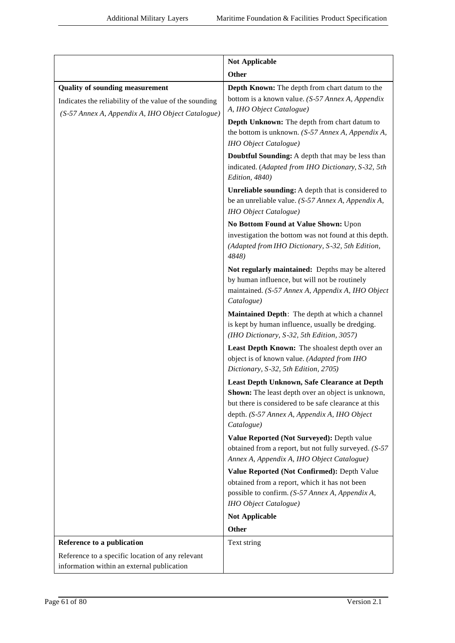|                                                                                                                                                      | <b>Not Applicable</b>                                                                                                                                                                                                   |
|------------------------------------------------------------------------------------------------------------------------------------------------------|-------------------------------------------------------------------------------------------------------------------------------------------------------------------------------------------------------------------------|
|                                                                                                                                                      | Other                                                                                                                                                                                                                   |
| <b>Quality of sounding measurement</b><br>Indicates the reliability of the value of the sounding<br>(S-57 Annex A, Appendix A, IHO Object Catalogue) | Depth Known: The depth from chart datum to the<br>bottom is a known value. (S-57 Annex A, Appendix<br>A, IHO Object Catalogue)                                                                                          |
|                                                                                                                                                      | Depth Unknown: The depth from chart datum to<br>the bottom is unknown. $(S-57 \text{ } \text{Annex A}, \text{ } \text{Appendix A},$<br><b>IHO</b> Object Catalogue)                                                     |
|                                                                                                                                                      | Doubtful Sounding: A depth that may be less than<br>indicated. (Adapted from IHO Dictionary, S-32, 5th<br>Edition, 4840)                                                                                                |
|                                                                                                                                                      | Unreliable sounding: A depth that is considered to<br>be an unreliable value. (S-57 Annex A, Appendix A,<br>IHO Object Catalogue)                                                                                       |
|                                                                                                                                                      | No Bottom Found at Value Shown: Upon<br>investigation the bottom was not found at this depth.<br>(Adapted from IHO Dictionary, S-32, 5th Edition,<br>4848)                                                              |
|                                                                                                                                                      | Not regularly maintained: Depths may be altered<br>by human influence, but will not be routinely<br>maintained. (S-57 Annex A, Appendix A, IHO Object<br>Catalogue)                                                     |
|                                                                                                                                                      | Maintained Depth: The depth at which a channel<br>is kept by human influence, usually be dredging.<br>(IHO Dictionary, S-32, 5th Edition, 3057)                                                                         |
|                                                                                                                                                      | Least Depth Known: The shoalest depth over an<br>object is of known value. (Adapted from IHO<br>Dictionary, S-32, 5th Edition, 2705)                                                                                    |
|                                                                                                                                                      | Least Depth Unknown, Safe Clearance at Depth<br>Shown: The least depth over an object is unknown,<br>but there is considered to be safe clearance at this<br>depth. (S-57 Annex A, Appendix A, IHO Object<br>Catalogue) |
|                                                                                                                                                      | Value Reported (Not Surveyed): Depth value<br>obtained from a report, but not fully surveyed. (S-57)<br>Annex A, Appendix A, IHO Object Catalogue)                                                                      |
|                                                                                                                                                      | Value Reported (Not Confirmed): Depth Value<br>obtained from a report, which it has not been<br>possible to confirm. (S-57 Annex A, Appendix A,<br>IHO Object Catalogue)                                                |
|                                                                                                                                                      | <b>Not Applicable</b>                                                                                                                                                                                                   |
|                                                                                                                                                      | Other                                                                                                                                                                                                                   |
| Reference to a publication                                                                                                                           | Text string                                                                                                                                                                                                             |
| Reference to a specific location of any relevant<br>information within an external publication                                                       |                                                                                                                                                                                                                         |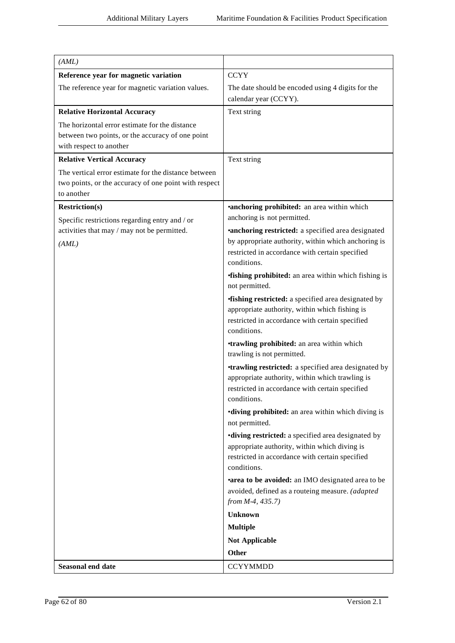| (AML)                                                                                                                         |                                                                                                                                                                                    |
|-------------------------------------------------------------------------------------------------------------------------------|------------------------------------------------------------------------------------------------------------------------------------------------------------------------------------|
| Reference year for magnetic variation                                                                                         | <b>CCYY</b>                                                                                                                                                                        |
| The reference year for magnetic variation values.                                                                             | The date should be encoded using 4 digits for the<br>calendar year (CCYY).                                                                                                         |
| <b>Relative Horizontal Accuracy</b>                                                                                           | Text string                                                                                                                                                                        |
| The horizontal error estimate for the distance<br>between two points, or the accuracy of one point<br>with respect to another |                                                                                                                                                                                    |
| <b>Relative Vertical Accuracy</b>                                                                                             | Text string                                                                                                                                                                        |
| The vertical error estimate for the distance between<br>two points, or the accuracy of one point with respect<br>to another   |                                                                                                                                                                                    |
| <b>Restriction(s)</b>                                                                                                         | <b>•anchoring prohibited:</b> an area within which                                                                                                                                 |
| Specific restrictions regarding entry and / or                                                                                | anchoring is not permitted.                                                                                                                                                        |
| activities that may / may not be permitted.<br>(AML)                                                                          | <b>*anchoring restricted:</b> a specified area designated<br>by appropriate authority, within which anchoring is<br>restricted in accordance with certain specified<br>conditions. |
|                                                                                                                               | <b>fishing prohibited:</b> an area within which fishing is<br>not permitted.                                                                                                       |
|                                                                                                                               | <b>fishing restricted:</b> a specified area designated by<br>appropriate authority, within which fishing is<br>restricted in accordance with certain specified<br>conditions.      |
|                                                                                                                               | <b>•trawling prohibited:</b> an area within which<br>trawling is not permitted.                                                                                                    |
|                                                                                                                               | <b>•trawling restricted:</b> a specified area designated by<br>appropriate authority, within which trawling is<br>restricted in accordance with certain specified<br>conditions.   |
|                                                                                                                               | <b>•diving prohibited:</b> an area within which diving is<br>not permitted.                                                                                                        |
|                                                                                                                               | <b>•diving restricted:</b> a specified area designated by<br>appropriate authority, within which diving is<br>restricted in accordance with certain specified<br>conditions.       |
|                                                                                                                               | <b>area to be avoided:</b> an IMO designated area to be<br>avoided, defined as a routeing measure. (adapted<br>from $M-4$ , 435.7)                                                 |
|                                                                                                                               | <b>Unknown</b>                                                                                                                                                                     |
|                                                                                                                               | <b>Multiple</b>                                                                                                                                                                    |
|                                                                                                                               | <b>Not Applicable</b>                                                                                                                                                              |
|                                                                                                                               | <b>Other</b>                                                                                                                                                                       |
| Seasonal end date                                                                                                             | <b>CCYYMMDD</b>                                                                                                                                                                    |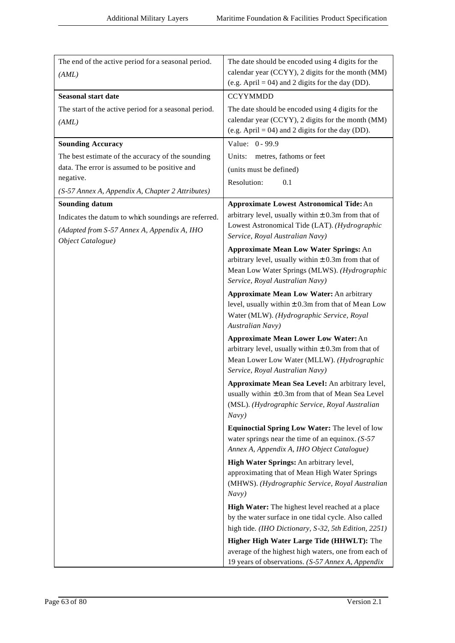| The end of the active period for a seasonal period.              | The date should be encoded using 4 digits for the                                                                                                                                           |
|------------------------------------------------------------------|---------------------------------------------------------------------------------------------------------------------------------------------------------------------------------------------|
| (AML)                                                            | calendar year (CCYY), 2 digits for the month (MM)                                                                                                                                           |
|                                                                  | (e.g. April = 04) and 2 digits for the day (DD).                                                                                                                                            |
| <b>Seasonal start date</b>                                       | <b>CCYYMMDD</b>                                                                                                                                                                             |
| The start of the active period for a seasonal period.            | The date should be encoded using 4 digits for the                                                                                                                                           |
| (AML)                                                            | calendar year (CCYY), 2 digits for the month (MM)                                                                                                                                           |
|                                                                  | (e.g. April = 04) and 2 digits for the day (DD).                                                                                                                                            |
| <b>Sounding Accuracy</b>                                         | Value: 0 - 99.9                                                                                                                                                                             |
| The best estimate of the accuracy of the sounding                | Units:<br>metres, fathoms or feet                                                                                                                                                           |
| data. The error is assumed to be positive and<br>negative.       | (units must be defined)                                                                                                                                                                     |
| (S-57 Annex A, Appendix A, Chapter 2 Attributes)                 | Resolution:<br>0.1                                                                                                                                                                          |
| <b>Sounding datum</b>                                            | <b>Approximate Lowest Astronomical Tide: An</b>                                                                                                                                             |
|                                                                  | arbitrary level, usually within $\pm$ 0.3m from that of                                                                                                                                     |
| Indicates the datum to which soundings are referred.             | Lowest Astronomical Tide (LAT). (Hydrographic                                                                                                                                               |
| (Adapted from S-57 Annex A, Appendix A, IHO<br>Object Catalogue) | Service, Royal Australian Navy)                                                                                                                                                             |
|                                                                  | <b>Approximate Mean Low Water Springs: An</b><br>arbitrary level, usually within $\pm$ 0.3m from that of<br>Mean Low Water Springs (MLWS). (Hydrographic<br>Service, Royal Australian Navy) |
|                                                                  |                                                                                                                                                                                             |
|                                                                  | <b>Approximate Mean Low Water: An arbitrary</b><br>level, usually within $\pm$ 0.3m from that of Mean Low<br>Water (MLW). (Hydrographic Service, Royal<br>Australian Navy)                  |
|                                                                  | <b>Approximate Mean Lower Low Water: An</b><br>arbitrary level, usually within $\pm$ 0.3m from that of<br>Mean Lower Low Water (MLLW). (Hydrographic<br>Service, Royal Australian Navy)     |
|                                                                  | Approximate Mean Sea Level: An arbitrary level,<br>usually within $\pm$ 0.3m from that of Mean Sea Level<br>(MSL). (Hydrographic Service, Royal Australian<br>Navy)                         |
|                                                                  | Equinoctial Spring Low Water: The level of low                                                                                                                                              |
|                                                                  | water springs near the time of an equinox. $(S-57)$<br>Annex A, Appendix A, IHO Object Catalogue)                                                                                           |
|                                                                  | High Water Springs: An arbitrary level,<br>approximating that of Mean High Water Springs<br>(MHWS). (Hydrographic Service, Royal Australian<br>Navy)                                        |
|                                                                  | High Water: The highest level reached at a place                                                                                                                                            |
|                                                                  | by the water surface in one tidal cycle. Also called                                                                                                                                        |
|                                                                  | high tide. (IHO Dictionary, S-32, 5th Edition, 2251)                                                                                                                                        |
|                                                                  | Higher High Water Large Tide (HHWLT): The                                                                                                                                                   |
|                                                                  | average of the highest high waters, one from each of<br>19 years of observations. (S-57 Annex A, Appendix                                                                                   |
|                                                                  |                                                                                                                                                                                             |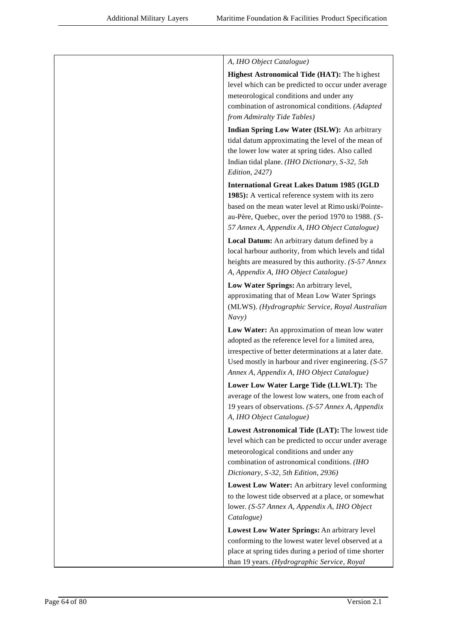| A, IHO Object Catalogue)                                                                                                                                                                                                                                              |
|-----------------------------------------------------------------------------------------------------------------------------------------------------------------------------------------------------------------------------------------------------------------------|
| <b>Highest Astronomical Tide (HAT): The highest</b><br>level which can be predicted to occur under average<br>meteorological conditions and under any<br>combination of astronomical conditions. (Adapted<br>from Admiralty Tide Tables)                              |
| Indian Spring Low Water (ISLW): An arbitrary<br>tidal datum approximating the level of the mean of<br>the lower low water at spring tides. Also called<br>Indian tidal plane. (IHO Dictionary, S-32, 5th<br>Edition, 2427)                                            |
| <b>International Great Lakes Datum 1985 (IGLD</b><br>1985): A vertical reference system with its zero<br>based on the mean water level at Rimo uski/Pointe-<br>au-Père, Quebec, over the period 1970 to 1988. (S-<br>57 Annex A, Appendix A, IHO Object Catalogue)    |
| Local Datum: An arbitrary datum defined by a<br>local harbour authority, from which levels and tidal<br>heights are measured by this authority. (S-57 Annex<br>A, Appendix A, IHO Object Catalogue)                                                                   |
| Low Water Springs: An arbitrary level,<br>approximating that of Mean Low Water Springs<br>(MLWS). (Hydrographic Service, Royal Australian<br>Navy)                                                                                                                    |
| Low Water: An approximation of mean low water<br>adopted as the reference level for a limited area,<br>irrespective of better determinations at a later date.<br>Used mostly in harbour and river engineering. $(S-57)$<br>Annex A, Appendix A, IHO Object Catalogue) |
| Lower Low Water Large Tide (LLWLT): The                                                                                                                                                                                                                               |
| average of the lowest low waters, one from each of<br>19 years of observations. (S-57 Annex A, Appendix<br>A, IHO Object Catalogue)                                                                                                                                   |
| Lowest Astronomical Tide (LAT): The lowest tide<br>level which can be predicted to occur under average<br>meteorological conditions and under any<br>combination of astronomical conditions. (IHO<br>Dictionary, S-32, 5th Edition, 2936)                             |
| Lowest Low Water: An arbitrary level conforming                                                                                                                                                                                                                       |
| to the lowest tide observed at a place, or somewhat<br>lower. (S-57 Annex A, Appendix A, IHO Object<br>Catalogue)                                                                                                                                                     |
| Lowest Low Water Springs: An arbitrary level                                                                                                                                                                                                                          |
| conforming to the lowest water level observed at a<br>place at spring tides during a period of time shorter<br>than 19 years. (Hydrographic Service, Royal                                                                                                            |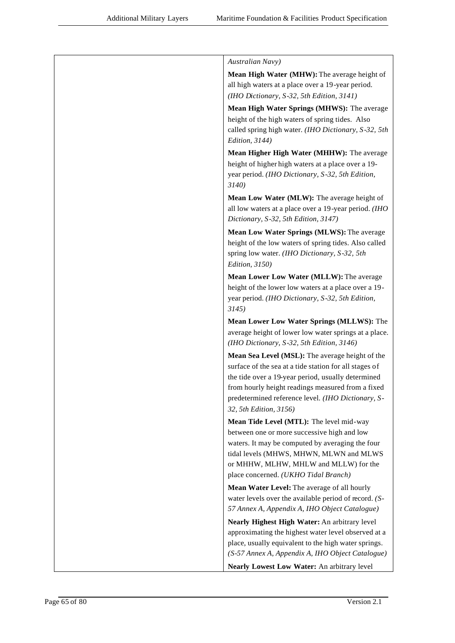| Australian Navy)                                                                                                                                                                                                                                                                                     |
|------------------------------------------------------------------------------------------------------------------------------------------------------------------------------------------------------------------------------------------------------------------------------------------------------|
| Mean High Water (MHW): The average height of<br>all high waters at a place over a 19-year period.<br>(IHO Dictionary, S-32, 5th Edition, 3141)                                                                                                                                                       |
| Mean High Water Springs (MHWS): The average<br>height of the high waters of spring tides. Also<br>called spring high water. (IHO Dictionary, S-32, 5th<br>Edition, 3144)                                                                                                                             |
| Mean Higher High Water (MHHW): The average                                                                                                                                                                                                                                                           |
| height of higher high waters at a place over a 19-<br>year period. (IHO Dictionary, S-32, 5th Edition,<br>3140)                                                                                                                                                                                      |
| Mean Low Water (MLW): The average height of<br>all low waters at a place over a 19-year period. (IHO<br>Dictionary, S-32, 5th Edition, 3147)                                                                                                                                                         |
| Mean Low Water Springs (MLWS): The average<br>height of the low waters of spring tides. Also called<br>spring low water. (IHO Dictionary, S-32, 5th<br>Edition, 3150)                                                                                                                                |
| Mean Lower Low Water (MLLW): The average<br>height of the lower low waters at a place over a 19-<br>year period. (IHO Dictionary, S-32, 5th Edition,<br>3145)                                                                                                                                        |
| Mean Lower Low Water Springs (MLLWS): The<br>average height of lower low water springs at a place.<br>(IHO Dictionary, S-32, 5th Edition, 3146)                                                                                                                                                      |
| Mean Sea Level (MSL): The average height of the<br>surface of the sea at a tide station for all stages of<br>the tide over a 19-year period, usually determined<br>from hourly height readings measured from a fixed<br>predetermined reference level. (IHO Dictionary, S-<br>32, 5th Edition, 3156) |
| Mean Tide Level (MTL): The level mid-way                                                                                                                                                                                                                                                             |
| between one or more successive high and low<br>waters. It may be computed by averaging the four<br>tidal levels (MHWS, MHWN, MLWN and MLWS<br>or MHHW, MLHW, MHLW and MLLW) for the<br>place concerned. (UKHO Tidal Branch)                                                                          |
| Mean Water Level: The average of all hourly                                                                                                                                                                                                                                                          |
| water levels over the available period of record. (S-<br>57 Annex A, Appendix A, IHO Object Catalogue)                                                                                                                                                                                               |
| Nearly Highest High Water: An arbitrary level<br>approximating the highest water level observed at a<br>place, usually equivalent to the high water springs.<br>(S-57 Annex A, Appendix A, IHO Object Catalogue)                                                                                     |
| Nearly Lowest Low Water: An arbitrary level                                                                                                                                                                                                                                                          |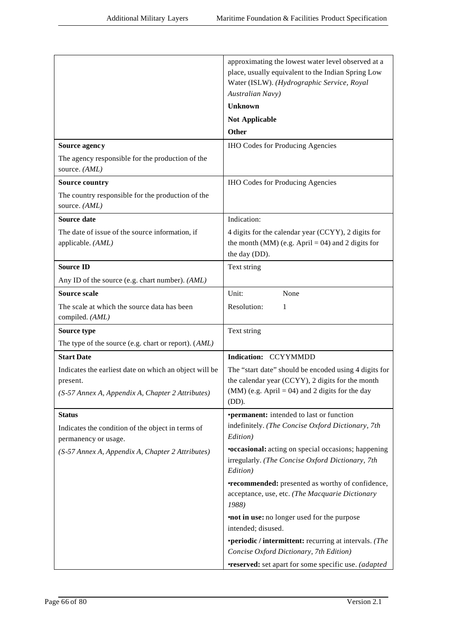|                                                                           | approximating the lowest water level observed at a<br>place, usually equivalent to the Indian Spring Low<br>Water (ISLW). (Hydrographic Service, Royal |
|---------------------------------------------------------------------------|--------------------------------------------------------------------------------------------------------------------------------------------------------|
|                                                                           | Australian Navy)                                                                                                                                       |
|                                                                           | <b>Unknown</b>                                                                                                                                         |
|                                                                           | <b>Not Applicable</b>                                                                                                                                  |
|                                                                           | <b>Other</b>                                                                                                                                           |
| Source agency                                                             | <b>IHO Codes for Producing Agencies</b>                                                                                                                |
| The agency responsible for the production of the<br>source. (AML)         |                                                                                                                                                        |
| <b>Source country</b>                                                     | <b>IHO Codes for Producing Agencies</b>                                                                                                                |
| The country responsible for the production of the<br>source. (AML)        |                                                                                                                                                        |
| Source date                                                               | Indication:                                                                                                                                            |
| The date of issue of the source information, if<br>applicable. (AML)      | 4 digits for the calendar year (CCYY), 2 digits for<br>the month (MM) (e.g. April = 04) and 2 digits for<br>the day (DD).                              |
| <b>Source ID</b>                                                          | Text string                                                                                                                                            |
| Any ID of the source (e.g. chart number). (AML)                           |                                                                                                                                                        |
| <b>Source scale</b>                                                       | Unit:<br>None                                                                                                                                          |
| The scale at which the source data has been<br>compiled. (AML)            | Resolution:<br>1                                                                                                                                       |
| Source type                                                               | Text string                                                                                                                                            |
| The type of the source (e.g. chart or report). (AML)                      |                                                                                                                                                        |
| <b>Start Date</b>                                                         | Indication: CCYYMMDD                                                                                                                                   |
| Indicates the earliest date on which an object will be                    | The "start date" should be encoded using 4 digits for                                                                                                  |
| present.                                                                  | the calendar year (CCYY), 2 digits for the month<br>$(MM)$ (e.g. April = 04) and 2 digits for the day                                                  |
| (S-57 Annex A, Appendix A, Chapter 2 Attributes)                          | (DD).                                                                                                                                                  |
| <b>Status</b>                                                             | •permanent: intended to last or function                                                                                                               |
| Indicates the condition of the object in terms of<br>permanency or usage. | indefinitely. (The Concise Oxford Dictionary, 7th<br>Edition)                                                                                          |
| (S-57 Annex A, Appendix A, Chapter 2 Attributes)                          | <b>•occasional:</b> acting on special occasions; happening                                                                                             |
|                                                                           | irregularly. (The Concise Oxford Dictionary, 7th<br>Edition)                                                                                           |
|                                                                           | <b>•recommended:</b> presented as worthy of confidence,<br>acceptance, use, etc. (The Macquarie Dictionary<br>1988)                                    |
|                                                                           | <b>not in use:</b> no longer used for the purpose                                                                                                      |
|                                                                           | intended; disused.                                                                                                                                     |
|                                                                           | •periodic / intermittent: recurring at intervals. (The<br>Concise Oxford Dictionary, 7th Edition)                                                      |
|                                                                           | <b>•reserved:</b> set apart for some specific use. (adapted                                                                                            |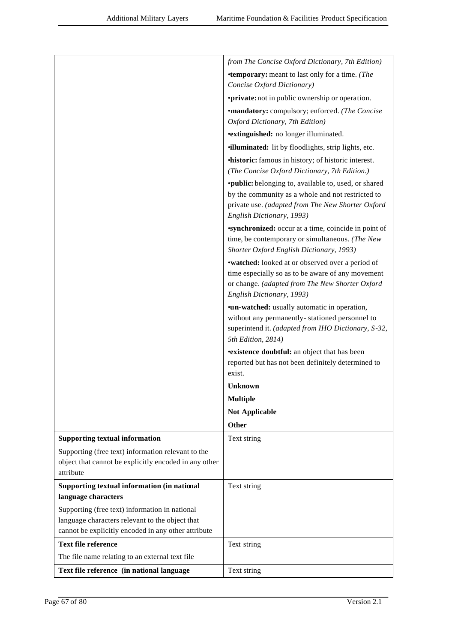|                                                       | from The Concise Oxford Dictionary, 7th Edition)                          |
|-------------------------------------------------------|---------------------------------------------------------------------------|
|                                                       | <b>•temporary:</b> meant to last only for a time. (The                    |
|                                                       | Concise Oxford Dictionary)                                                |
|                                                       | <b>•private:</b> not in public ownership or operation.                    |
|                                                       | <b>•mandatory:</b> compulsory; enforced. (The Concise                     |
|                                                       | Oxford Dictionary, 7th Edition)                                           |
|                                                       | <b>*extinguished:</b> no longer illuminated.                              |
|                                                       | <b>illuminated:</b> lit by floodlights, strip lights, etc.                |
|                                                       | <b>historic:</b> famous in history; of historic interest.                 |
|                                                       | (The Concise Oxford Dictionary, 7th Edition.)                             |
|                                                       | ·public: belonging to, available to, used, or shared                      |
|                                                       | by the community as a whole and not restricted to                         |
|                                                       | private use. (adapted from The New Shorter Oxford                         |
|                                                       | English Dictionary, 1993)                                                 |
|                                                       | <b>synchronized:</b> occur at a time, coincide in point of                |
|                                                       | time, be contemporary or simultaneous. (The New                           |
|                                                       | Shorter Oxford English Dictionary, 1993)                                  |
|                                                       | •watched: looked at or observed over a period of                          |
|                                                       | time especially so as to be aware of any movement                         |
|                                                       | or change. (adapted from The New Shorter Oxford                           |
|                                                       | English Dictionary, 1993)                                                 |
|                                                       | <b>•un-watched:</b> usually automatic in operation,                       |
|                                                       | without any permanently-stationed personnel to                            |
|                                                       | superintend it. (adapted from IHO Dictionary, S-32,<br>5th Edition, 2814) |
|                                                       | <b>existence doubtful:</b> an object that has been                        |
|                                                       | reported but has not been definitely determined to                        |
|                                                       | exist.                                                                    |
|                                                       | <b>Unknown</b>                                                            |
|                                                       | <b>Multiple</b>                                                           |
|                                                       | <b>Not Applicable</b>                                                     |
|                                                       | Other                                                                     |
| <b>Supporting textual information</b>                 | Text string                                                               |
| Supporting (free text) information relevant to the    |                                                                           |
| object that cannot be explicitly encoded in any other |                                                                           |
| attribute                                             |                                                                           |
| Supporting textual information (in national           | Text string                                                               |
| language characters                                   |                                                                           |
| Supporting (free text) information in national        |                                                                           |
| language characters relevant to the object that       |                                                                           |
| cannot be explicitly encoded in any other attribute   |                                                                           |
| <b>Text file reference</b>                            | Text string                                                               |
| The file name relating to an external text file       |                                                                           |
| Text file reference (in national language             | Text string                                                               |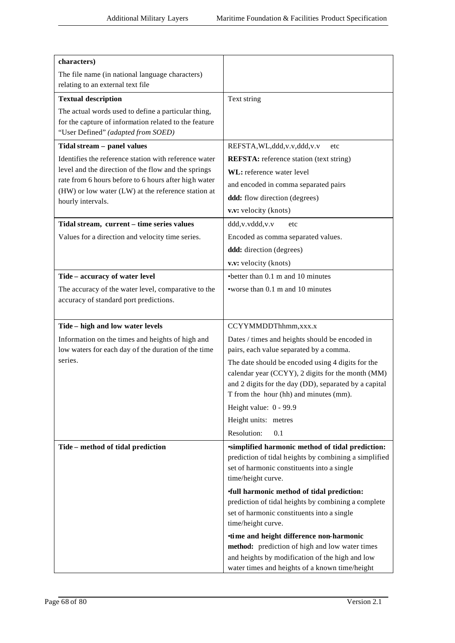| characters)                                           |                                                                                                 |
|-------------------------------------------------------|-------------------------------------------------------------------------------------------------|
| The file name (in national language characters)       |                                                                                                 |
| relating to an external text file                     |                                                                                                 |
| <b>Textual description</b>                            | Text string                                                                                     |
| The actual words used to define a particular thing,   |                                                                                                 |
| for the capture of information related to the feature |                                                                                                 |
| "User Defined" (adapted from SOED)                    |                                                                                                 |
| Tidal stream - panel values                           | REFSTA, WL, ddd, v.v, ddd, v.v<br>etc                                                           |
| Identifies the reference station with reference water | <b>REFSTA:</b> reference station (text string)                                                  |
| level and the direction of the flow and the springs   | WL: reference water level                                                                       |
| rate from 6 hours before to 6 hours after high water  | and encoded in comma separated pairs                                                            |
| (HW) or low water (LW) at the reference station at    | ddd: flow direction (degrees)                                                                   |
| hourly intervals.                                     | v.v: velocity (knots)                                                                           |
|                                                       |                                                                                                 |
| Tidal stream, current - time series values            | ddd, v. vddd, v. v<br>etc                                                                       |
| Values for a direction and velocity time series.      | Encoded as comma separated values.                                                              |
|                                                       | ddd: direction (degrees)                                                                        |
|                                                       | v.v: velocity (knots)                                                                           |
| Tide - accuracy of water level                        | $\bullet$ better than 0.1 m and 10 minutes                                                      |
| The accuracy of the water level, comparative to the   | •worse than 0.1 m and 10 minutes                                                                |
| accuracy of standard port predictions.                |                                                                                                 |
|                                                       |                                                                                                 |
| Tide - high and low water levels                      | CCYYMMDDThhmm, xxx.x                                                                            |
| Information on the times and heights of high and      | Dates / times and heights should be encoded in                                                  |
| low waters for each day of the duration of the time   | pairs, each value separated by a comma.                                                         |
| series.                                               | The date should be encoded using 4 digits for the                                               |
|                                                       | calendar year (CCYY), 2 digits for the month (MM)                                               |
|                                                       | and 2 digits for the day (DD), separated by a capital<br>T from the hour (hh) and minutes (mm). |
|                                                       |                                                                                                 |
|                                                       | Height value: 0 - 99.9                                                                          |
|                                                       | Height units: metres                                                                            |
|                                                       | Resolution:<br>0.1                                                                              |
| Tide - method of tidal prediction                     | simplified harmonic method of tidal prediction:                                                 |
|                                                       | prediction of tidal heights by combining a simplified                                           |
|                                                       | set of harmonic constituents into a single<br>time/height curve.                                |
|                                                       | <b>full harmonic method of tidal prediction:</b>                                                |
|                                                       | prediction of tidal heights by combining a complete                                             |
|                                                       | set of harmonic constituents into a single                                                      |
|                                                       | time/height curve.                                                                              |
|                                                       | •time and height difference non-harmonic                                                        |
|                                                       | method: prediction of high and low water times                                                  |
|                                                       | and heights by modification of the high and low                                                 |
|                                                       | water times and heights of a known time/height                                                  |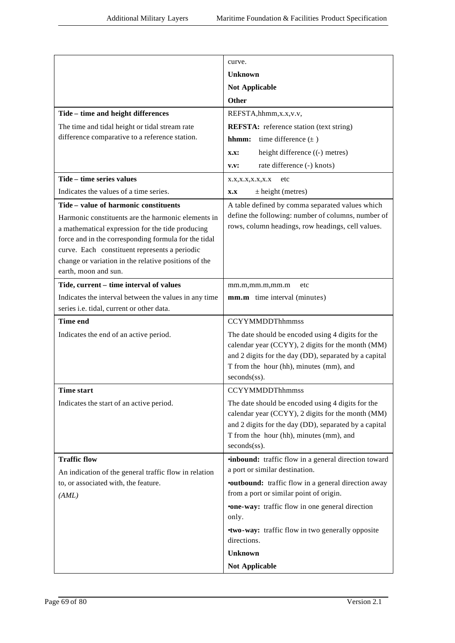|                                                       | curve.                                                                                                     |
|-------------------------------------------------------|------------------------------------------------------------------------------------------------------------|
|                                                       | <b>Unknown</b>                                                                                             |
|                                                       | <b>Not Applicable</b>                                                                                      |
|                                                       | <b>Other</b>                                                                                               |
| Tide - time and height differences                    | REFSTA, hhmm, x.x, v.v,                                                                                    |
| The time and tidal height or tidal stream rate        | <b>REFSTA:</b> reference station (text string)                                                             |
| difference comparative to a reference station.        | time difference $(\pm)$<br>hhmm:                                                                           |
|                                                       | height difference ((-) metres)<br><b>X.X:</b>                                                              |
|                                                       | rate difference (-) knots)<br>V.V:                                                                         |
| Tide - time series values                             | X.X,X.X,X.X,X.X<br>etc                                                                                     |
| Indicates the values of a time series.                | $\pm$ height (metres)<br>X.X                                                                               |
| Tide – value of harmonic constituents                 | A table defined by comma separated values which                                                            |
| Harmonic constituents are the harmonic elements in    | define the following: number of columns, number of                                                         |
| a mathematical expression for the tide producing      | rows, column headings, row headings, cell values.                                                          |
| force and in the corresponding formula for the tidal  |                                                                                                            |
| curve. Each constituent represents a periodic         |                                                                                                            |
| change or variation in the relative positions of the  |                                                                                                            |
| earth, moon and sun.                                  |                                                                                                            |
| Tide, current - time interval of values               | mm.m,mm.m,mm.m<br>etc                                                                                      |
| Indicates the interval between the values in any time | mm.m time interval (minutes)                                                                               |
| series i.e. tidal, current or other data.             |                                                                                                            |
| <b>Time end</b>                                       | <b>CCYYMMDDThhmmss</b>                                                                                     |
| Indicates the end of an active period.                | The date should be encoded using 4 digits for the                                                          |
|                                                       | calendar year (CCYY), 2 digits for the month (MM)<br>and 2 digits for the day (DD), separated by a capital |
|                                                       | T from the hour (hh), minutes (mm), and                                                                    |
|                                                       | seconds(ss).                                                                                               |
| <b>Time start</b>                                     | <b>CCYYMMDDThhmmss</b>                                                                                     |
| Indicates the start of an active period.              | The date should be encoded using 4 digits for the                                                          |
|                                                       | calendar year (CCYY), 2 digits for the month (MM)                                                          |
|                                                       | and 2 digits for the day (DD), separated by a capital                                                      |
|                                                       | T from the hour (hh), minutes (mm), and                                                                    |
|                                                       | seconds(ss).                                                                                               |
| <b>Traffic flow</b>                                   | <b>inbound:</b> traffic flow in a general direction toward                                                 |
| An indication of the general traffic flow in relation | a port or similar destination.                                                                             |
| to, or associated with, the feature.                  | <b>•outbound:</b> traffic flow in a general direction away                                                 |
| (AML)                                                 | from a port or similar point of origin.                                                                    |
|                                                       | <b>•one-way:</b> traffic flow in one general direction<br>only.                                            |
|                                                       | <b>•two-way:</b> traffic flow in two generally opposite                                                    |
|                                                       | directions.                                                                                                |
|                                                       | <b>Unknown</b>                                                                                             |
|                                                       | <b>Not Applicable</b>                                                                                      |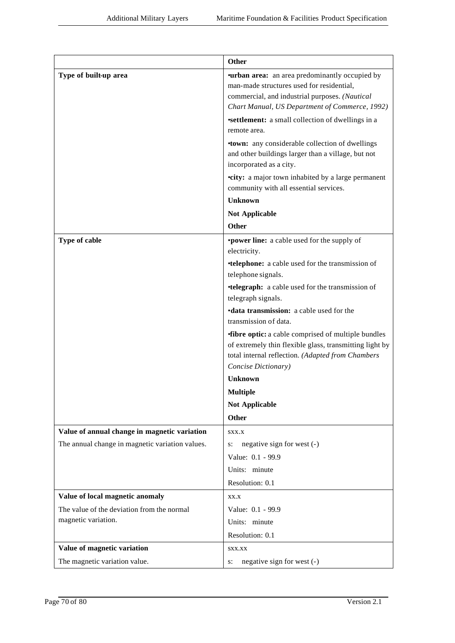|                                                 | Other                                                                                                                                                                                                 |
|-------------------------------------------------|-------------------------------------------------------------------------------------------------------------------------------------------------------------------------------------------------------|
| Type of built-up area                           | <b>urban area:</b> an area predominantly occupied by<br>man-made structures used for residential,<br>commercial, and industrial purposes. (Nautical<br>Chart Manual, US Department of Commerce, 1992) |
|                                                 | <b>settlement:</b> a small collection of dwellings in a<br>remote area.                                                                                                                               |
|                                                 | <b>•town:</b> any considerable collection of dwellings<br>and other buildings larger than a village, but not<br>incorporated as a city.                                                               |
|                                                 | <b>•city:</b> a major town inhabited by a large permanent<br>community with all essential services.                                                                                                   |
|                                                 | Unknown                                                                                                                                                                                               |
|                                                 | <b>Not Applicable</b>                                                                                                                                                                                 |
|                                                 | Other                                                                                                                                                                                                 |
| Type of cable                                   | <b>•power line:</b> a cable used for the supply of<br>electricity.                                                                                                                                    |
|                                                 | <b>*telephone:</b> a cable used for the transmission of<br>telephone signals.                                                                                                                         |
|                                                 | <b>•telegraph:</b> a cable used for the transmission of<br>telegraph signals.                                                                                                                         |
|                                                 | <b>·data transmission:</b> a cable used for the<br>transmission of data.                                                                                                                              |
|                                                 | <b>fibre optic:</b> a cable comprised of multiple bundles<br>of extremely thin flexible glass, transmitting light by<br>total internal reflection. (Adapted from Chambers<br>Concise Dictionary)      |
|                                                 | <b>Unknown</b>                                                                                                                                                                                        |
|                                                 | <b>Multiple</b>                                                                                                                                                                                       |
|                                                 | <b>Not Applicable</b>                                                                                                                                                                                 |
|                                                 | Other                                                                                                                                                                                                 |
| Value of annual change in magnetic variation    | SXX.X                                                                                                                                                                                                 |
| The annual change in magnetic variation values. | negative sign for west (-)<br>s:                                                                                                                                                                      |
|                                                 | Value: 0.1 - 99.9                                                                                                                                                                                     |
|                                                 | Units: minute                                                                                                                                                                                         |
|                                                 | Resolution: 0.1                                                                                                                                                                                       |
| Value of local magnetic anomaly                 | XX.X                                                                                                                                                                                                  |
| The value of the deviation from the normal      | Value: 0.1 - 99.9                                                                                                                                                                                     |
| magnetic variation.                             | Units: minute                                                                                                                                                                                         |
|                                                 | Resolution: 0.1                                                                                                                                                                                       |
| Value of magnetic variation                     | SXX.XX                                                                                                                                                                                                |
| The magnetic variation value.                   | negative sign for west (-)<br>s:                                                                                                                                                                      |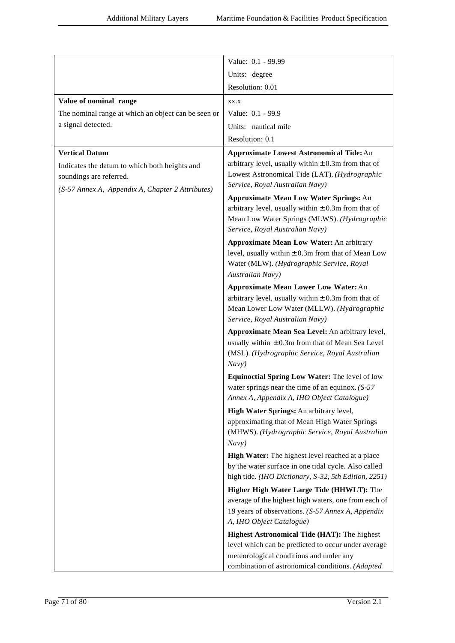|                                                                                                                                                       | Value: 0.1 - 99.99                                                                                                                                                                                                                                                                                                                                                                                                                                                                                                                                                                                                                                                                                                                                                                                                                                                                  |
|-------------------------------------------------------------------------------------------------------------------------------------------------------|-------------------------------------------------------------------------------------------------------------------------------------------------------------------------------------------------------------------------------------------------------------------------------------------------------------------------------------------------------------------------------------------------------------------------------------------------------------------------------------------------------------------------------------------------------------------------------------------------------------------------------------------------------------------------------------------------------------------------------------------------------------------------------------------------------------------------------------------------------------------------------------|
|                                                                                                                                                       | Units: degree                                                                                                                                                                                                                                                                                                                                                                                                                                                                                                                                                                                                                                                                                                                                                                                                                                                                       |
|                                                                                                                                                       | Resolution: 0.01                                                                                                                                                                                                                                                                                                                                                                                                                                                                                                                                                                                                                                                                                                                                                                                                                                                                    |
| Value of nominal range                                                                                                                                | XX.X                                                                                                                                                                                                                                                                                                                                                                                                                                                                                                                                                                                                                                                                                                                                                                                                                                                                                |
| The nominal range at which an object can be seen or                                                                                                   | Value: 0.1 - 99.9                                                                                                                                                                                                                                                                                                                                                                                                                                                                                                                                                                                                                                                                                                                                                                                                                                                                   |
| a signal detected.                                                                                                                                    | Units: nautical mile                                                                                                                                                                                                                                                                                                                                                                                                                                                                                                                                                                                                                                                                                                                                                                                                                                                                |
|                                                                                                                                                       | Resolution: 0.1                                                                                                                                                                                                                                                                                                                                                                                                                                                                                                                                                                                                                                                                                                                                                                                                                                                                     |
| <b>Vertical Datum</b><br>Indicates the datum to which both heights and<br>soundings are referred.<br>(S-57 Annex A, Appendix A, Chapter 2 Attributes) | <b>Approximate Lowest Astronomical Tide: An</b><br>arbitrary level, usually within $\pm$ 0.3m from that of<br>Lowest Astronomical Tide (LAT). (Hydrographic<br>Service, Royal Australian Navy)<br><b>Approximate Mean Low Water Springs: An</b><br>arbitrary level, usually within $\pm$ 0.3m from that of<br>Mean Low Water Springs (MLWS). (Hydrographic<br>Service, Royal Australian Navy)<br><b>Approximate Mean Low Water: An arbitrary</b><br>level, usually within $\pm$ 0.3m from that of Mean Low<br>Water (MLW). (Hydrographic Service, Royal<br>Australian Navy)<br><b>Approximate Mean Lower Low Water: An</b><br>arbitrary level, usually within $\pm$ 0.3m from that of<br>Mean Lower Low Water (MLLW). (Hydrographic<br>Service, Royal Australian Navy)<br>Approximate Mean Sea Level: An arbitrary level,<br>usually within $\pm 0.3$ m from that of Mean Sea Level |
|                                                                                                                                                       | (MSL). (Hydrographic Service, Royal Australian<br>Navy)<br>Equinoctial Spring Low Water: The level of low<br>water springs near the time of an equinox. $(S-57)$<br>Annex A, Appendix A, IHO Object Catalogue)                                                                                                                                                                                                                                                                                                                                                                                                                                                                                                                                                                                                                                                                      |
|                                                                                                                                                       | High Water Springs: An arbitrary level,                                                                                                                                                                                                                                                                                                                                                                                                                                                                                                                                                                                                                                                                                                                                                                                                                                             |
|                                                                                                                                                       | approximating that of Mean High Water Springs<br>(MHWS). (Hydrographic Service, Royal Australian<br>Navy)                                                                                                                                                                                                                                                                                                                                                                                                                                                                                                                                                                                                                                                                                                                                                                           |
|                                                                                                                                                       | High Water: The highest level reached at a place<br>by the water surface in one tidal cycle. Also called<br>high tide. (IHO Dictionary, S-32, 5th Edition, 2251)                                                                                                                                                                                                                                                                                                                                                                                                                                                                                                                                                                                                                                                                                                                    |
|                                                                                                                                                       | Higher High Water Large Tide (HHWLT): The                                                                                                                                                                                                                                                                                                                                                                                                                                                                                                                                                                                                                                                                                                                                                                                                                                           |
|                                                                                                                                                       | average of the highest high waters, one from each of<br>19 years of observations. (S-57 Annex A, Appendix<br>A, IHO Object Catalogue)                                                                                                                                                                                                                                                                                                                                                                                                                                                                                                                                                                                                                                                                                                                                               |
|                                                                                                                                                       | Highest Astronomical Tide (HAT): The highest                                                                                                                                                                                                                                                                                                                                                                                                                                                                                                                                                                                                                                                                                                                                                                                                                                        |
|                                                                                                                                                       | level which can be predicted to occur under average                                                                                                                                                                                                                                                                                                                                                                                                                                                                                                                                                                                                                                                                                                                                                                                                                                 |
|                                                                                                                                                       | meteorological conditions and under any<br>combination of astronomical conditions. (Adapted                                                                                                                                                                                                                                                                                                                                                                                                                                                                                                                                                                                                                                                                                                                                                                                         |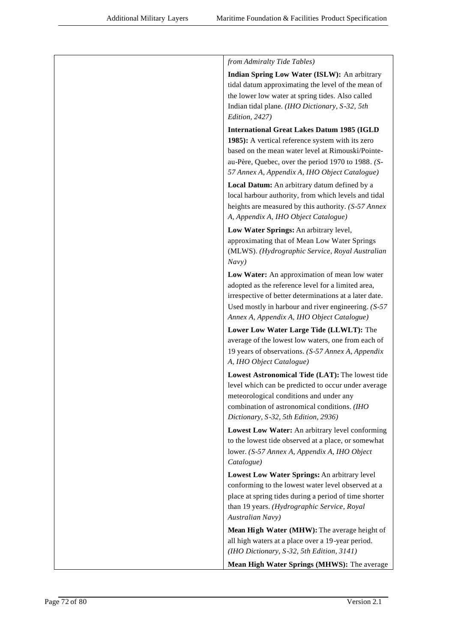| from Admiralty Tide Tables)                                                                                                                                                                                                               |
|-------------------------------------------------------------------------------------------------------------------------------------------------------------------------------------------------------------------------------------------|
| Indian Spring Low Water (ISLW): An arbitrary<br>tidal datum approximating the level of the mean of<br>the lower low water at spring tides. Also called<br>Indian tidal plane. (IHO Dictionary, S-32, 5th<br>Edition, 2427)                |
| <b>International Great Lakes Datum 1985 (IGLD</b>                                                                                                                                                                                         |
| 1985): A vertical reference system with its zero<br>based on the mean water level at Rimouski/Pointe-<br>au-Père, Quebec, over the period 1970 to 1988. (S-<br>57 Annex A, Appendix A, IHO Object Catalogue)                              |
| Local Datum: An arbitrary datum defined by a<br>local harbour authority, from which levels and tidal<br>heights are measured by this authority. (S-57 Annex<br>A, Appendix A, IHO Object Catalogue)                                       |
| Low Water Springs: An arbitrary level,<br>approximating that of Mean Low Water Springs<br>(MLWS). (Hydrographic Service, Royal Australian<br>Navy)                                                                                        |
| Low Water: An approximation of mean low water                                                                                                                                                                                             |
| adopted as the reference level for a limited area,<br>irrespective of better determinations at a later date.<br>Used mostly in harbour and river engineering. $(S-57)$<br>Annex A, Appendix A, IHO Object Catalogue)                      |
| Lower Low Water Large Tide (LLWLT): The<br>average of the lowest low waters, one from each of<br>19 years of observations. (S-57 Annex A, Appendix<br>A, IHO Object Catalogue)                                                            |
| Lowest Astronomical Tide (LAT): The lowest tide<br>level which can be predicted to occur under average<br>meteorological conditions and under any<br>combination of astronomical conditions. (IHO<br>Dictionary, S-32, 5th Edition, 2936) |
| Lowest Low Water: An arbitrary level conforming<br>to the lowest tide observed at a place, or somewhat<br>lower. (S-57 Annex A, Appendix A, IHO Object<br>Catalogue)                                                                      |
| Lowest Low Water Springs: An arbitrary level<br>conforming to the lowest water level observed at a<br>place at spring tides during a period of time shorter<br>than 19 years. (Hydrographic Service, Royal<br>Australian Navy)            |
| Mean High Water (MHW): The average height of<br>all high waters at a place over a 19-year period.                                                                                                                                         |
| (IHO Dictionary, S-32, 5th Edition, 3141)                                                                                                                                                                                                 |
| Mean High Water Springs (MHWS): The average                                                                                                                                                                                               |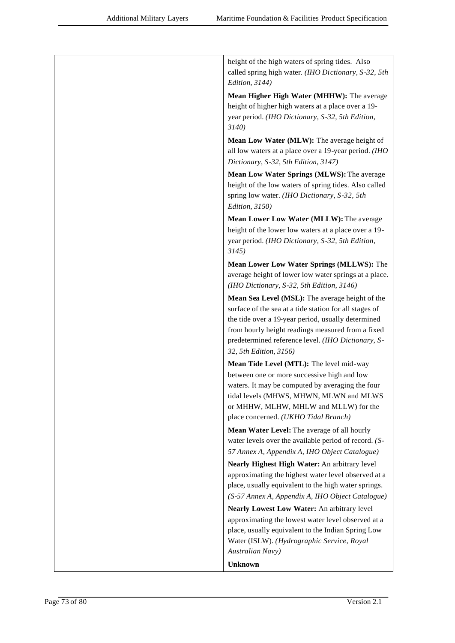| height of the high waters of spring tides. Also<br>called spring high water. (IHO Dictionary, S-32, 5th<br>Edition, 3144)                                                                                                                                                                            |
|------------------------------------------------------------------------------------------------------------------------------------------------------------------------------------------------------------------------------------------------------------------------------------------------------|
| Mean Higher High Water (MHHW): The average<br>height of higher high waters at a place over a 19-<br>year period. (IHO Dictionary, S-32, 5th Edition,<br>3140)                                                                                                                                        |
| Mean Low Water (MLW): The average height of<br>all low waters at a place over a 19-year period. (IHO<br>Dictionary, S-32, 5th Edition, 3147)                                                                                                                                                         |
| Mean Low Water Springs (MLWS): The average<br>height of the low waters of spring tides. Also called<br>spring low water. (IHO Dictionary, S-32, 5th<br>Edition, 3150)                                                                                                                                |
| Mean Lower Low Water (MLLW): The average<br>height of the lower low waters at a place over a 19-<br>year period. (IHO Dictionary, S-32, 5th Edition,<br>3145                                                                                                                                         |
| Mean Lower Low Water Springs (MLLWS): The<br>average height of lower low water springs at a place.<br>(IHO Dictionary, S-32, 5th Edition, 3146)                                                                                                                                                      |
| Mean Sea Level (MSL): The average height of the<br>surface of the sea at a tide station for all stages of<br>the tide over a 19-year period, usually determined<br>from hourly height readings measured from a fixed<br>predetermined reference level. (IHO Dictionary, S-<br>32, 5th Edition, 3156) |
| Mean Tide Level (MTL): The level mid-way<br>between one or more successive high and low<br>waters. It may be computed by averaging the four<br>tidal levels (MHWS, MHWN, MLWN and MLWS<br>or MHHW, MLHW, MHLW and MLLW) for the<br>place concerned. (UKHO Tidal Branch)                              |
| Mean Water Level: The average of all hourly<br>water levels over the available period of record. (S-<br>57 Annex A, Appendix A, IHO Object Catalogue)                                                                                                                                                |
| Nearly Highest High Water: An arbitrary level<br>approximating the highest water level observed at a<br>place, usually equivalent to the high water springs.<br>(S-57 Annex A, Appendix A, IHO Object Catalogue)                                                                                     |
| Nearly Lowest Low Water: An arbitrary level                                                                                                                                                                                                                                                          |
| approximating the lowest water level observed at a<br>place, usually equivalent to the Indian Spring Low<br>Water (ISLW). (Hydrographic Service, Royal<br>Australian Navy)                                                                                                                           |
| <b>Unknown</b>                                                                                                                                                                                                                                                                                       |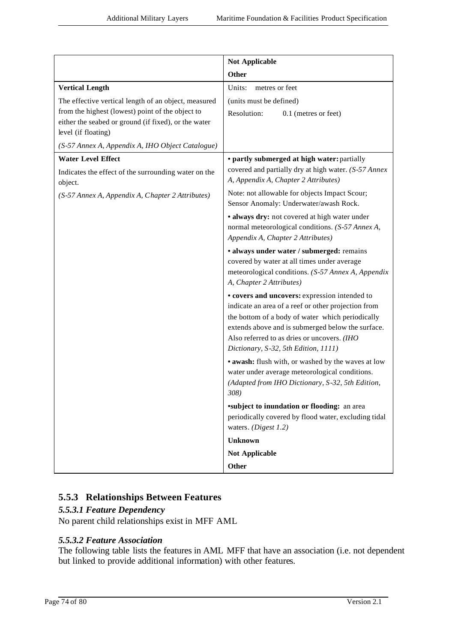|                                                                                                                                                                                         | <b>Not Applicable</b>                                                                                                                                                                                                                                                                                |
|-----------------------------------------------------------------------------------------------------------------------------------------------------------------------------------------|------------------------------------------------------------------------------------------------------------------------------------------------------------------------------------------------------------------------------------------------------------------------------------------------------|
|                                                                                                                                                                                         | <b>Other</b>                                                                                                                                                                                                                                                                                         |
| <b>Vertical Length</b>                                                                                                                                                                  | Units:<br>metres or feet                                                                                                                                                                                                                                                                             |
| The effective vertical length of an object, measured<br>from the highest (lowest) point of the object to<br>either the seabed or ground (if fixed), or the water<br>level (if floating) | (units must be defined)<br>Resolution:<br>0.1 (metres or feet)                                                                                                                                                                                                                                       |
| (S-57 Annex A, Appendix A, IHO Object Catalogue)                                                                                                                                        |                                                                                                                                                                                                                                                                                                      |
| <b>Water Level Effect</b><br>Indicates the effect of the surrounding water on the<br>object.<br>(S-57 Annex A, Appendix A, Chapter 2 Attributes)                                        | • partly submerged at high water: partially<br>covered and partially dry at high water. (S-57 Annex<br>A, Appendix A, Chapter 2 Attributes)<br>Note: not allowable for objects Impact Scour;                                                                                                         |
|                                                                                                                                                                                         | Sensor Anomaly: Underwater/awash Rock.                                                                                                                                                                                                                                                               |
|                                                                                                                                                                                         | · always dry: not covered at high water under<br>normal meteorological conditions. (S-57 Annex A,<br>Appendix A, Chapter 2 Attributes)                                                                                                                                                               |
|                                                                                                                                                                                         | · always under water / submerged: remains<br>covered by water at all times under average<br>meteorological conditions. (S-57 Annex A, Appendix<br>A, Chapter 2 Attributes)                                                                                                                           |
|                                                                                                                                                                                         | • covers and uncovers: expression intended to<br>indicate an area of a reef or other projection from<br>the bottom of a body of water which periodically<br>extends above and is submerged below the surface.<br>Also referred to as dries or uncovers. (IHO<br>Dictionary, S-32, 5th Edition, 1111) |
|                                                                                                                                                                                         | . awash: flush with, or washed by the waves at low<br>water under average meteorological conditions.<br>(Adapted from IHO Dictionary, S-32, 5th Edition,<br>308)                                                                                                                                     |
|                                                                                                                                                                                         | <b>*subject to inundation or flooding:</b> an area                                                                                                                                                                                                                                                   |
|                                                                                                                                                                                         | periodically covered by flood water, excluding tidal<br>waters. $(Digest 1.2)$                                                                                                                                                                                                                       |
|                                                                                                                                                                                         | <b>Unknown</b>                                                                                                                                                                                                                                                                                       |
|                                                                                                                                                                                         | <b>Not Applicable</b>                                                                                                                                                                                                                                                                                |
|                                                                                                                                                                                         | Other                                                                                                                                                                                                                                                                                                |

## **5.5.3 Relationships Between Features**

## *5.5.3.1 Feature Dependency*

No parent child relationships exist in MFF AML

## *5.5.3.2 Feature Association*

The following table lists the features in AML MFF that have an association (i.e. not dependent but linked to provide additional information) with other features.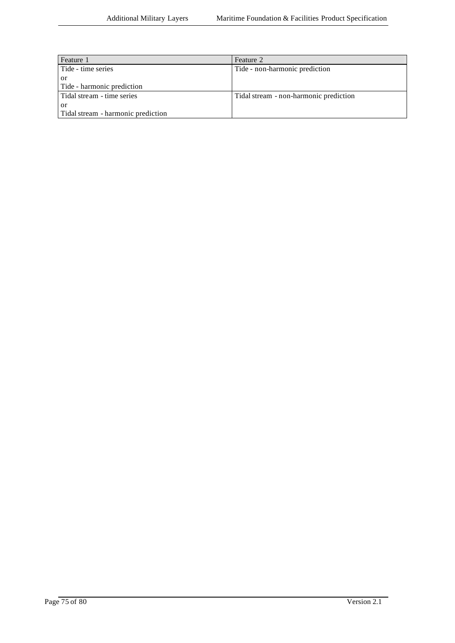| Feature 1                          | Feature 2                              |
|------------------------------------|----------------------------------------|
| Tide - time series                 | Tide - non-harmonic prediction         |
| <sub>or</sub>                      |                                        |
| Tide - harmonic prediction         |                                        |
| Tidal stream - time series         | Tidal stream - non-harmonic prediction |
| or                                 |                                        |
| Tidal stream - harmonic prediction |                                        |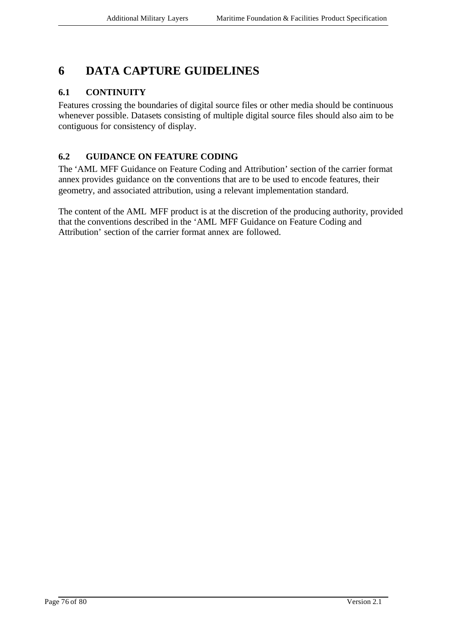# **6 DATA CAPTURE GUIDELINES**

## **6.1 CONTINUITY**

Features crossing the boundaries of digital source files or other media should be continuous whenever possible. Datasets consisting of multiple digital source files should also aim to be contiguous for consistency of display.

## **6.2 GUIDANCE ON FEATURE CODING**

The 'AML MFF Guidance on Feature Coding and Attribution' section of the carrier format annex provides guidance on the conventions that are to be used to encode features, their geometry, and associated attribution, using a relevant implementation standard.

The content of the AML MFF product is at the discretion of the producing authority, provided that the conventions described in the 'AML MFF Guidance on Feature Coding and Attribution' section of the carrier format annex are followed.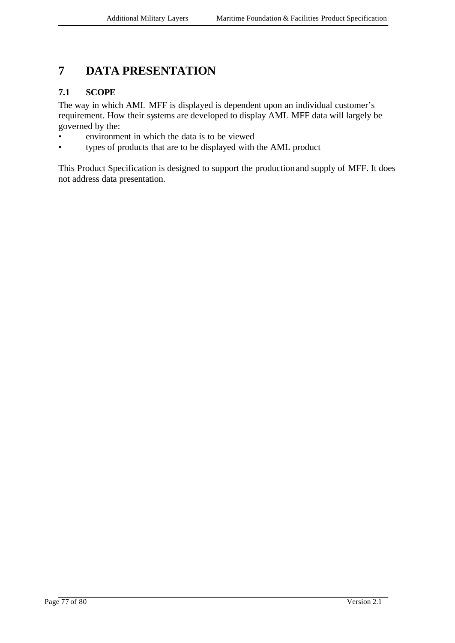# **7 DATA PRESENTATION**

## **7.1 SCOPE**

The way in which AML MFF is displayed is dependent upon an individual customer's requirement. How their systems are developed to display AML MFF data will largely be governed by the:

- environment in which the data is to be viewed
- types of products that are to be displayed with the AML product

This Product Specification is designed to support the production and supply of MFF. It does not address data presentation.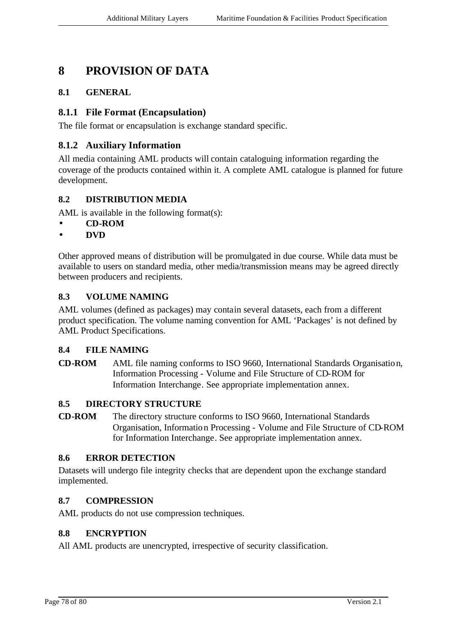# **8 PROVISION OF DATA**

### **8.1 GENERAL**

### **8.1.1 File Format (Encapsulation)**

The file format or encapsulation is exchange standard specific.

### **8.1.2 Auxiliary Information**

All media containing AML products will contain cataloguing information regarding the coverage of the products contained within it. A complete AML catalogue is planned for future development.

### **8.2 DISTRIBUTION MEDIA**

AML is available in the following format(s):

- **CD-ROM**
- **DVD**

Other approved means of distribution will be promulgated in due course. While data must be available to users on standard media, other media/transmission means may be agreed directly between producers and recipients.

#### **8.3 VOLUME NAMING**

AML volumes (defined as packages) may contain several datasets, each from a different product specification. The volume naming convention for AML 'Packages' is not defined by AML Product Specifications.

#### **8.4 FILE NAMING**

**CD-ROM** AML file naming conforms to ISO 9660, International Standards Organisation, Information Processing - Volume and File Structure of CD-ROM for Information Interchange. See appropriate implementation annex.

#### **8.5 DIRECTORY STRUCTURE**

**CD-ROM** The directory structure conforms to ISO 9660, International Standards Organisation, Information Processing - Volume and File Structure of CD-ROM for Information Interchange. See appropriate implementation annex.

#### **8.6 ERROR DETECTION**

Datasets will undergo file integrity checks that are dependent upon the exchange standard implemented.

#### **8.7 COMPRESSION**

AML products do not use compression techniques.

#### **8.8 ENCRYPTION**

All AML products are unencrypted, irrespective of security classification.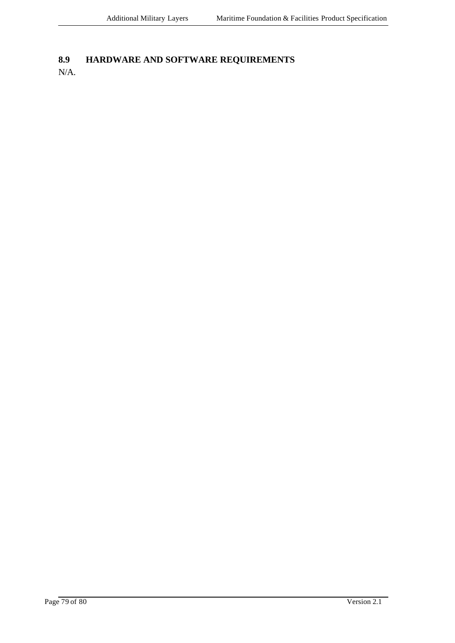## **8.9 HARDWARE AND SOFTWARE REQUIREMENTS**

N/A.